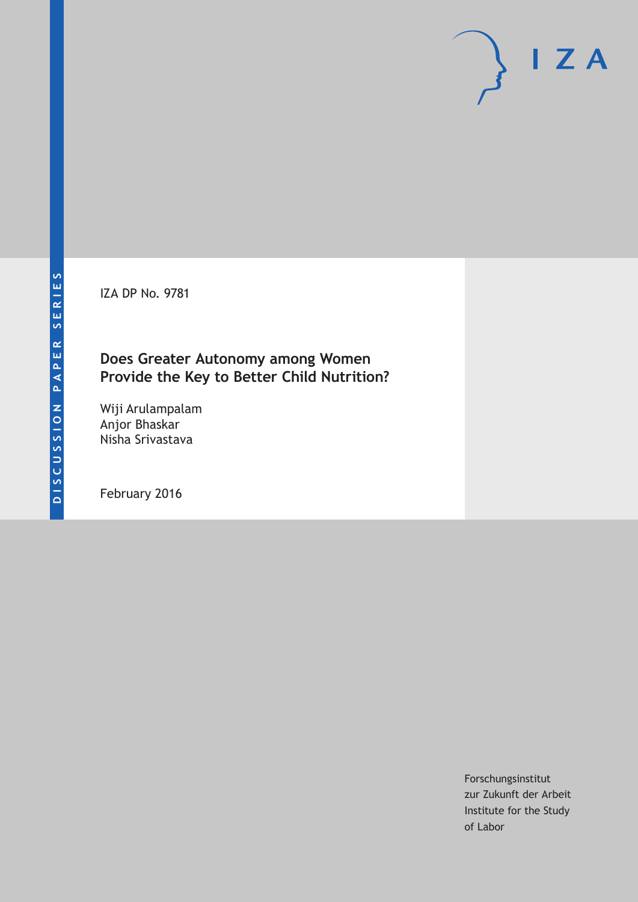IZA DP No. 9781

## **Does Greater Autonomy among Women Provide the Key to Better Child Nutrition?**

Wiji Arulampalam Anjor Bhaskar Nisha Srivastava

February 2016

Forschungsinstitut zur Zukunft der Arbeit Institute for the Study of Labor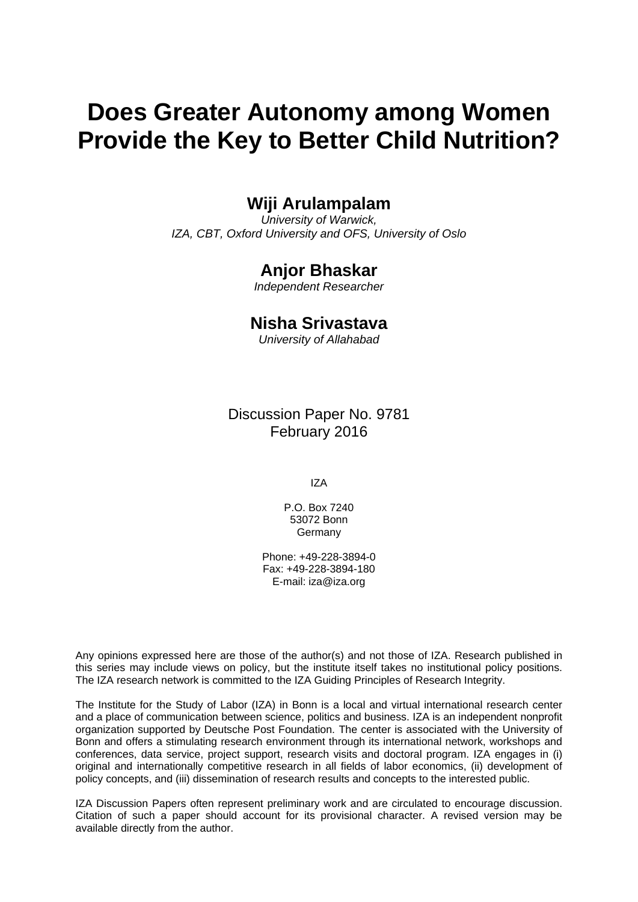# **Does Greater Autonomy among Women Provide the Key to Better Child Nutrition?**

## **Wiji Arulampalam**

*University of Warwick, IZA, CBT, Oxford University and OFS, University of Oslo* 

## **Anjor Bhaskar**

*Independent Researcher*

## **Nisha Srivastava**

*University of Allahabad*

Discussion Paper No. 9781 February 2016

IZA

P.O. Box 7240 53072 Bonn **Germany** 

Phone: +49-228-3894-0 Fax: +49-228-3894-180 E-mail: iza@iza.org

Any opinions expressed here are those of the author(s) and not those of IZA. Research published in this series may include views on policy, but the institute itself takes no institutional policy positions. The IZA research network is committed to the IZA Guiding Principles of Research Integrity.

The Institute for the Study of Labor (IZA) in Bonn is a local and virtual international research center and a place of communication between science, politics and business. IZA is an independent nonprofit organization supported by Deutsche Post Foundation. The center is associated with the University of Bonn and offers a stimulating research environment through its international network, workshops and conferences, data service, project support, research visits and doctoral program. IZA engages in (i) original and internationally competitive research in all fields of labor economics, (ii) development of policy concepts, and (iii) dissemination of research results and concepts to the interested public.

IZA Discussion Papers often represent preliminary work and are circulated to encourage discussion. Citation of such a paper should account for its provisional character. A revised version may be available directly from the author.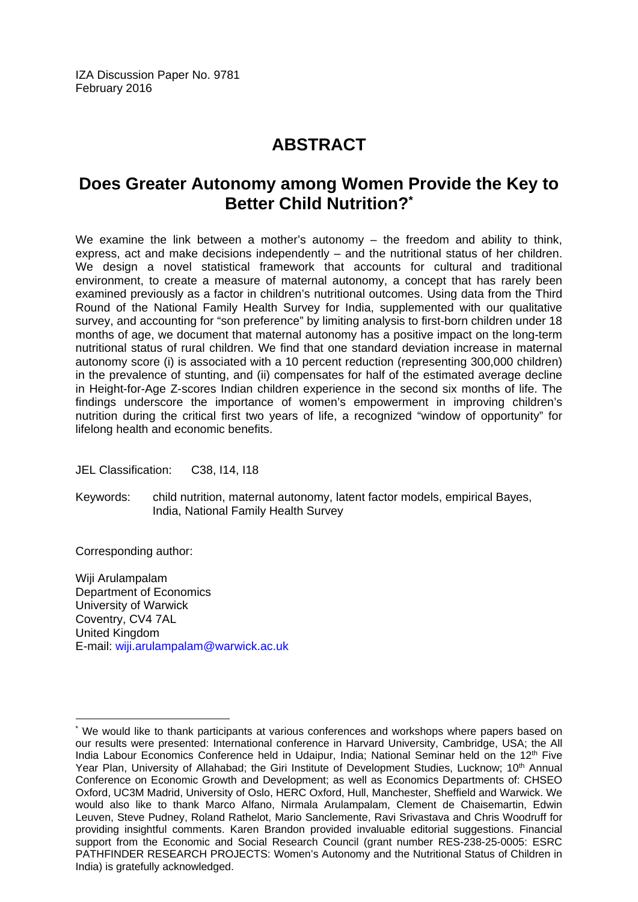IZA Discussion Paper No. 9781 February 2016

## **ABSTRACT**

## **Does Greater Autonomy among Women Provide the Key to Better Child Nutrition?\***

We examine the link between a mother's autonomy – the freedom and ability to think, express, act and make decisions independently – and the nutritional status of her children. We design a novel statistical framework that accounts for cultural and traditional environment, to create a measure of maternal autonomy, a concept that has rarely been examined previously as a factor in children's nutritional outcomes. Using data from the Third Round of the National Family Health Survey for India, supplemented with our qualitative survey, and accounting for "son preference" by limiting analysis to first-born children under 18 months of age, we document that maternal autonomy has a positive impact on the long-term nutritional status of rural children. We find that one standard deviation increase in maternal autonomy score (i) is associated with a 10 percent reduction (representing 300,000 children) in the prevalence of stunting, and (ii) compensates for half of the estimated average decline in Height-for-Age Z-scores Indian children experience in the second six months of life. The findings underscore the importance of women's empowerment in improving children's nutrition during the critical first two years of life, a recognized "window of opportunity" for lifelong health and economic benefits.

JEL Classification: C38, I14, I18

Keywords: child nutrition, maternal autonomy, latent factor models, empirical Bayes, India, National Family Health Survey

Corresponding author:

 $\overline{a}$ 

Wiji Arulampalam Department of Economics University of Warwick Coventry, CV4 7AL United Kingdom E-mail: wiji.arulampalam@warwick.ac.uk

<sup>\*</sup> We would like to thank participants at various conferences and workshops where papers based on our results were presented: International conference in Harvard University, Cambridge, USA; the All India Labour Economics Conference held in Udaipur, India; National Seminar held on the 12<sup>th</sup> Five Year Plan, University of Allahabad; the Giri Institute of Development Studies, Lucknow; 10<sup>th</sup> Annual Conference on Economic Growth and Development; as well as Economics Departments of: CHSEO Oxford, UC3M Madrid, University of Oslo, HERC Oxford, Hull, Manchester, Sheffield and Warwick. We would also like to thank Marco Alfano, Nirmala Arulampalam, Clement de Chaisemartin, Edwin Leuven, Steve Pudney, Roland Rathelot, Mario Sanclemente, Ravi Srivastava and Chris Woodruff for providing insightful comments. Karen Brandon provided invaluable editorial suggestions. Financial support from the Economic and Social Research Council (grant number RES-238-25-0005: ESRC PATHFINDER RESEARCH PROJECTS: Women's Autonomy and the Nutritional Status of Children in India) is gratefully acknowledged.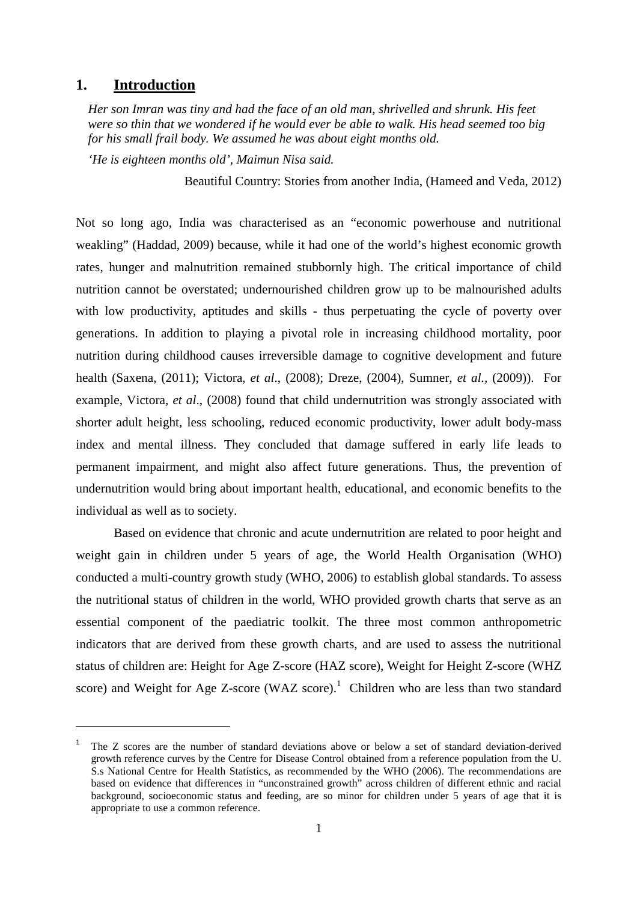## **1. Introduction**

*Her son Imran was tiny and had the face of an old man, shrivelled and shrunk. His feet were so thin that we wondered if he would ever be able to walk. His head seemed too big for his small frail body. We assumed he was about eight months old.*

*'He is eighteen months old', Maimun Nisa said.*

Beautiful Country: Stories from another India, (Hameed and Veda, 2012)

Not so long ago, India was characterised as an "economic powerhouse and nutritional weakling" (Haddad, 2009) because, while it had one of the world's highest economic growth rates, hunger and malnutrition remained stubbornly high. The critical importance of child nutrition cannot be overstated; undernourished children grow up to be malnourished adults with low productivity, aptitudes and skills - thus perpetuating the cycle of poverty over generations. In addition to playing a pivotal role in increasing childhood mortality, poor nutrition during childhood causes irreversible damage to cognitive development and future health (Saxena, (2011); Victora, *et al*., (2008); Dreze, (2004), Sumner, *et al.,* (2009)). For example, Victora, *et al*., (2008) found that child undernutrition was strongly associated with shorter adult height, less schooling, reduced economic productivity, lower adult body-mass index and mental illness. They concluded that damage suffered in early life leads to permanent impairment, and might also affect future generations. Thus, the prevention of undernutrition would bring about important health, educational, and economic benefits to the individual as well as to society.

Based on evidence that chronic and acute undernutrition are related to poor height and weight gain in children under 5 years of age, the World Health Organisation (WHO) conducted a multi-country growth study (WHO, 2006) to establish global standards. To assess the nutritional status of children in the world, WHO provided growth charts that serve as an essential component of the paediatric toolkit. The three most common anthropometric indicators that are derived from these growth charts, and are used to assess the nutritional status of children are: Height for Age Z-score (HAZ score), Weight for Height Z-score (WHZ score) and Weight for Age Z-score (WAZ score).<sup>1</sup> Children who are less than two standard

<sup>1</sup> The Z scores are the number of standard deviations above or below a set of standard deviation-derived growth reference curves by the Centre for Disease Control obtained from a reference population from the U. S.s National Centre for Health Statistics, as recommended by the WHO (2006). The recommendations are based on evidence that differences in "unconstrained growth" across children of different ethnic and racial background, socioeconomic status and feeding, are so minor for children under 5 years of age that it is appropriate to use a common reference.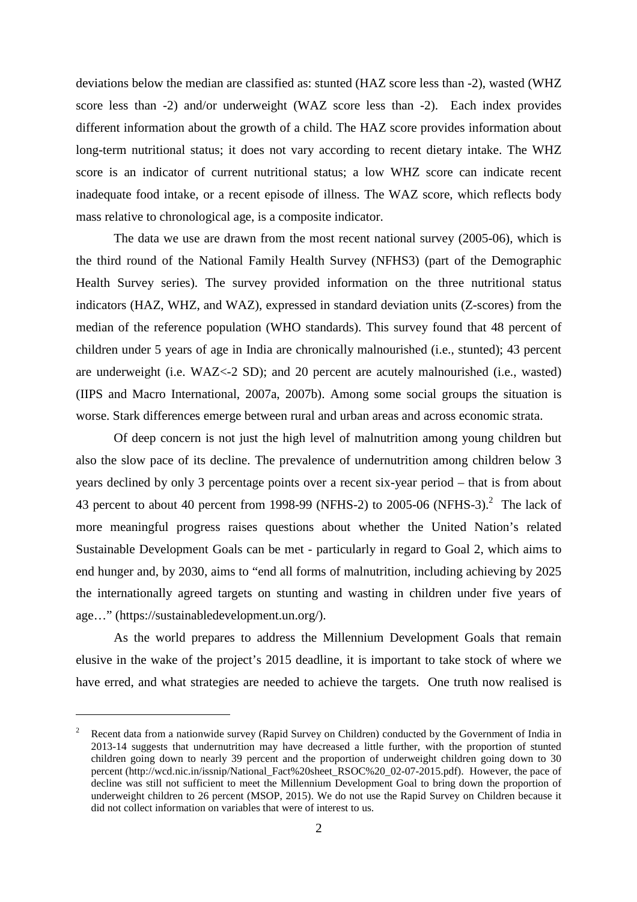deviations below the median are classified as: stunted (HAZ score less than -2), wasted (WHZ score less than -2) and/or underweight (WAZ score less than -2). Each index provides different information about the growth of a child. The HAZ score provides information about long-term nutritional status; it does not vary according to recent dietary intake. The WHZ score is an indicator of current nutritional status; a low WHZ score can indicate recent inadequate food intake, or a recent episode of illness. The WAZ score, which reflects body mass relative to chronological age, is a composite indicator.

The data we use are drawn from the most recent national survey (2005-06), which is the third round of the National Family Health Survey (NFHS3) (part of the Demographic Health Survey series). The survey provided information on the three nutritional status indicators (HAZ, WHZ, and WAZ), expressed in standard deviation units (Z-scores) from the median of the reference population (WHO standards). This survey found that 48 percent of children under 5 years of age in India are chronically malnourished (i.e., stunted); 43 percent are underweight (i.e. WAZ<-2 SD); and 20 percent are acutely malnourished (i.e., wasted) (IIPS and Macro International, 2007a, 2007b). Among some social groups the situation is worse. Stark differences emerge between rural and urban areas and across economic strata.

Of deep concern is not just the high level of malnutrition among young children but also the slow pace of its decline. The prevalence of undernutrition among children below 3 years declined by only 3 percentage points over a recent six-year period – that is from about 43 percent to about 40 percent from 1998-99 (NFHS-2) to 2005-06 (NFHS-3).<sup>2</sup> The lack of more meaningful progress raises questions about whether the United Nation's related Sustainable Development Goals can be met - particularly in regard to Goal 2, which aims to end hunger and, by 2030, aims to "end all forms of malnutrition, including achieving by 2025 the internationally agreed targets on stunting and wasting in children under five years of age…" (https://sustainabledevelopment.un.org/).

As the world prepares to address the Millennium Development Goals that remain elusive in the wake of the project's 2015 deadline, it is important to take stock of where we have erred, and what strategies are needed to achieve the targets. One truth now realised is

<sup>2</sup> Recent data from a nationwide survey (Rapid Survey on Children) conducted by the Government of India in 2013-14 suggests that undernutrition may have decreased a little further, with the proportion of stunted children going down to nearly 39 percent and the proportion of underweight children going down to 30 percent (http://wcd.nic.in/issnip/National\_Fact%20sheet\_RSOC%20\_02-07-2015.pdf). However, the pace of decline was still not sufficient to meet the Millennium Development Goal to bring down the proportion of underweight children to 26 percent (MSOP, 2015). We do not use the Rapid Survey on Children because it did not collect information on variables that were of interest to us.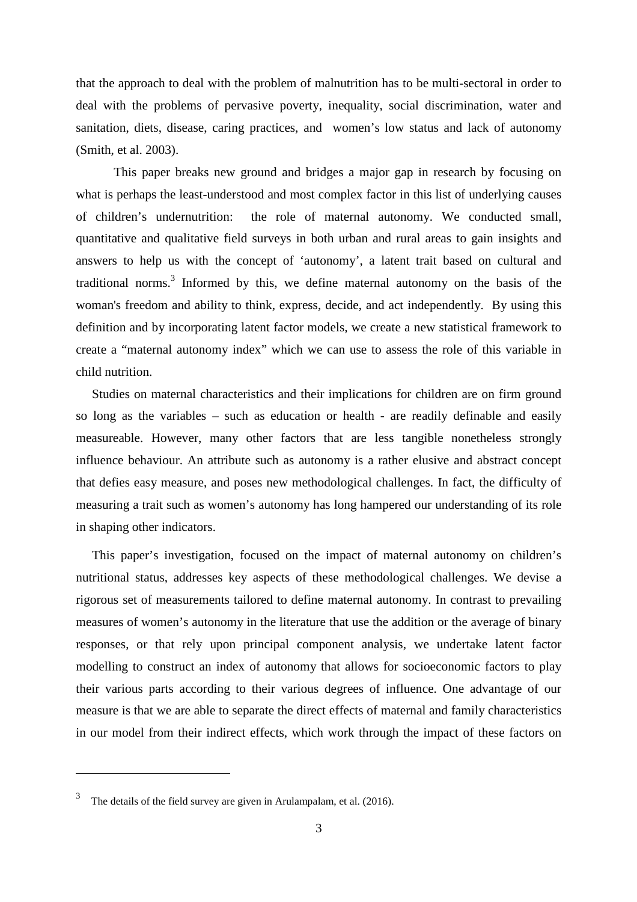that the approach to deal with the problem of malnutrition has to be multi-sectoral in order to deal with the problems of pervasive poverty, inequality, social discrimination, water and sanitation, diets, disease, caring practices, and women's low status and lack of autonomy (Smith, et al. 2003).

This paper breaks new ground and bridges a major gap in research by focusing on what is perhaps the least-understood and most complex factor in this list of underlying causes of children's undernutrition: the role of maternal autonomy. We conducted small, quantitative and qualitative field surveys in both urban and rural areas to gain insights and answers to help us with the concept of 'autonomy', a latent trait based on cultural and traditional norms.<sup>3</sup> Informed by this, we define maternal autonomy on the basis of the woman's freedom and ability to think, express, decide, and act independently. By using this definition and by incorporating latent factor models, we create a new statistical framework to create a "maternal autonomy index" which we can use to assess the role of this variable in child nutrition.

Studies on maternal characteristics and their implications for children are on firm ground so long as the variables – such as education or health - are readily definable and easily measureable. However, many other factors that are less tangible nonetheless strongly influence behaviour. An attribute such as autonomy is a rather elusive and abstract concept that defies easy measure, and poses new methodological challenges. In fact, the difficulty of measuring a trait such as women's autonomy has long hampered our understanding of its role in shaping other indicators.

This paper's investigation, focused on the impact of maternal autonomy on children's nutritional status, addresses key aspects of these methodological challenges. We devise a rigorous set of measurements tailored to define maternal autonomy. In contrast to prevailing measures of women's autonomy in the literature that use the addition or the average of binary responses, or that rely upon principal component analysis, we undertake latent factor modelling to construct an index of autonomy that allows for socioeconomic factors to play their various parts according to their various degrees of influence. One advantage of our measure is that we are able to separate the direct effects of maternal and family characteristics in our model from their indirect effects, which work through the impact of these factors on

<sup>3</sup> The details of the field survey are given in Arulampalam, et al. (2016).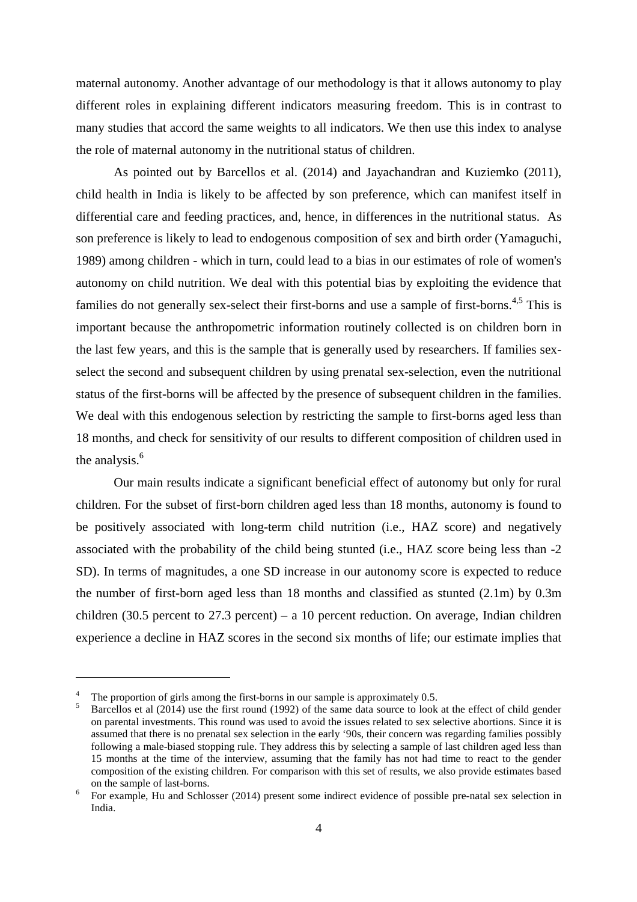maternal autonomy. Another advantage of our methodology is that it allows autonomy to play different roles in explaining different indicators measuring freedom. This is in contrast to many studies that accord the same weights to all indicators. We then use this index to analyse the role of maternal autonomy in the nutritional status of children.

As pointed out by Barcellos et al. (2014) and Jayachandran and Kuziemko (2011), child health in India is likely to be affected by son preference, which can manifest itself in differential care and feeding practices, and, hence, in differences in the nutritional status. As son preference is likely to lead to endogenous composition of sex and birth order (Yamaguchi, 1989) among children - which in turn, could lead to a bias in our estimates of role of women's autonomy on child nutrition. We deal with this potential bias by exploiting the evidence that families do not generally sex-select their first-borns and use a sample of first-borns.<sup>4,5</sup> This is important because the anthropometric information routinely collected is on children born in the last few years, and this is the sample that is generally used by researchers. If families sexselect the second and subsequent children by using prenatal sex-selection, even the nutritional status of the first-borns will be affected by the presence of subsequent children in the families. We deal with this endogenous selection by restricting the sample to first-borns aged less than 18 months, and check for sensitivity of our results to different composition of children used in the analysis.<sup>6</sup>

Our main results indicate a significant beneficial effect of autonomy but only for rural children. For the subset of first-born children aged less than 18 months, autonomy is found to be positively associated with long-term child nutrition (i.e., HAZ score) and negatively associated with the probability of the child being stunted (i.e., HAZ score being less than -2 SD). In terms of magnitudes, a one SD increase in our autonomy score is expected to reduce the number of first-born aged less than 18 months and classified as stunted (2.1m) by 0.3m children (30.5 percent to 27.3 percent) – a 10 percent reduction. On average, Indian children experience a decline in HAZ scores in the second six months of life; our estimate implies that

The proportion of girls among the first-borns in our sample is approximately 0.5.

<sup>5</sup> Barcellos et al (2014) use the first round (1992) of the same data source to look at the effect of child gender on parental investments. This round was used to avoid the issues related to sex selective abortions. Since it is assumed that there is no prenatal sex selection in the early '90s, their concern was regarding families possibly following a male-biased stopping rule. They address this by selecting a sample of last children aged less than 15 months at the time of the interview, assuming that the family has not had time to react to the gender composition of the existing children. For comparison with this set of results, we also provide estimates based on the sample of last-borns.

<sup>6</sup> For example, Hu and Schlosser (2014) present some indirect evidence of possible pre-natal sex selection in India.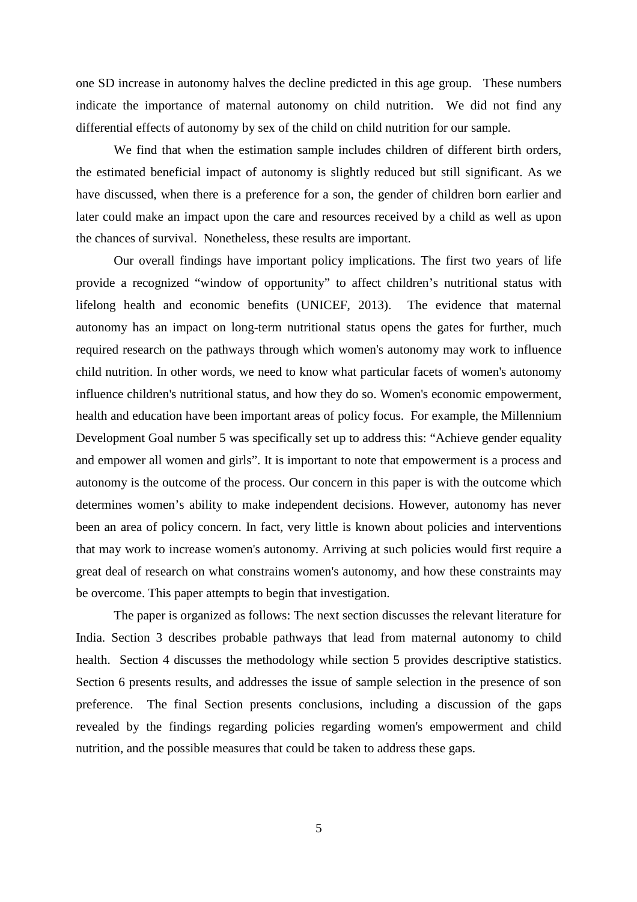one SD increase in autonomy halves the decline predicted in this age group. These numbers indicate the importance of maternal autonomy on child nutrition. We did not find any differential effects of autonomy by sex of the child on child nutrition for our sample.

We find that when the estimation sample includes children of different birth orders, the estimated beneficial impact of autonomy is slightly reduced but still significant. As we have discussed, when there is a preference for a son, the gender of children born earlier and later could make an impact upon the care and resources received by a child as well as upon the chances of survival. Nonetheless, these results are important.

Our overall findings have important policy implications. The first two years of life provide a recognized "window of opportunity" to affect children's nutritional status with lifelong health and economic benefits (UNICEF, 2013). The evidence that maternal autonomy has an impact on long-term nutritional status opens the gates for further, much required research on the pathways through which women's autonomy may work to influence child nutrition. In other words, we need to know what particular facets of women's autonomy influence children's nutritional status, and how they do so. Women's economic empowerment, health and education have been important areas of policy focus. For example, the Millennium Development Goal number 5 was specifically set up to address this: "Achieve gender equality and empower all women and girls". It is important to note that empowerment is a process and autonomy is the outcome of the process. Our concern in this paper is with the outcome which determines women's ability to make independent decisions. However, autonomy has never been an area of policy concern. In fact, very little is known about policies and interventions that may work to increase women's autonomy. Arriving at such policies would first require a great deal of research on what constrains women's autonomy, and how these constraints may be overcome. This paper attempts to begin that investigation.

The paper is organized as follows: The next section discusses the relevant literature for India. Section 3 describes probable pathways that lead from maternal autonomy to child health. Section 4 discusses the methodology while section 5 provides descriptive statistics. Section 6 presents results, and addresses the issue of sample selection in the presence of son preference. The final Section presents conclusions, including a discussion of the gaps revealed by the findings regarding policies regarding women's empowerment and child nutrition, and the possible measures that could be taken to address these gaps.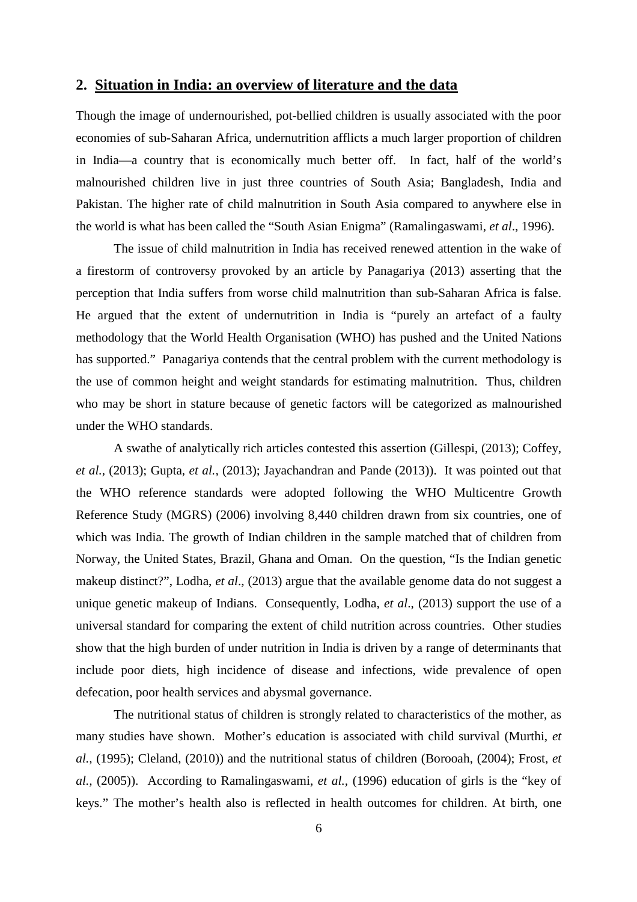## **2. Situation in India: an overview of literature and the data**

Though the image of undernourished, pot-bellied children is usually associated with the poor economies of sub-Saharan Africa, undernutrition afflicts a much larger proportion of children in India—a country that is economically much better off. In fact, half of the world's malnourished children live in just three countries of South Asia; Bangladesh, India and Pakistan. The higher rate of child malnutrition in South Asia compared to anywhere else in the world is what has been called the "South Asian Enigma" (Ramalingaswami, *et al*., 1996).

The issue of child malnutrition in India has received renewed attention in the wake of a firestorm of controversy provoked by an article by Panagariya (2013) asserting that the perception that India suffers from worse child malnutrition than sub-Saharan Africa is false. He argued that the extent of undernutrition in India is "purely an artefact of a faulty methodology that the World Health Organisation (WHO) has pushed and the United Nations has supported." Panagariya contends that the central problem with the current methodology is the use of common height and weight standards for estimating malnutrition. Thus, children who may be short in stature because of genetic factors will be categorized as malnourished under the WHO standards.

A swathe of analytically rich articles contested this assertion (Gillespi, (2013); Coffey, *et al.,* (2013); Gupta, *et al.,* (2013); Jayachandran and Pande (2013)). It was pointed out that the WHO reference standards were adopted following the WHO Multicentre Growth Reference Study (MGRS) (2006) involving 8,440 children drawn from six countries, one of which was India. The growth of Indian children in the sample matched that of children from Norway, the United States, Brazil, Ghana and Oman. On the question, "Is the Indian genetic makeup distinct?", Lodha, *et al*., (2013) argue that the available genome data do not suggest a unique genetic makeup of Indians. Consequently, Lodha, *et al*., (2013) support the use of a universal standard for comparing the extent of child nutrition across countries. Other studies show that the high burden of under nutrition in India is driven by a range of determinants that include poor diets, high incidence of disease and infections, wide prevalence of open defecation, poor health services and abysmal governance.

The nutritional status of children is strongly related to characteristics of the mother, as many studies have shown. Mother's education is associated with child survival (Murthi, *et al.,* (1995); Cleland, (2010)) and the nutritional status of children (Borooah, (2004); Frost, *et al.,* (2005)). According to Ramalingaswami, *et al.,* (1996) education of girls is the "key of keys." The mother's health also is reflected in health outcomes for children. At birth, one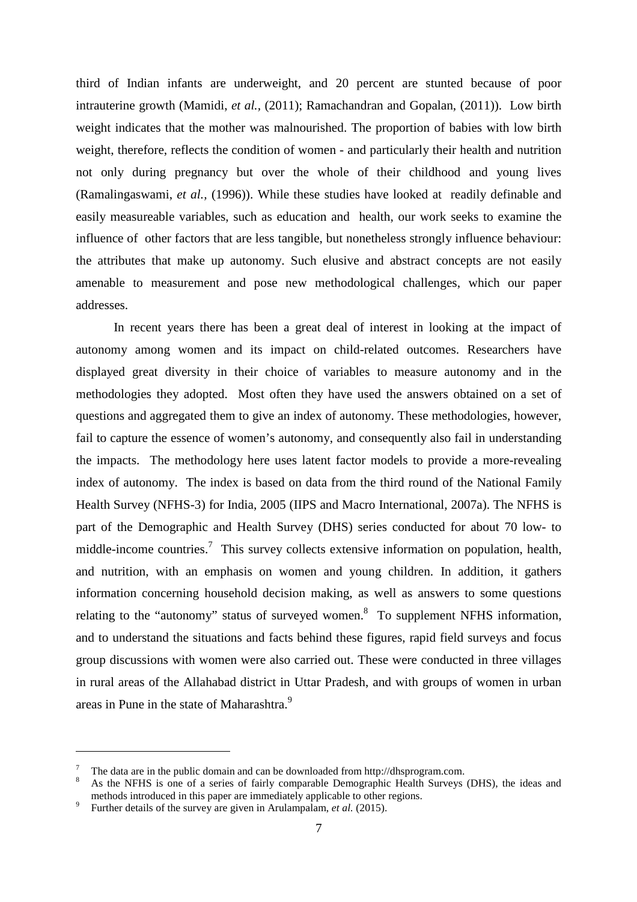third of Indian infants are underweight, and 20 percent are stunted because of poor intrauterine growth (Mamidi, *et al.,* (2011); Ramachandran and Gopalan, (2011)). Low birth weight indicates that the mother was malnourished. The proportion of babies with low birth weight, therefore, reflects the condition of women - and particularly their health and nutrition not only during pregnancy but over the whole of their childhood and young lives (Ramalingaswami, *et al.,* (1996)). While these studies have looked at readily definable and easily measureable variables, such as education and health, our work seeks to examine the influence of other factors that are less tangible, but nonetheless strongly influence behaviour: the attributes that make up autonomy. Such elusive and abstract concepts are not easily amenable to measurement and pose new methodological challenges, which our paper addresses.

In recent years there has been a great deal of interest in looking at the impact of autonomy among women and its impact on child-related outcomes. Researchers have displayed great diversity in their choice of variables to measure autonomy and in the methodologies they adopted. Most often they have used the answers obtained on a set of questions and aggregated them to give an index of autonomy. These methodologies, however, fail to capture the essence of women's autonomy, and consequently also fail in understanding the impacts. The methodology here uses latent factor models to provide a more-revealing index of autonomy. The index is based on data from the third round of the National Family Health Survey (NFHS-3) for India, 2005 (IIPS and Macro International, 2007a). The NFHS is part of the Demographic and Health Survey (DHS) series conducted for about 70 low- to middle-income countries.<sup>7</sup> This survey collects extensive information on population, health, and nutrition, with an emphasis on women and young children. In addition, it gathers information concerning household decision making, as well as answers to some questions relating to the "autonomy" status of surveyed women.<sup>8</sup> To supplement NFHS information, and to understand the situations and facts behind these figures, rapid field surveys and focus group discussions with women were also carried out. These were conducted in three villages in rural areas of the Allahabad district in Uttar Pradesh, and with groups of women in urban areas in Pune in the state of Maharashtra.<sup>9</sup>

 $\frac{7}{8}$  The data are in the public domain and can be downloaded from http://dhsprogram.com.<br> $\frac{8}{8}$  As the NEWS is one of a series of fairly compareble Domographic Hoelth Surveys

<sup>8</sup> As the NFHS is one of a series of fairly comparable Demographic Health Surveys (DHS), the ideas and methods introduced in this paper are immediately applicable to other regions.

<sup>9</sup> Further details of the survey are given in Arulampalam, *et al.* (2015).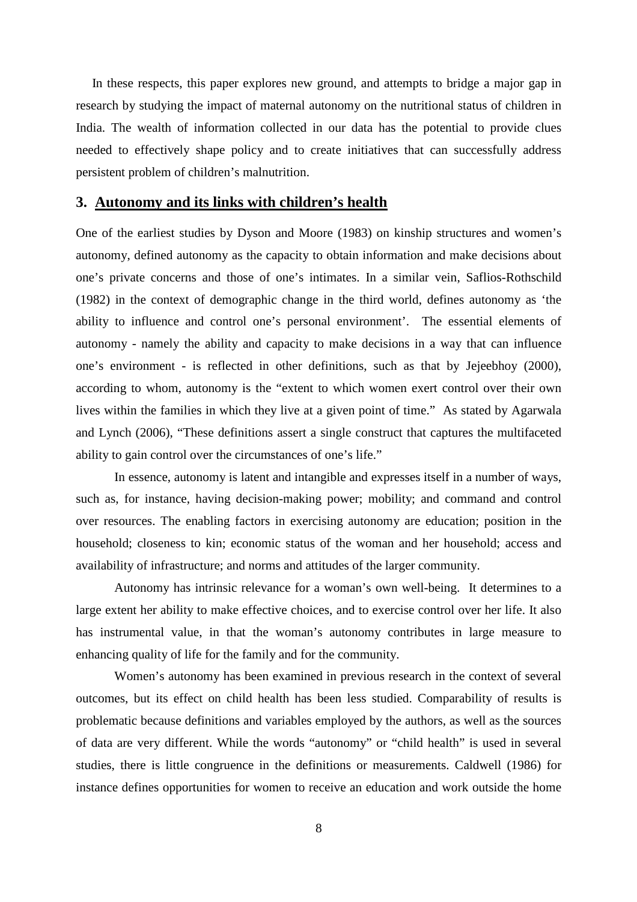In these respects, this paper explores new ground, and attempts to bridge a major gap in research by studying the impact of maternal autonomy on the nutritional status of children in India. The wealth of information collected in our data has the potential to provide clues needed to effectively shape policy and to create initiatives that can successfully address persistent problem of children's malnutrition.

### **3. Autonomy and its links with children's health**

One of the earliest studies by Dyson and Moore (1983) on kinship structures and women's autonomy, defined autonomy as the capacity to obtain information and make decisions about one's private concerns and those of one's intimates. In a similar vein, Saflios-Rothschild (1982) in the context of demographic change in the third world, defines autonomy as 'the ability to influence and control one's personal environment'. The essential elements of autonomy - namely the ability and capacity to make decisions in a way that can influence one's environment - is reflected in other definitions, such as that by Jejeebhoy (2000), according to whom, autonomy is the "extent to which women exert control over their own lives within the families in which they live at a given point of time." As stated by Agarwala and Lynch (2006), "These definitions assert a single construct that captures the multifaceted ability to gain control over the circumstances of one's life."

In essence, autonomy is latent and intangible and expresses itself in a number of ways, such as, for instance, having decision-making power; mobility; and command and control over resources. The enabling factors in exercising autonomy are education; position in the household; closeness to kin; economic status of the woman and her household; access and availability of infrastructure; and norms and attitudes of the larger community.

Autonomy has intrinsic relevance for a woman's own well-being. It determines to a large extent her ability to make effective choices, and to exercise control over her life. It also has instrumental value, in that the woman's autonomy contributes in large measure to enhancing quality of life for the family and for the community.

Women's autonomy has been examined in previous research in the context of several outcomes, but its effect on child health has been less studied. Comparability of results is problematic because definitions and variables employed by the authors, as well as the sources of data are very different. While the words "autonomy" or "child health" is used in several studies, there is little congruence in the definitions or measurements. Caldwell (1986) for instance defines opportunities for women to receive an education and work outside the home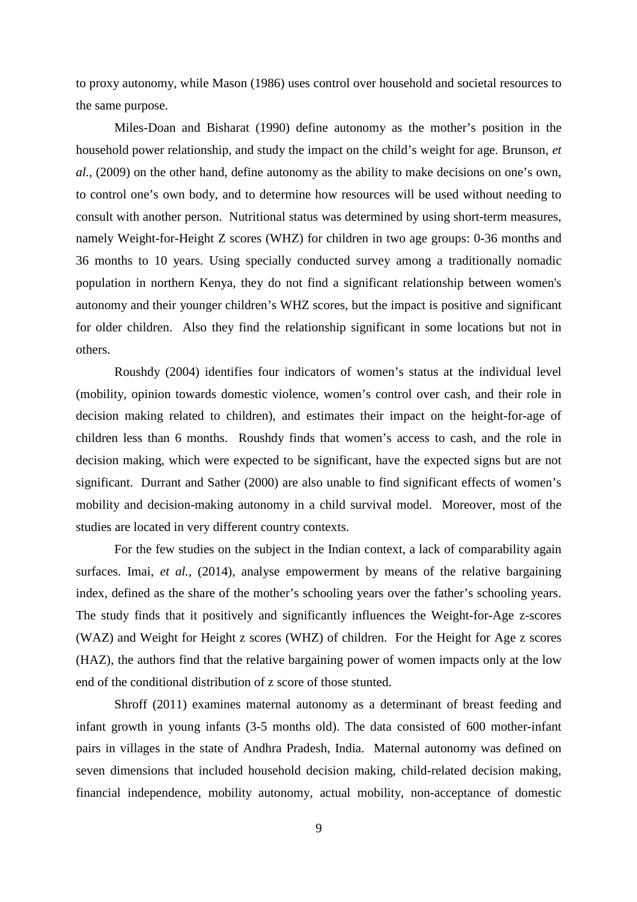to proxy autonomy, while Mason (1986) uses control over household and societal resources to the same purpose.

Miles-Doan and Bisharat (1990) define autonomy as the mother's position in the household power relationship, and study the impact on the child's weight for age. Brunson, *et al.,* (2009) on the other hand, define autonomy as the ability to make decisions on one's own, to control one's own body, and to determine how resources will be used without needing to consult with another person. Nutritional status was determined by using short-term measures, namely Weight-for-Height Z scores (WHZ) for children in two age groups: 0-36 months and 36 months to 10 years. Using specially conducted survey among a traditionally nomadic population in northern Kenya, they do not find a significant relationship between women's autonomy and their younger children's WHZ scores, but the impact is positive and significant for older children. Also they find the relationship significant in some locations but not in others.

Roushdy (2004) identifies four indicators of women's status at the individual level (mobility, opinion towards domestic violence, women's control over cash, and their role in decision making related to children), and estimates their impact on the height-for-age of children less than 6 months. Roushdy finds that women's access to cash, and the role in decision making, which were expected to be significant, have the expected signs but are not significant. Durrant and Sather (2000) are also unable to find significant effects of women's mobility and decision-making autonomy in a child survival model. Moreover, most of the studies are located in very different country contexts.

For the few studies on the subject in the Indian context, a lack of comparability again surfaces. Imai, *et al.,* (2014), analyse empowerment by means of the relative bargaining index, defined as the share of the mother's schooling years over the father's schooling years. The study finds that it positively and significantly influences the Weight-for-Age z-scores (WAZ) and Weight for Height z scores (WHZ) of children. For the Height for Age z scores (HAZ), the authors find that the relative bargaining power of women impacts only at the low end of the conditional distribution of z score of those stunted.

Shroff (2011) examines maternal autonomy as a determinant of breast feeding and infant growth in young infants (3-5 months old). The data consisted of 600 mother-infant pairs in villages in the state of Andhra Pradesh, India. Maternal autonomy was defined on seven dimensions that included household decision making, child-related decision making, financial independence, mobility autonomy, actual mobility, non-acceptance of domestic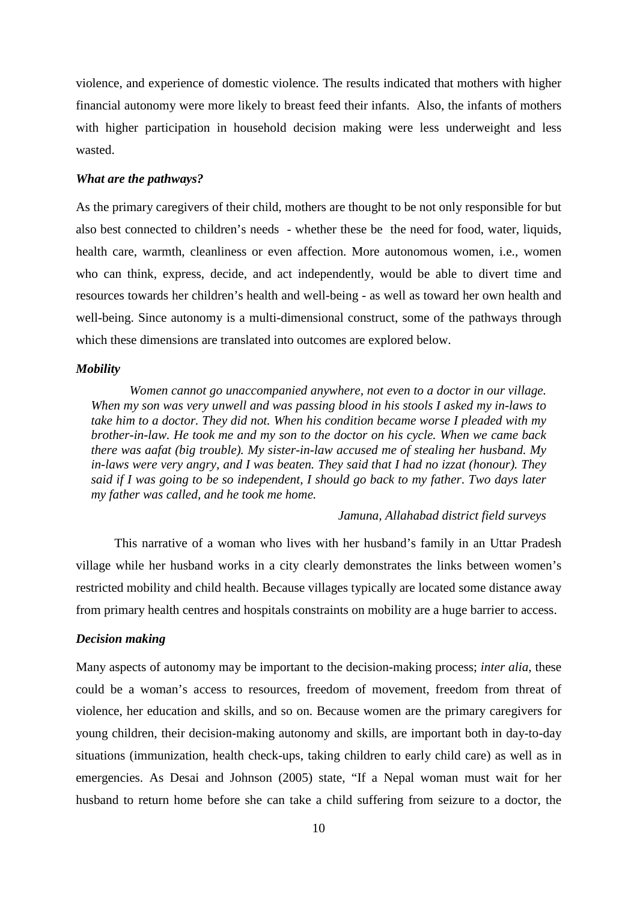violence, and experience of domestic violence. The results indicated that mothers with higher financial autonomy were more likely to breast feed their infants. Also, the infants of mothers with higher participation in household decision making were less underweight and less wasted.

#### *What are the pathways?*

As the primary caregivers of their child, mothers are thought to be not only responsible for but also best connected to children's needs - whether these be the need for food, water, liquids, health care, warmth, cleanliness or even affection. More autonomous women, i.e., women who can think, express, decide, and act independently, would be able to divert time and resources towards her children's health and well-being - as well as toward her own health and well-being. Since autonomy is a multi-dimensional construct, some of the pathways through which these dimensions are translated into outcomes are explored below.

#### *Mobility*

*Women cannot go unaccompanied anywhere, not even to a doctor in our village. When my son was very unwell and was passing blood in his stools I asked my in-laws to take him to a doctor. They did not. When his condition became worse I pleaded with my brother-in-law. He took me and my son to the doctor on his cycle. When we came back there was aafat (big trouble). My sister-in-law accused me of stealing her husband. My in-laws were very angry, and I was beaten. They said that I had no izzat (honour). They said if I was going to be so independent, I should go back to my father*. *Two days later my father was called, and he took me home.*

#### *Jamuna, Allahabad district field surveys*

This narrative of a woman who lives with her husband's family in an Uttar Pradesh village while her husband works in a city clearly demonstrates the links between women's restricted mobility and child health. Because villages typically are located some distance away from primary health centres and hospitals constraints on mobility are a huge barrier to access.

### *Decision making*

Many aspects of autonomy may be important to the decision-making process; *inter alia*, these could be a woman's access to resources, freedom of movement, freedom from threat of violence, her education and skills, and so on. Because women are the primary caregivers for young children, their decision-making autonomy and skills, are important both in day-to-day situations (immunization, health check-ups, taking children to early child care) as well as in emergencies. As Desai and Johnson (2005) state, "If a Nepal woman must wait for her husband to return home before she can take a child suffering from seizure to a doctor, the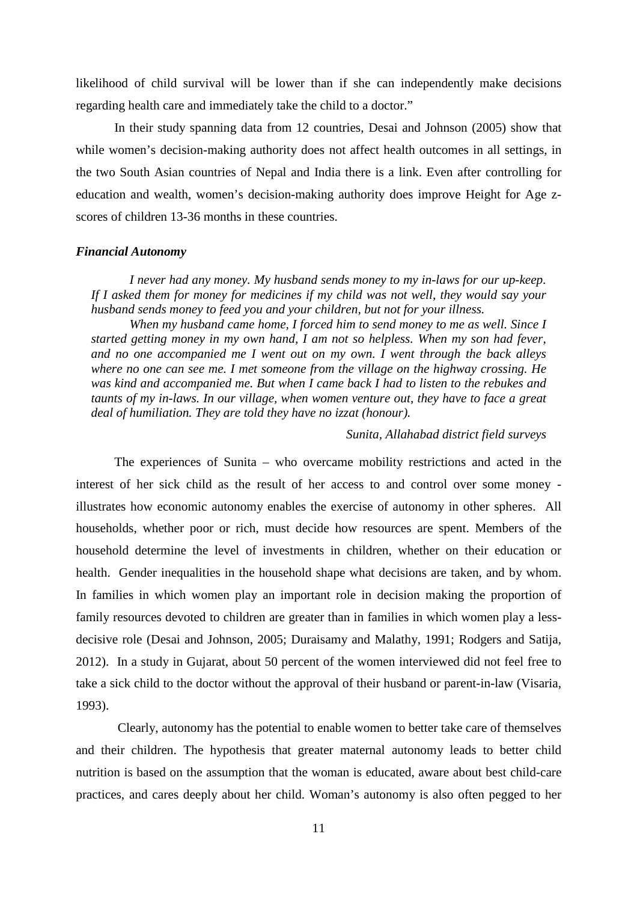likelihood of child survival will be lower than if she can independently make decisions regarding health care and immediately take the child to a doctor."

In their study spanning data from 12 countries, Desai and Johnson (2005) show that while women's decision-making authority does not affect health outcomes in all settings, in the two South Asian countries of Nepal and India there is a link. Even after controlling for education and wealth, women's decision-making authority does improve Height for Age zscores of children 13-36 months in these countries.

#### *Financial Autonomy*

*I never had any money. My husband sends money to my in-laws for our up-keep. If I asked them for money for medicines if my child was not well, they would say your husband sends money to feed you and your children, but not for your illness.*

*When my husband came home, I forced him to send money to me as well. Since I started getting money in my own hand, I am not so helpless. When my son had fever, and no one accompanied me I went out on my own. I went through the back alleys where no one can see me. I met someone from the village on the highway crossing. He was kind and accompanied me. But when I came back I had to listen to the rebukes and taunts of my in-laws. In our village, when women venture out, they have to face a great deal of humiliation. They are told they have no izzat (honour).*

*Sunita, Allahabad district field surveys*

The experiences of Sunita – who overcame mobility restrictions and acted in the interest of her sick child as the result of her access to and control over some money illustrates how economic autonomy enables the exercise of autonomy in other spheres. All households, whether poor or rich, must decide how resources are spent. Members of the household determine the level of investments in children, whether on their education or health. Gender inequalities in the household shape what decisions are taken, and by whom. In families in which women play an important role in decision making the proportion of family resources devoted to children are greater than in families in which women play a lessdecisive role (Desai and Johnson, 2005; Duraisamy and Malathy, 1991; Rodgers and Satija, 2012). In a study in Gujarat, about 50 percent of the women interviewed did not feel free to take a sick child to the doctor without the approval of their husband or parent-in-law (Visaria, 1993).

Clearly, autonomy has the potential to enable women to better take care of themselves and their children. The hypothesis that greater maternal autonomy leads to better child nutrition is based on the assumption that the woman is educated, aware about best child-care practices, and cares deeply about her child. Woman's autonomy is also often pegged to her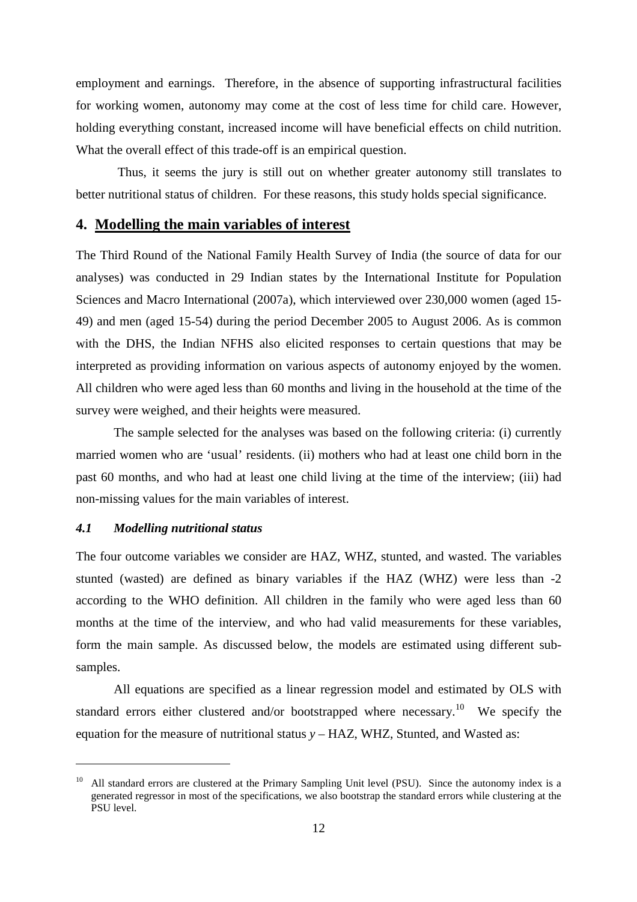employment and earnings. Therefore, in the absence of supporting infrastructural facilities for working women, autonomy may come at the cost of less time for child care. However, holding everything constant, increased income will have beneficial effects on child nutrition. What the overall effect of this trade-off is an empirical question.

Thus, it seems the jury is still out on whether greater autonomy still translates to better nutritional status of children. For these reasons, this study holds special significance.

## **4. Modelling the main variables of interest**

The Third Round of the National Family Health Survey of India (the source of data for our analyses) was conducted in 29 Indian states by the International Institute for Population Sciences and Macro International (2007a), which interviewed over 230,000 women (aged 15- 49) and men (aged 15-54) during the period December 2005 to August 2006. As is common with the DHS, the Indian NFHS also elicited responses to certain questions that may be interpreted as providing information on various aspects of autonomy enjoyed by the women. All children who were aged less than 60 months and living in the household at the time of the survey were weighed, and their heights were measured.

The sample selected for the analyses was based on the following criteria: (i) currently married women who are 'usual' residents. (ii) mothers who had at least one child born in the past 60 months, and who had at least one child living at the time of the interview; (iii) had non-missing values for the main variables of interest.

#### *4.1 Modelling nutritional status*

The four outcome variables we consider are HAZ, WHZ, stunted, and wasted. The variables stunted (wasted) are defined as binary variables if the HAZ (WHZ) were less than -2 according to the WHO definition. All children in the family who were aged less than 60 months at the time of the interview, and who had valid measurements for these variables, form the main sample. As discussed below, the models are estimated using different subsamples.

All equations are specified as a linear regression model and estimated by OLS with standard errors either clustered and/or bootstrapped where necessary.<sup>10</sup> We specify the equation for the measure of nutritional status *y* – HAZ, WHZ, Stunted, and Wasted as:

<sup>&</sup>lt;sup>10</sup> All standard errors are clustered at the Primary Sampling Unit level (PSU). Since the autonomy index is a generated regressor in most of the specifications, we also bootstrap the standard errors while clustering at the PSU level.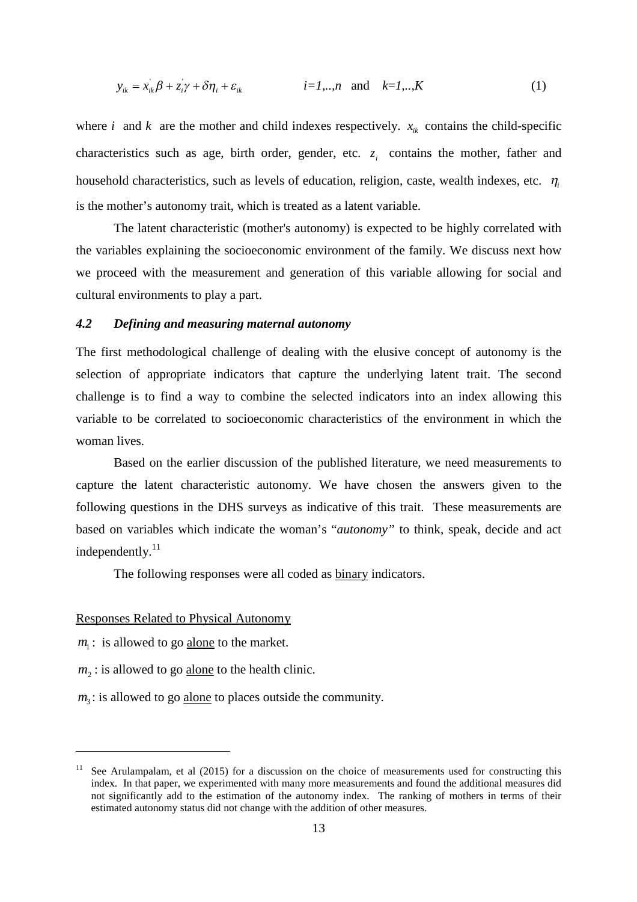$$
y_{ik} = x_{ik}\beta + z_i\gamma + \delta\eta_i + \varepsilon_{ik} \qquad i = 1,...,n \text{ and } k = 1,...,K
$$
 (1)

where *i* and *k* are the mother and child indexes respectively.  $x_{ik}$  contains the child-specific characteristics such as age, birth order, gender, etc.  $z_i$  contains the mother, father and household characteristics, such as levels of education, religion, caste, wealth indexes, etc.  $\eta_i$ is the mother's autonomy trait, which is treated as a latent variable.

The latent characteristic (mother's autonomy) is expected to be highly correlated with the variables explaining the socioeconomic environment of the family. We discuss next how we proceed with the measurement and generation of this variable allowing for social and cultural environments to play a part.

### *4.2 Defining and measuring maternal autonomy*

The first methodological challenge of dealing with the elusive concept of autonomy is the selection of appropriate indicators that capture the underlying latent trait. The second challenge is to find a way to combine the selected indicators into an index allowing this variable to be correlated to socioeconomic characteristics of the environment in which the woman lives.

Based on the earlier discussion of the published literature, we need measurements to capture the latent characteristic autonomy. We have chosen the answers given to the following questions in the DHS surveys as indicative of this trait. These measurements are based on variables which indicate the woman's "*autonomy"* to think, speak, decide and act independently. $^{11}$ 

The following responses were all coded as binary indicators.

#### Responses Related to Physical Autonomy

*m*<sub>1</sub>: is allowed to go **alone** to the market.

 $m<sub>2</sub>$ : is allowed to go <u>alone</u> to the health clinic.

 $m<sub>3</sub>$ : is allowed to go alone to places outside the community.

<sup>&</sup>lt;sup>11</sup> See Arulampalam, et al (2015) for a discussion on the choice of measurements used for constructing this index. In that paper, we experimented with many more measurements and found the additional measures did not significantly add to the estimation of the autonomy index. The ranking of mothers in terms of their estimated autonomy status did not change with the addition of other measures.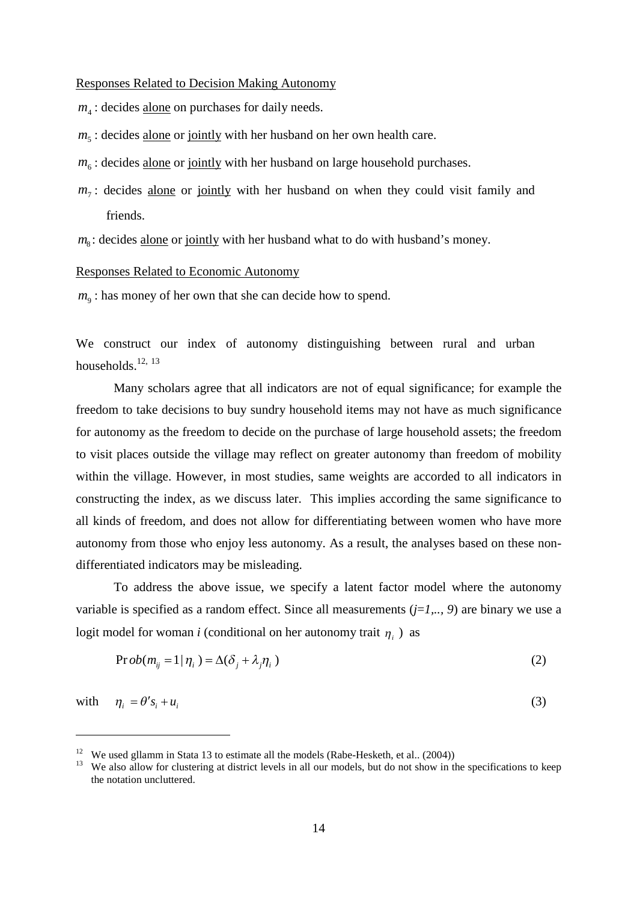Responses Related to Decision Making Autonomy

 $m<sub>4</sub>$ : decides alone on purchases for daily needs.

- $m<sub>5</sub>$ : decides <u>alone</u> or jointly with her husband on her own health care.
- $m_6$ : decides alone or jointly with her husband on large household purchases.
- $m_7$ : decides alone or jointly with her husband on when they could visit family and friends.
- *m*<sub>8</sub>: decides alone or jointly with her husband what to do with husband's money.

#### Responses Related to Economic Autonomy

 $m<sub>9</sub>$ : has money of her own that she can decide how to spend.

We construct our index of autonomy distinguishing between rural and urban households.<sup>12, 13</sup>

Many scholars agree that all indicators are not of equal significance; for example the freedom to take decisions to buy sundry household items may not have as much significance for autonomy as the freedom to decide on the purchase of large household assets; the freedom to visit places outside the village may reflect on greater autonomy than freedom of mobility within the village. However, in most studies, same weights are accorded to all indicators in constructing the index, as we discuss later. This implies according the same significance to all kinds of freedom, and does not allow for differentiating between women who have more autonomy from those who enjoy less autonomy. As a result, the analyses based on these nondifferentiated indicators may be misleading.

To address the above issue, we specify a latent factor model where the autonomy variable is specified as a random effect. Since all measurements (*j*=*1,.., 9*) are binary we use a logit model for woman *i* (conditional on her autonomy trait  $\eta_i$ ) as

$$
\Pr{ob(m_{ij} = 1 | \eta_i) = \Delta(\delta_j + \lambda_j \eta_i)}
$$
\n(2)

with  $\eta_i = \theta' s_i + u_i$  (3)

<sup>&</sup>lt;sup>12</sup> We used gllamm in Stata 13 to estimate all the models (Rabe-Hesketh, et al.. (2004))

<sup>&</sup>lt;sup>13</sup> We also allow for clustering at district levels in all our models, but do not show in the specifications to keep the notation uncluttered.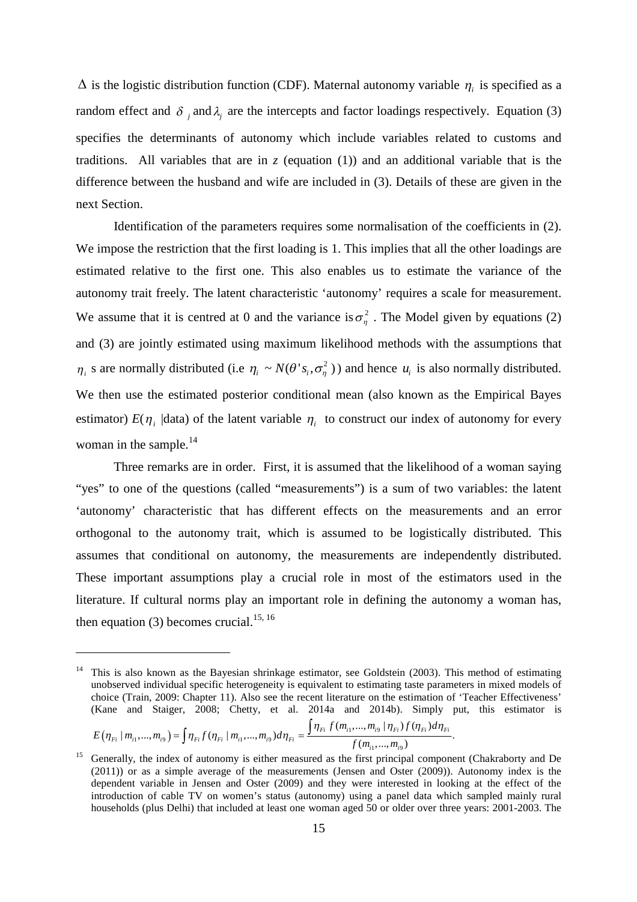$\Delta$  is the logistic distribution function (CDF). Maternal autonomy variable  $\eta_i$  is specified as a random effect and  $\delta_j$  and  $\lambda_j$  are the intercepts and factor loadings respectively. Equation (3) specifies the determinants of autonomy which include variables related to customs and traditions. All variables that are in  $\zeta$  (equation (1)) and an additional variable that is the difference between the husband and wife are included in (3). Details of these are given in the next Section.

Identification of the parameters requires some normalisation of the coefficients in (2). We impose the restriction that the first loading is 1. This implies that all the other loadings are estimated relative to the first one. This also enables us to estimate the variance of the autonomy trait freely. The latent characteristic 'autonomy' requires a scale for measurement. We assume that it is centred at 0 and the variance is  $\sigma_n^2$ . The Model given by equations (2) and (3) are jointly estimated using maximum likelihood methods with the assumptions that  $\eta_i$  s are normally distributed (i.e  $\eta_i \sim N(\theta' s_i, \sigma_\eta^2)$ ) and hence  $u_i$  is also normally distributed. We then use the estimated posterior conditional mean (also known as the Empirical Bayes estimator)  $E(\eta_i \text{ [data] of the latent variable } \eta_i \text{ to construct our index of automomy for every } i$ woman in the sample.<sup>14</sup>

Three remarks are in order. First, it is assumed that the likelihood of a woman saying "yes" to one of the questions (called "measurements") is a sum of two variables: the latent 'autonomy' characteristic that has different effects on the measurements and an error orthogonal to the autonomy trait, which is assumed to be logistically distributed. This assumes that conditional on autonomy, the measurements are independently distributed. These important assumptions play a crucial role in most of the estimators used in the literature. If cultural norms play an important role in defining the autonomy a woman has, then equation (3) becomes crucial.<sup>15, 16</sup>

$$
E(\eta_{Fi} | m_{i1},...,m_{i9}) = \int \eta_{Fi} f(\eta_{Fi} | m_{i1},...,m_{i9}) d\eta_{Fi} = \frac{\int \eta_{Fi} f(m_{i1},...,m_{i9} | \eta_{Fi}) f(\eta_{Fi}) d\eta_{Fi}}{f(m_{i1},...,m_{i9})}.
$$

<sup>14</sup> This is also known as the Bayesian shrinkage estimator, see Goldstein (2003). This method of estimating unobserved individual specific heterogeneity is equivalent to estimating taste parameters in mixed models of choice (Train, 2009: Chapter 11). Also see the recent literature on the estimation of 'Teacher Effectiveness' (Kane and Staiger, 2008; Chetty, et al. 2014a and 2014b). Simply put, this estimator is

<sup>&</sup>lt;sup>15</sup> Generally, the index of autonomy is either measured as the first principal component (Chakraborty and De (2011)) or as a simple average of the measurements (Jensen and Oster (2009)). Autonomy index is the dependent variable in Jensen and Oster (2009) and they were interested in looking at the effect of the introduction of cable TV on women's status (autonomy) using a panel data which sampled mainly rural households (plus Delhi) that included at least one woman aged 50 or older over three years: 2001-2003. The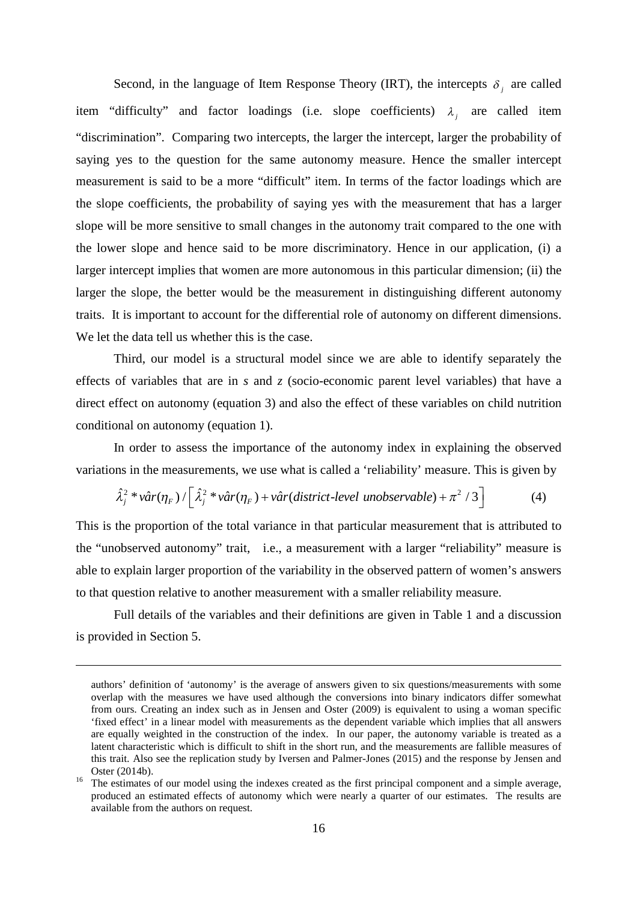Second, in the language of Item Response Theory (IRT), the intercepts  $\delta_j$  are called item "difficulty" and factor loadings (i.e. slope coefficients)  $\lambda_j$  are called item "discrimination". Comparing two intercepts, the larger the intercept, larger the probability of saying yes to the question for the same autonomy measure. Hence the smaller intercept measurement is said to be a more "difficult" item. In terms of the factor loadings which are the slope coefficients, the probability of saying yes with the measurement that has a larger slope will be more sensitive to small changes in the autonomy trait compared to the one with the lower slope and hence said to be more discriminatory. Hence in our application, (i) a larger intercept implies that women are more autonomous in this particular dimension; (ii) the larger the slope, the better would be the measurement in distinguishing different autonomy traits. It is important to account for the differential role of autonomy on different dimensions. We let the data tell us whether this is the case.

Third, our model is a structural model since we are able to identify separately the effects of variables that are in *s* and *z* (socio-economic parent level variables) that have a direct effect on autonomy (equation 3) and also the effect of these variables on child nutrition conditional on autonomy (equation 1).

In order to assess the importance of the autonomy index in explaining the observed variations in the measurements, we use what is called a 'reliability' measure. This is given by

$$
\hat{\lambda}_j^2 * v \hat{a} r(\eta_F) / \left[ \hat{\lambda}_j^2 * v \hat{a} r(\eta_F) + v \hat{a} r(district-level\ unobservable) + \pi^2 / 3 \right]
$$
 (4)

This is the proportion of the total variance in that particular measurement that is attributed to the "unobserved autonomy" trait, i.e., a measurement with a larger "reliability" measure is able to explain larger proportion of the variability in the observed pattern of women's answers to that question relative to another measurement with a smaller reliability measure.

Full details of the variables and their definitions are given in Table 1 and a discussion is provided in Section 5.

authors' definition of 'autonomy' is the average of answers given to six questions/measurements with some overlap with the measures we have used although the conversions into binary indicators differ somewhat from ours. Creating an index such as in Jensen and Oster (2009) is equivalent to using a woman specific 'fixed effect' in a linear model with measurements as the dependent variable which implies that all answers are equally weighted in the construction of the index. In our paper, the autonomy variable is treated as a latent characteristic which is difficult to shift in the short run, and the measurements are fallible measures of this trait. Also see the replication study by Iversen and Palmer-Jones (2015) and the response by Jensen and Oster (2014b).

<sup>&</sup>lt;sup>16</sup> The estimates of our model using the indexes created as the first principal component and a simple average, produced an estimated effects of autonomy which were nearly a quarter of our estimates. The results are available from the authors on request.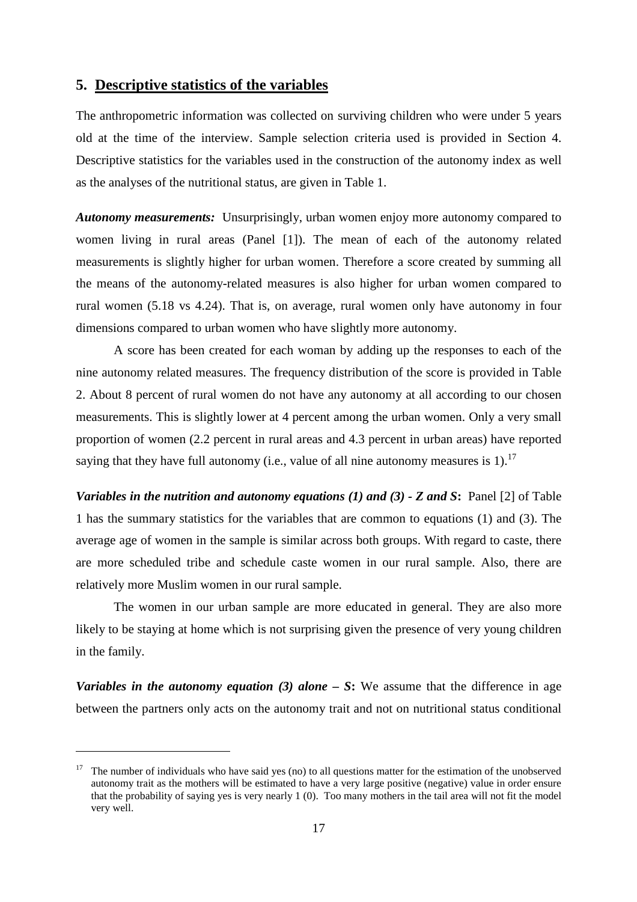## **5. Descriptive statistics of the variables**

The anthropometric information was collected on surviving children who were under 5 years old at the time of the interview. Sample selection criteria used is provided in Section 4. Descriptive statistics for the variables used in the construction of the autonomy index as well as the analyses of the nutritional status, are given in Table 1.

*Autonomy measurements:* Unsurprisingly, urban women enjoy more autonomy compared to women living in rural areas (Panel [1]). The mean of each of the autonomy related measurements is slightly higher for urban women. Therefore a score created by summing all the means of the autonomy-related measures is also higher for urban women compared to rural women (5.18 vs 4.24). That is, on average, rural women only have autonomy in four dimensions compared to urban women who have slightly more autonomy.

A score has been created for each woman by adding up the responses to each of the nine autonomy related measures. The frequency distribution of the score is provided in Table 2. About 8 percent of rural women do not have any autonomy at all according to our chosen measurements. This is slightly lower at 4 percent among the urban women. Only a very small proportion of women (2.2 percent in rural areas and 4.3 percent in urban areas) have reported saying that they have full autonomy (i.e., value of all nine autonomy measures is 1).<sup>17</sup>

*Variables in the nutrition and autonomy equations (1) and (3) - Z and S***:** Panel [2] of Table 1 has the summary statistics for the variables that are common to equations (1) and (3). The average age of women in the sample is similar across both groups. With regard to caste, there are more scheduled tribe and schedule caste women in our rural sample. Also, there are relatively more Muslim women in our rural sample.

The women in our urban sample are more educated in general. They are also more likely to be staying at home which is not surprising given the presence of very young children in the family.

*Variables in the autonomy equation (3) alone – S***:** We assume that the difference in age between the partners only acts on the autonomy trait and not on nutritional status conditional

<sup>&</sup>lt;sup>17</sup> The number of individuals who have said yes (no) to all questions matter for the estimation of the unobserved autonomy trait as the mothers will be estimated to have a very large positive (negative) value in order ensure that the probability of saying yes is very nearly 1 (0). Too many mothers in the tail area will not fit the model very well.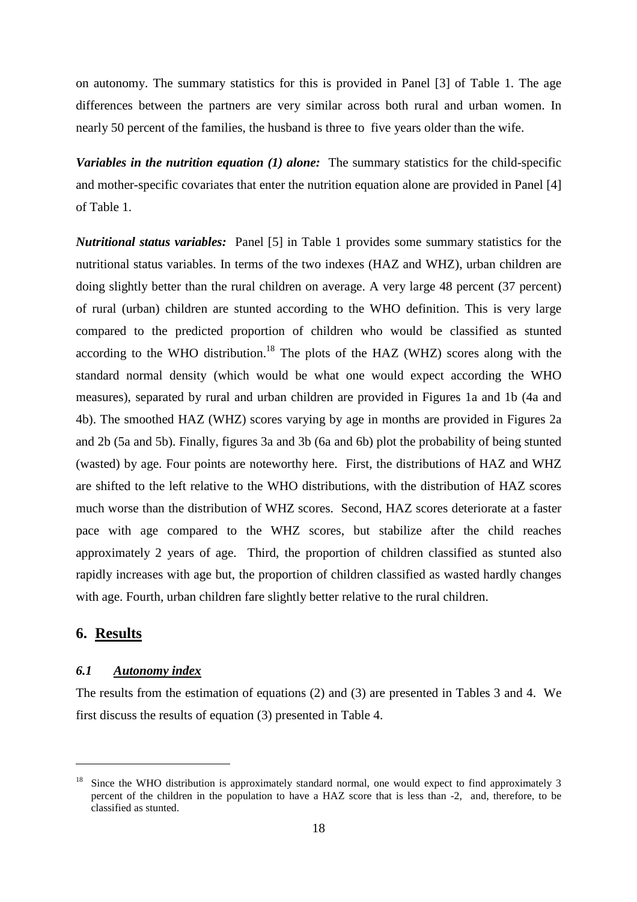on autonomy. The summary statistics for this is provided in Panel [3] of Table 1. The age differences between the partners are very similar across both rural and urban women. In nearly 50 percent of the families, the husband is three to five years older than the wife.

*Variables in the nutrition equation (1) alone:* The summary statistics for the child-specific and mother-specific covariates that enter the nutrition equation alone are provided in Panel [4] of Table 1.

*Nutritional status variables:* Panel [5] in Table 1 provides some summary statistics for the nutritional status variables. In terms of the two indexes (HAZ and WHZ), urban children are doing slightly better than the rural children on average. A very large 48 percent (37 percent) of rural (urban) children are stunted according to the WHO definition. This is very large compared to the predicted proportion of children who would be classified as stunted according to the WHO distribution.<sup>18</sup> The plots of the HAZ (WHZ) scores along with the standard normal density (which would be what one would expect according the WHO measures), separated by rural and urban children are provided in Figures 1a and 1b (4a and 4b). The smoothed HAZ (WHZ) scores varying by age in months are provided in Figures 2a and 2b (5a and 5b). Finally, figures 3a and 3b (6a and 6b) plot the probability of being stunted (wasted) by age. Four points are noteworthy here. First, the distributions of HAZ and WHZ are shifted to the left relative to the WHO distributions, with the distribution of HAZ scores much worse than the distribution of WHZ scores. Second, HAZ scores deteriorate at a faster pace with age compared to the WHZ scores, but stabilize after the child reaches approximately 2 years of age. Third, the proportion of children classified as stunted also rapidly increases with age but, the proportion of children classified as wasted hardly changes with age. Fourth, urban children fare slightly better relative to the rural children.

## **6. Results**

#### *6.1 Autonomy index*

The results from the estimation of equations (2) and (3) are presented in Tables 3 and 4. We first discuss the results of equation (3) presented in Table 4.

Since the WHO distribution is approximately standard normal, one would expect to find approximately 3 percent of the children in the population to have a HAZ score that is less than -2, and, therefore, to be classified as stunted.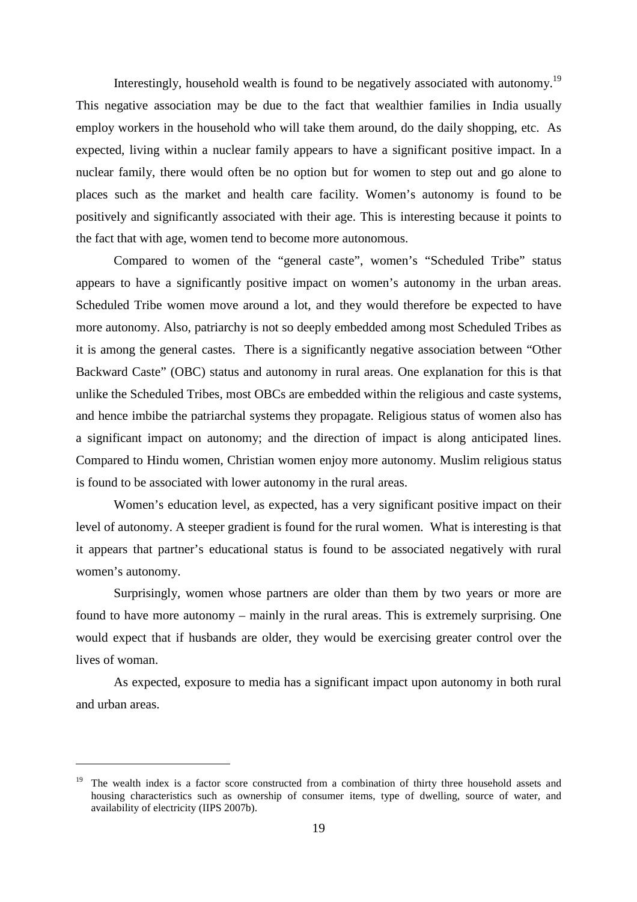Interestingly, household wealth is found to be negatively associated with autonomy.<sup>19</sup> This negative association may be due to the fact that wealthier families in India usually employ workers in the household who will take them around, do the daily shopping, etc. As expected, living within a nuclear family appears to have a significant positive impact. In a nuclear family, there would often be no option but for women to step out and go alone to places such as the market and health care facility. Women's autonomy is found to be positively and significantly associated with their age. This is interesting because it points to the fact that with age, women tend to become more autonomous.

Compared to women of the "general caste", women's "Scheduled Tribe" status appears to have a significantly positive impact on women's autonomy in the urban areas. Scheduled Tribe women move around a lot, and they would therefore be expected to have more autonomy. Also, patriarchy is not so deeply embedded among most Scheduled Tribes as it is among the general castes. There is a significantly negative association between "Other Backward Caste" (OBC) status and autonomy in rural areas. One explanation for this is that unlike the Scheduled Tribes, most OBCs are embedded within the religious and caste systems, and hence imbibe the patriarchal systems they propagate. Religious status of women also has a significant impact on autonomy; and the direction of impact is along anticipated lines. Compared to Hindu women, Christian women enjoy more autonomy. Muslim religious status is found to be associated with lower autonomy in the rural areas.

Women's education level, as expected, has a very significant positive impact on their level of autonomy. A steeper gradient is found for the rural women. What is interesting is that it appears that partner's educational status is found to be associated negatively with rural women's autonomy.

Surprisingly, women whose partners are older than them by two years or more are found to have more autonomy – mainly in the rural areas. This is extremely surprising. One would expect that if husbands are older, they would be exercising greater control over the lives of woman.

As expected, exposure to media has a significant impact upon autonomy in both rural and urban areas.

<sup>&</sup>lt;sup>19</sup> The wealth index is a factor score constructed from a combination of thirty three household assets and housing characteristics such as ownership of consumer items, type of dwelling, source of water, and availability of electricity (IIPS 2007b).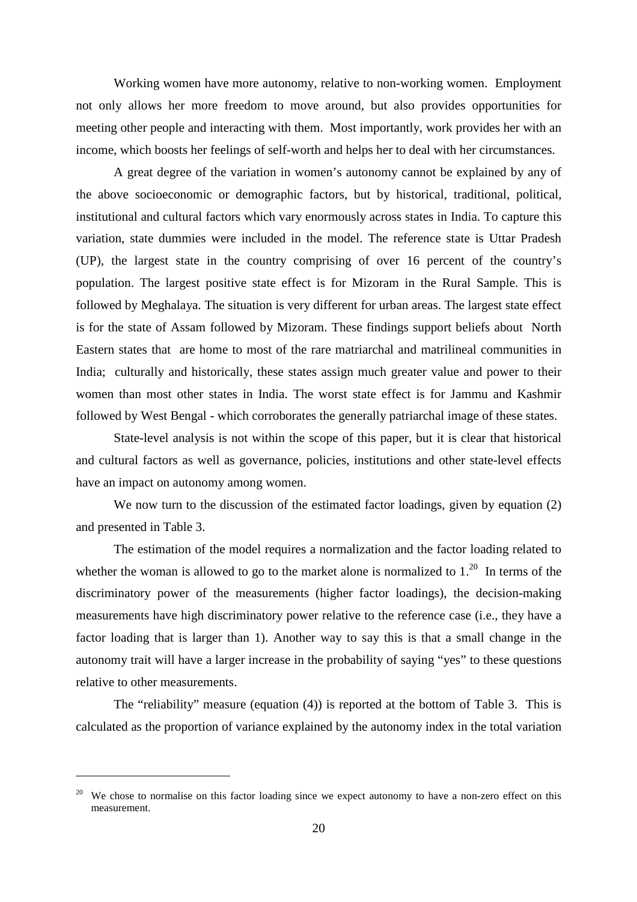Working women have more autonomy, relative to non-working women. Employment not only allows her more freedom to move around, but also provides opportunities for meeting other people and interacting with them. Most importantly, work provides her with an income, which boosts her feelings of self-worth and helps her to deal with her circumstances.

A great degree of the variation in women's autonomy cannot be explained by any of the above socioeconomic or demographic factors, but by historical, traditional, political, institutional and cultural factors which vary enormously across states in India. To capture this variation, state dummies were included in the model. The reference state is Uttar Pradesh (UP), the largest state in the country comprising of over 16 percent of the country's population. The largest positive state effect is for Mizoram in the Rural Sample. This is followed by Meghalaya. The situation is very different for urban areas. The largest state effect is for the state of Assam followed by Mizoram. These findings support beliefs about North Eastern states that are home to most of the rare matriarchal and matrilineal communities in India; culturally and historically, these states assign much greater value and power to their women than most other states in India. The worst state effect is for Jammu and Kashmir followed by West Bengal - which corroborates the generally patriarchal image of these states.

State-level analysis is not within the scope of this paper, but it is clear that historical and cultural factors as well as governance, policies, institutions and other state-level effects have an impact on autonomy among women.

We now turn to the discussion of the estimated factor loadings, given by equation (2) and presented in Table 3.

The estimation of the model requires a normalization and the factor loading related to whether the woman is allowed to go to the market alone is normalized to  $1<sup>20</sup>$ . In terms of the discriminatory power of the measurements (higher factor loadings), the decision-making measurements have high discriminatory power relative to the reference case (i.e., they have a factor loading that is larger than 1). Another way to say this is that a small change in the autonomy trait will have a larger increase in the probability of saying "yes" to these questions relative to other measurements.

The "reliability" measure (equation (4)) is reported at the bottom of Table 3. This is calculated as the proportion of variance explained by the autonomy index in the total variation

<sup>&</sup>lt;sup>20</sup> We chose to normalise on this factor loading since we expect autonomy to have a non-zero effect on this measurement.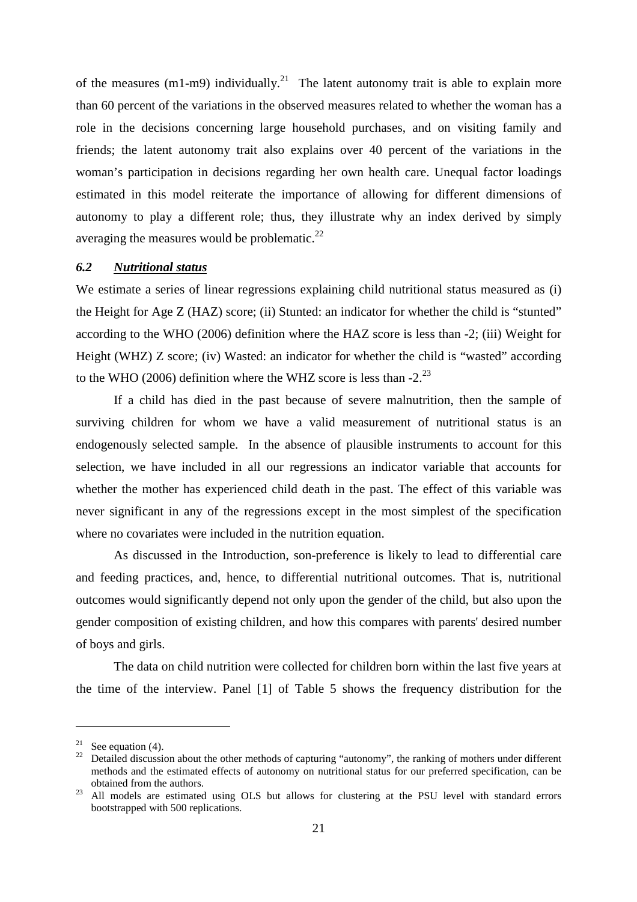of the measures (m1-m9) individually.<sup>21</sup> The latent autonomy trait is able to explain more than 60 percent of the variations in the observed measures related to whether the woman has a role in the decisions concerning large household purchases, and on visiting family and friends; the latent autonomy trait also explains over 40 percent of the variations in the woman's participation in decisions regarding her own health care. Unequal factor loadings estimated in this model reiterate the importance of allowing for different dimensions of autonomy to play a different role; thus, they illustrate why an index derived by simply averaging the measures would be problematic. $^{22}$ 

#### *6.2 Nutritional status*

We estimate a series of linear regressions explaining child nutritional status measured as (i) the Height for Age Z (HAZ) score; (ii) Stunted: an indicator for whether the child is "stunted" according to the WHO (2006) definition where the HAZ score is less than -2; (iii) Weight for Height (WHZ) Z score; (iv) Wasted: an indicator for whether the child is "wasted" according to the WHO (2006) definition where the WHZ score is less than  $-2$ .<sup>23</sup>

If a child has died in the past because of severe malnutrition, then the sample of surviving children for whom we have a valid measurement of nutritional status is an endogenously selected sample. In the absence of plausible instruments to account for this selection, we have included in all our regressions an indicator variable that accounts for whether the mother has experienced child death in the past. The effect of this variable was never significant in any of the regressions except in the most simplest of the specification where no covariates were included in the nutrition equation.

As discussed in the Introduction, son-preference is likely to lead to differential care and feeding practices, and, hence, to differential nutritional outcomes. That is, nutritional outcomes would significantly depend not only upon the gender of the child, but also upon the gender composition of existing children, and how this compares with parents' desired number of boys and girls.

The data on child nutrition were collected for children born within the last five years at the time of the interview. Panel [1] of Table 5 shows the frequency distribution for the

<sup>&</sup>lt;sup>21</sup> See equation (4).

 $22$  Detailed discussion about the other methods of capturing "autonomy", the ranking of mothers under different methods and the estimated effects of autonomy on nutritional status for our preferred specification, can be obtained from the authors.

<sup>&</sup>lt;sup>23</sup> All models are estimated using OLS but allows for clustering at the PSU level with standard errors bootstrapped with 500 replications.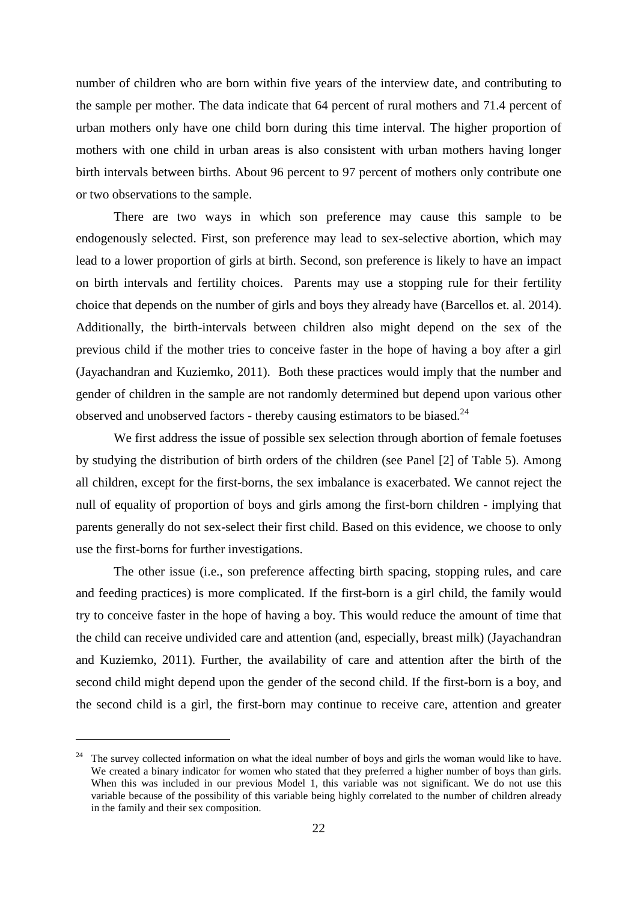number of children who are born within five years of the interview date, and contributing to the sample per mother. The data indicate that 64 percent of rural mothers and 71.4 percent of urban mothers only have one child born during this time interval. The higher proportion of mothers with one child in urban areas is also consistent with urban mothers having longer birth intervals between births. About 96 percent to 97 percent of mothers only contribute one or two observations to the sample.

There are two ways in which son preference may cause this sample to be endogenously selected. First, son preference may lead to sex-selective abortion, which may lead to a lower proportion of girls at birth. Second, son preference is likely to have an impact on birth intervals and fertility choices. Parents may use a stopping rule for their fertility choice that depends on the number of girls and boys they already have (Barcellos et. al. 2014). Additionally, the birth-intervals between children also might depend on the sex of the previous child if the mother tries to conceive faster in the hope of having a boy after a girl (Jayachandran and Kuziemko, 2011). Both these practices would imply that the number and gender of children in the sample are not randomly determined but depend upon various other observed and unobserved factors - thereby causing estimators to be biased.<sup>24</sup>

We first address the issue of possible sex selection through abortion of female foetuses by studying the distribution of birth orders of the children (see Panel [2] of Table 5). Among all children, except for the first-borns, the sex imbalance is exacerbated. We cannot reject the null of equality of proportion of boys and girls among the first-born children - implying that parents generally do not sex-select their first child. Based on this evidence, we choose to only use the first-borns for further investigations.

The other issue (i.e., son preference affecting birth spacing, stopping rules, and care and feeding practices) is more complicated. If the first-born is a girl child, the family would try to conceive faster in the hope of having a boy. This would reduce the amount of time that the child can receive undivided care and attention (and, especially, breast milk) (Jayachandran and Kuziemko, 2011). Further, the availability of care and attention after the birth of the second child might depend upon the gender of the second child. If the first-born is a boy, and the second child is a girl, the first-born may continue to receive care, attention and greater

<sup>&</sup>lt;sup>24</sup> The survey collected information on what the ideal number of boys and girls the woman would like to have. We created a binary indicator for women who stated that they preferred a higher number of boys than girls. When this was included in our previous Model 1, this variable was not significant. We do not use this variable because of the possibility of this variable being highly correlated to the number of children already in the family and their sex composition.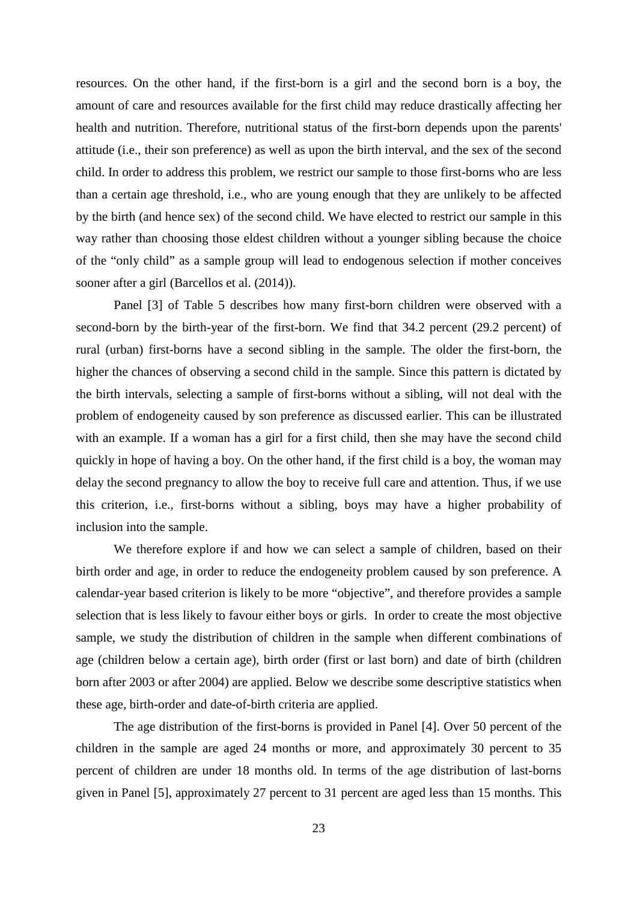resources. On the other hand, if the first-born is a girl and the second born is a boy, the amount of care and resources available for the first child may reduce drastically affecting her health and nutrition. Therefore, nutritional status of the first-born depends upon the parents' attitude (i.e., their son preference) as well as upon the birth interval, and the sex of the second child. In order to address this problem, we restrict our sample to those first-borns who are less than a certain age threshold, i.e., who are young enough that they are unlikely to be affected by the birth (and hence sex) of the second child. We have elected to restrict our sample in this way rather than choosing those eldest children without a younger sibling because the choice of the "only child" as a sample group will lead to endogenous selection if mother conceives sooner after a girl (Barcellos et al. (2014)).

Panel [3] of Table 5 describes how many first-born children were observed with a second-born by the birth-year of the first-born. We find that 34.2 percent (29.2 percent) of rural (urban) first-borns have a second sibling in the sample. The older the first-born, the higher the chances of observing a second child in the sample. Since this pattern is dictated by the birth intervals, selecting a sample of first-borns without a sibling, will not deal with the problem of endogeneity caused by son preference as discussed earlier. This can be illustrated with an example. If a woman has a girl for a first child, then she may have the second child quickly in hope of having a boy. On the other hand, if the first child is a boy, the woman may delay the second pregnancy to allow the boy to receive full care and attention. Thus, if we use this criterion, i.e., first-borns without a sibling, boys may have a higher probability of inclusion into the sample.

We therefore explore if and how we can select a sample of children, based on their birth order and age, in order to reduce the endogeneity problem caused by son preference. A calendar-year based criterion is likely to be more "objective", and therefore provides a sample selection that is less likely to favour either boys or girls. In order to create the most objective sample, we study the distribution of children in the sample when different combinations of age (children below a certain age), birth order (first or last born) and date of birth (children born after 2003 or after 2004) are applied. Below we describe some descriptive statistics when these age, birth-order and date-of-birth criteria are applied.

The age distribution of the first-borns is provided in Panel [4]. Over 50 percent of the children in the sample are aged 24 months or more, and approximately 30 percent to 35 percent of children are under 18 months old. In terms of the age distribution of last-borns given in Panel [5], approximately 27 percent to 31 percent are aged less than 15 months. This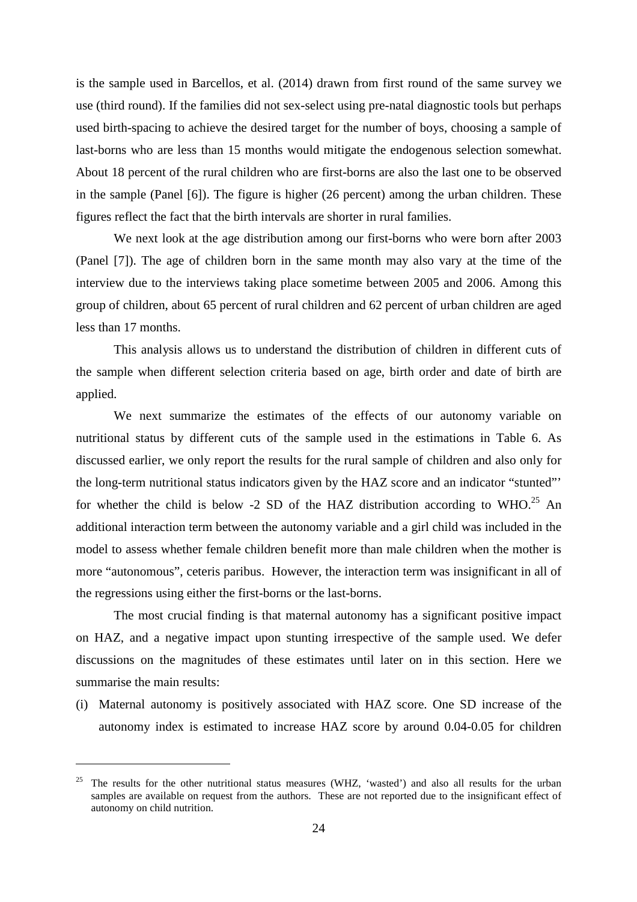is the sample used in Barcellos, et al. (2014) drawn from first round of the same survey we use (third round). If the families did not sex-select using pre-natal diagnostic tools but perhaps used birth-spacing to achieve the desired target for the number of boys, choosing a sample of last-borns who are less than 15 months would mitigate the endogenous selection somewhat. About 18 percent of the rural children who are first-borns are also the last one to be observed in the sample (Panel [6]). The figure is higher (26 percent) among the urban children. These figures reflect the fact that the birth intervals are shorter in rural families.

We next look at the age distribution among our first-borns who were born after 2003 (Panel [7]). The age of children born in the same month may also vary at the time of the interview due to the interviews taking place sometime between 2005 and 2006. Among this group of children, about 65 percent of rural children and 62 percent of urban children are aged less than 17 months.

This analysis allows us to understand the distribution of children in different cuts of the sample when different selection criteria based on age, birth order and date of birth are applied.

We next summarize the estimates of the effects of our autonomy variable on nutritional status by different cuts of the sample used in the estimations in Table 6. As discussed earlier, we only report the results for the rural sample of children and also only for the long-term nutritional status indicators given by the HAZ score and an indicator "stunted"' for whether the child is below -2 SD of the HAZ distribution according to WHO.<sup>25</sup> An additional interaction term between the autonomy variable and a girl child was included in the model to assess whether female children benefit more than male children when the mother is more "autonomous", ceteris paribus. However, the interaction term was insignificant in all of the regressions using either the first-borns or the last-borns.

The most crucial finding is that maternal autonomy has a significant positive impact on HAZ, and a negative impact upon stunting irrespective of the sample used. We defer discussions on the magnitudes of these estimates until later on in this section. Here we summarise the main results:

(i) Maternal autonomy is positively associated with HAZ score. One SD increase of the autonomy index is estimated to increase HAZ score by around 0.04-0.05 for children

<sup>&</sup>lt;sup>25</sup> The results for the other nutritional status measures (WHZ, 'wasted') and also all results for the urban samples are available on request from the authors. These are not reported due to the insignificant effect of autonomy on child nutrition.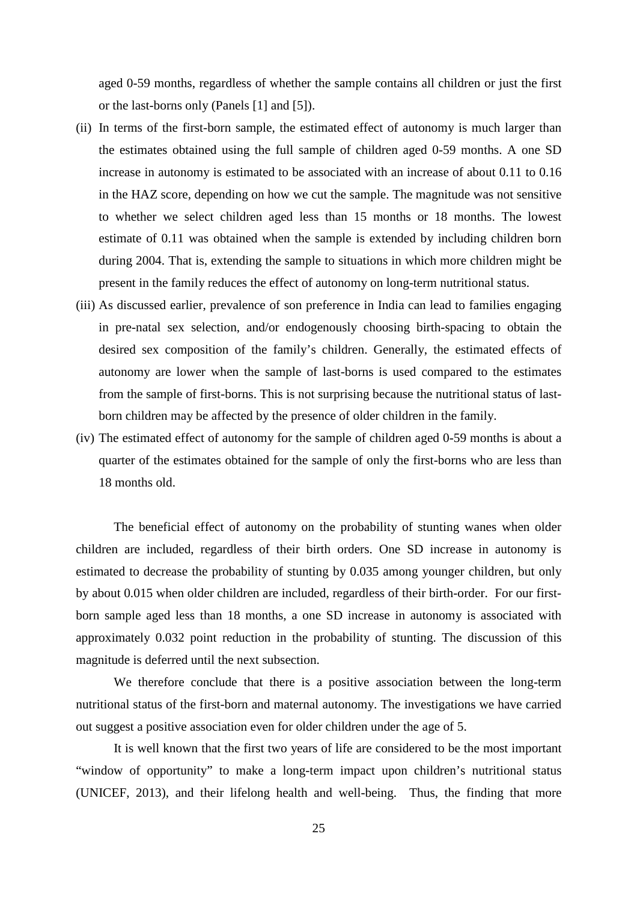aged 0-59 months, regardless of whether the sample contains all children or just the first or the last-borns only (Panels [1] and [5]).

- (ii) In terms of the first-born sample, the estimated effect of autonomy is much larger than the estimates obtained using the full sample of children aged 0-59 months. A one SD increase in autonomy is estimated to be associated with an increase of about 0.11 to 0.16 in the HAZ score, depending on how we cut the sample. The magnitude was not sensitive to whether we select children aged less than 15 months or 18 months. The lowest estimate of 0.11 was obtained when the sample is extended by including children born during 2004. That is, extending the sample to situations in which more children might be present in the family reduces the effect of autonomy on long-term nutritional status.
- (iii) As discussed earlier, prevalence of son preference in India can lead to families engaging in pre-natal sex selection, and/or endogenously choosing birth-spacing to obtain the desired sex composition of the family's children. Generally, the estimated effects of autonomy are lower when the sample of last-borns is used compared to the estimates from the sample of first-borns. This is not surprising because the nutritional status of lastborn children may be affected by the presence of older children in the family.
- (iv) The estimated effect of autonomy for the sample of children aged 0-59 months is about a quarter of the estimates obtained for the sample of only the first-borns who are less than 18 months old.

The beneficial effect of autonomy on the probability of stunting wanes when older children are included, regardless of their birth orders. One SD increase in autonomy is estimated to decrease the probability of stunting by 0.035 among younger children, but only by about 0.015 when older children are included, regardless of their birth-order. For our firstborn sample aged less than 18 months, a one SD increase in autonomy is associated with approximately 0.032 point reduction in the probability of stunting. The discussion of this magnitude is deferred until the next subsection.

We therefore conclude that there is a positive association between the long-term nutritional status of the first-born and maternal autonomy. The investigations we have carried out suggest a positive association even for older children under the age of 5.

It is well known that the first two years of life are considered to be the most important "window of opportunity" to make a long-term impact upon children's nutritional status (UNICEF, 2013), and their lifelong health and well-being. Thus, the finding that more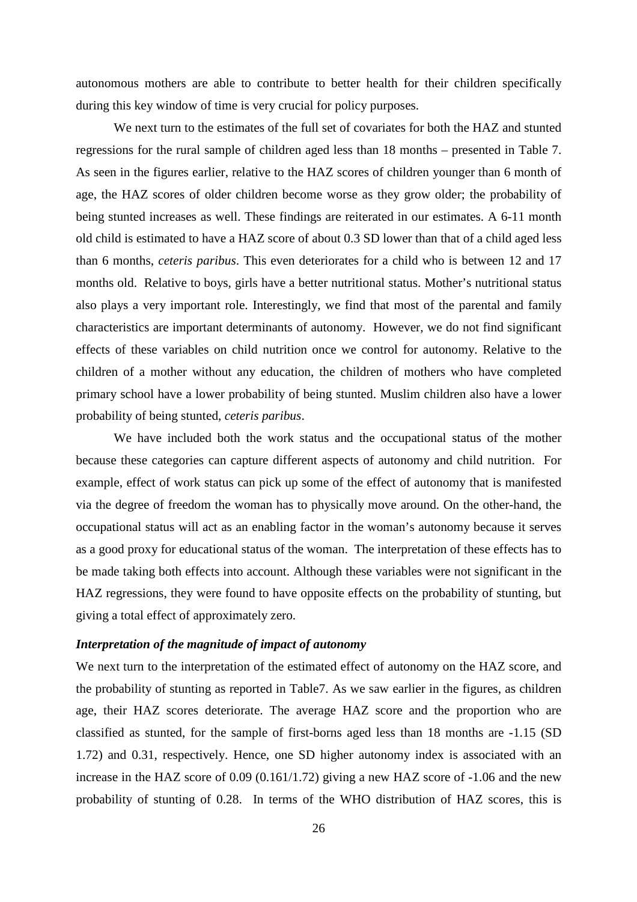autonomous mothers are able to contribute to better health for their children specifically during this key window of time is very crucial for policy purposes.

We next turn to the estimates of the full set of covariates for both the HAZ and stunted regressions for the rural sample of children aged less than 18 months – presented in Table 7. As seen in the figures earlier, relative to the HAZ scores of children younger than 6 month of age, the HAZ scores of older children become worse as they grow older; the probability of being stunted increases as well. These findings are reiterated in our estimates. A 6-11 month old child is estimated to have a HAZ score of about 0.3 SD lower than that of a child aged less than 6 months, *ceteris paribus*. This even deteriorates for a child who is between 12 and 17 months old. Relative to boys, girls have a better nutritional status. Mother's nutritional status also plays a very important role. Interestingly, we find that most of the parental and family characteristics are important determinants of autonomy. However, we do not find significant effects of these variables on child nutrition once we control for autonomy. Relative to the children of a mother without any education, the children of mothers who have completed primary school have a lower probability of being stunted. Muslim children also have a lower probability of being stunted, *ceteris paribus*.

We have included both the work status and the occupational status of the mother because these categories can capture different aspects of autonomy and child nutrition. For example, effect of work status can pick up some of the effect of autonomy that is manifested via the degree of freedom the woman has to physically move around. On the other-hand, the occupational status will act as an enabling factor in the woman's autonomy because it serves as a good proxy for educational status of the woman. The interpretation of these effects has to be made taking both effects into account. Although these variables were not significant in the HAZ regressions, they were found to have opposite effects on the probability of stunting, but giving a total effect of approximately zero.

## *Interpretation of the magnitude of impact of autonomy*

We next turn to the interpretation of the estimated effect of autonomy on the HAZ score, and the probability of stunting as reported in Table7. As we saw earlier in the figures, as children age, their HAZ scores deteriorate. The average HAZ score and the proportion who are classified as stunted, for the sample of first-borns aged less than 18 months are -1.15 (SD 1.72) and 0.31, respectively. Hence, one SD higher autonomy index is associated with an increase in the HAZ score of 0.09 (0.161/1.72) giving a new HAZ score of -1.06 and the new probability of stunting of 0.28. In terms of the WHO distribution of HAZ scores, this is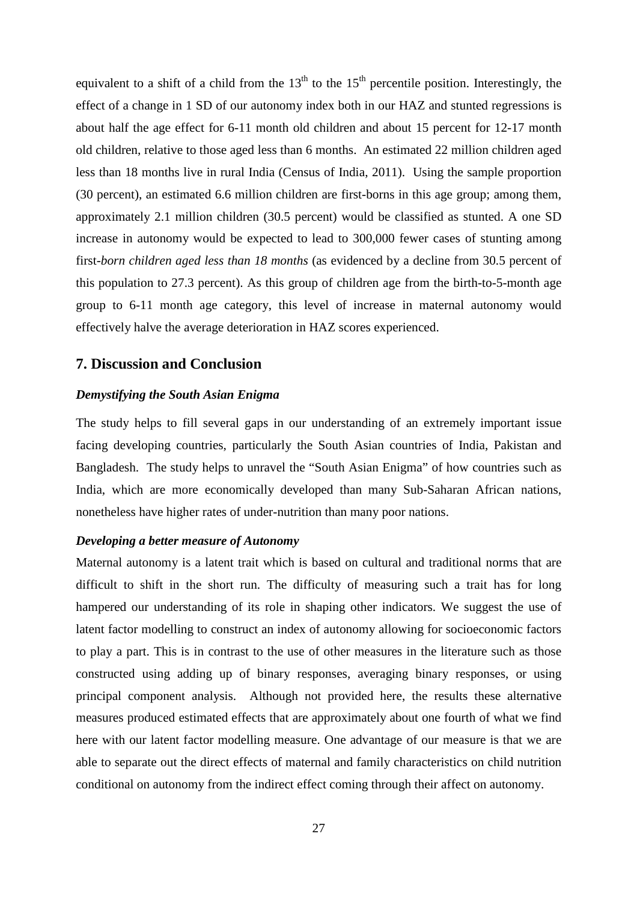equivalent to a shift of a child from the  $13<sup>th</sup>$  to the  $15<sup>th</sup>$  percentile position. Interestingly, the effect of a change in 1 SD of our autonomy index both in our HAZ and stunted regressions is about half the age effect for 6-11 month old children and about 15 percent for 12-17 month old children, relative to those aged less than 6 months. An estimated 22 million children aged less than 18 months live in rural India (Census of India, 2011). Using the sample proportion (30 percent), an estimated 6.6 million children are first-borns in this age group; among them, approximately 2.1 million children (30.5 percent) would be classified as stunted. A one SD increase in autonomy would be expected to lead to 300,000 fewer cases of stunting among first*-born children aged less than 18 months* (as evidenced by a decline from 30.5 percent of this population to 27.3 percent). As this group of children age from the birth-to-5-month age group to 6-11 month age category, this level of increase in maternal autonomy would effectively halve the average deterioration in HAZ scores experienced.

### **7. Discussion and Conclusion**

## *Demystifying the South Asian Enigma*

The study helps to fill several gaps in our understanding of an extremely important issue facing developing countries, particularly the South Asian countries of India, Pakistan and Bangladesh. The study helps to unravel the "South Asian Enigma" of how countries such as India, which are more economically developed than many Sub-Saharan African nations, nonetheless have higher rates of under-nutrition than many poor nations.

#### *Developing a better measure of Autonomy*

Maternal autonomy is a latent trait which is based on cultural and traditional norms that are difficult to shift in the short run. The difficulty of measuring such a trait has for long hampered our understanding of its role in shaping other indicators. We suggest the use of latent factor modelling to construct an index of autonomy allowing for socioeconomic factors to play a part. This is in contrast to the use of other measures in the literature such as those constructed using adding up of binary responses, averaging binary responses, or using principal component analysis. Although not provided here, the results these alternative measures produced estimated effects that are approximately about one fourth of what we find here with our latent factor modelling measure. One advantage of our measure is that we are able to separate out the direct effects of maternal and family characteristics on child nutrition conditional on autonomy from the indirect effect coming through their affect on autonomy.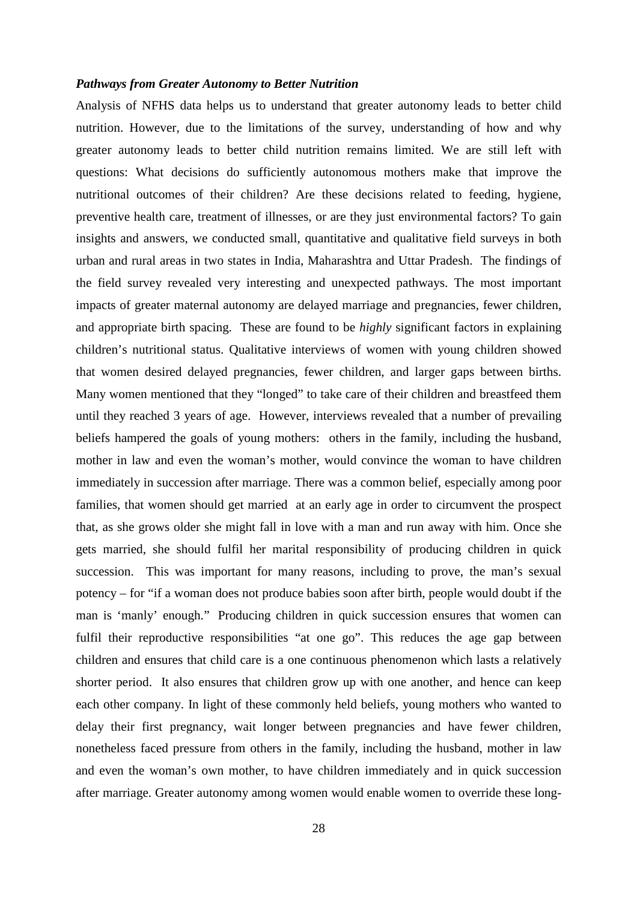#### *Pathways from Greater Autonomy to Better Nutrition*

Analysis of NFHS data helps us to understand that greater autonomy leads to better child nutrition. However, due to the limitations of the survey, understanding of how and why greater autonomy leads to better child nutrition remains limited. We are still left with questions: What decisions do sufficiently autonomous mothers make that improve the nutritional outcomes of their children? Are these decisions related to feeding, hygiene, preventive health care, treatment of illnesses, or are they just environmental factors? To gain insights and answers, we conducted small, quantitative and qualitative field surveys in both urban and rural areas in two states in India, Maharashtra and Uttar Pradesh. The findings of the field survey revealed very interesting and unexpected pathways. The most important impacts of greater maternal autonomy are delayed marriage and pregnancies, fewer children, and appropriate birth spacing. These are found to be *highly* significant factors in explaining children's nutritional status. Qualitative interviews of women with young children showed that women desired delayed pregnancies, fewer children, and larger gaps between births. Many women mentioned that they "longed" to take care of their children and breastfeed them until they reached 3 years of age. However, interviews revealed that a number of prevailing beliefs hampered the goals of young mothers: others in the family, including the husband, mother in law and even the woman's mother, would convince the woman to have children immediately in succession after marriage. There was a common belief, especially among poor families, that women should get married at an early age in order to circumvent the prospect that, as she grows older she might fall in love with a man and run away with him. Once she gets married, she should fulfil her marital responsibility of producing children in quick succession. This was important for many reasons, including to prove, the man's sexual potency – for "if a woman does not produce babies soon after birth, people would doubt if the man is 'manly' enough." Producing children in quick succession ensures that women can fulfil their reproductive responsibilities "at one go". This reduces the age gap between children and ensures that child care is a one continuous phenomenon which lasts a relatively shorter period. It also ensures that children grow up with one another, and hence can keep each other company. In light of these commonly held beliefs, young mothers who wanted to delay their first pregnancy, wait longer between pregnancies and have fewer children, nonetheless faced pressure from others in the family, including the husband, mother in law and even the woman's own mother, to have children immediately and in quick succession after marriage. Greater autonomy among women would enable women to override these long-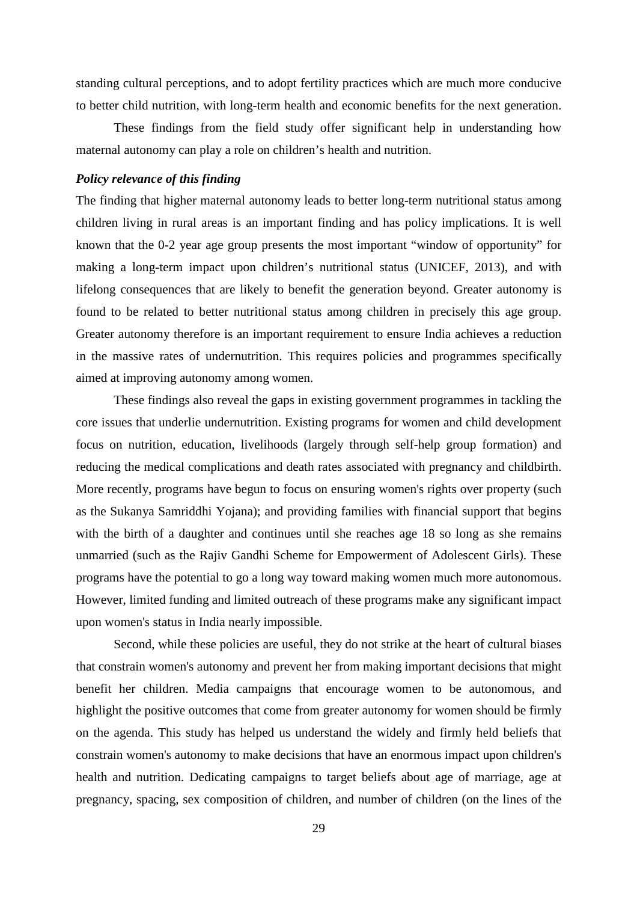standing cultural perceptions, and to adopt fertility practices which are much more conducive to better child nutrition, with long-term health and economic benefits for the next generation.

These findings from the field study offer significant help in understanding how maternal autonomy can play a role on children's health and nutrition.

#### *Policy relevance of this finding*

The finding that higher maternal autonomy leads to better long-term nutritional status among children living in rural areas is an important finding and has policy implications. It is well known that the 0-2 year age group presents the most important "window of opportunity" for making a long-term impact upon children's nutritional status (UNICEF, 2013), and with lifelong consequences that are likely to benefit the generation beyond. Greater autonomy is found to be related to better nutritional status among children in precisely this age group. Greater autonomy therefore is an important requirement to ensure India achieves a reduction in the massive rates of undernutrition. This requires policies and programmes specifically aimed at improving autonomy among women.

These findings also reveal the gaps in existing government programmes in tackling the core issues that underlie undernutrition. Existing programs for women and child development focus on nutrition, education, livelihoods (largely through self-help group formation) and reducing the medical complications and death rates associated with pregnancy and childbirth. More recently, programs have begun to focus on ensuring women's rights over property (such as the Sukanya Samriddhi Yojana); and providing families with financial support that begins with the birth of a daughter and continues until she reaches age 18 so long as she remains unmarried (such as the Rajiv Gandhi Scheme for Empowerment of Adolescent Girls). These programs have the potential to go a long way toward making women much more autonomous. However, limited funding and limited outreach of these programs make any significant impact upon women's status in India nearly impossible.

Second, while these policies are useful, they do not strike at the heart of cultural biases that constrain women's autonomy and prevent her from making important decisions that might benefit her children. Media campaigns that encourage women to be autonomous, and highlight the positive outcomes that come from greater autonomy for women should be firmly on the agenda. This study has helped us understand the widely and firmly held beliefs that constrain women's autonomy to make decisions that have an enormous impact upon children's health and nutrition. Dedicating campaigns to target beliefs about age of marriage, age at pregnancy, spacing, sex composition of children, and number of children (on the lines of the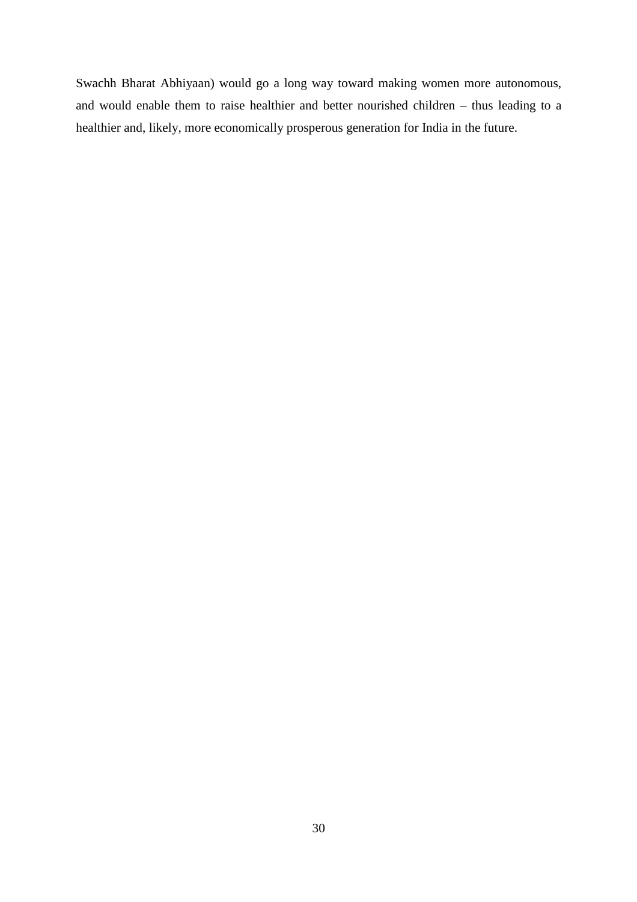Swachh Bharat Abhiyaan) would go a long way toward making women more autonomous, and would enable them to raise healthier and better nourished children – thus leading to a healthier and, likely, more economically prosperous generation for India in the future.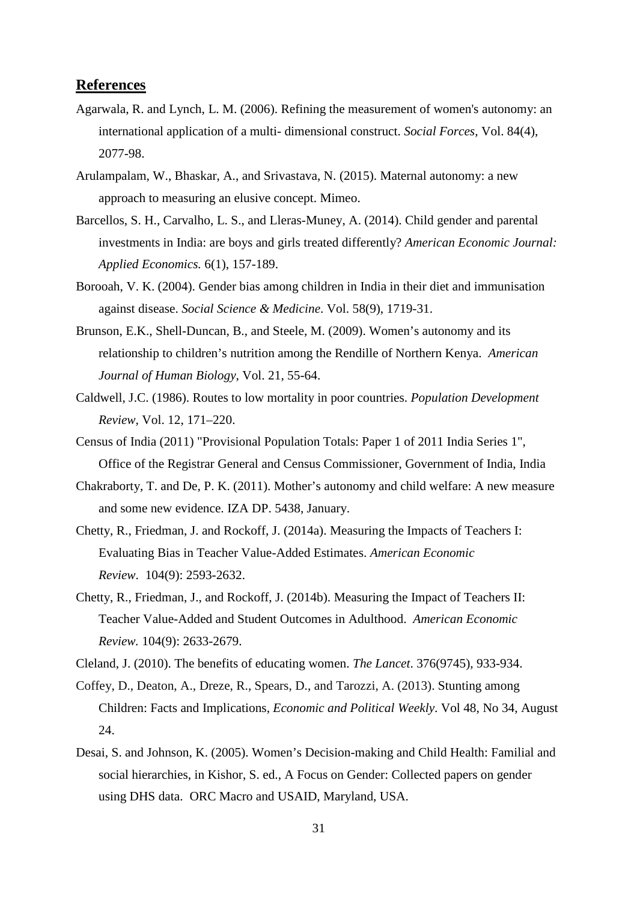## **References**

- Agarwala, R. and Lynch, L. M. (2006). Refining the measurement of women's autonomy: an international application of a multi- dimensional construct. *Social Forces*, Vol. 84(4), 2077-98.
- Arulampalam, W., Bhaskar, A., and Srivastava, N. (2015). Maternal autonomy: a new approach to measuring an elusive concept. Mimeo.
- Barcellos, S. H., Carvalho, L. S., and Lleras-Muney, A. (2014). Child gender and parental investments in India: are boys and girls treated differently? *American Economic Journal: Applied Economics.* 6(1), 157-189.
- Borooah, V. K. (2004). Gender bias among children in India in their diet and immunisation against disease. *Social Science & Medicine*. Vol. 58(9), 1719-31.
- Brunson, E.K., Shell-Duncan, B., and Steele, M. (2009). Women's autonomy and its relationship to children's nutrition among the Rendille of Northern Kenya. *American Journal of Human Biology*, Vol. 21, 55-64.
- Caldwell, J.C. (1986). Routes to low mortality in poor countries. *Population Development Review,* Vol. 12, 171–220.
- Census of India (2011) "Provisional Population Totals: Paper 1 of 2011 India Series 1", Office of the Registrar General and Census Commissioner, Government of India, India
- Chakraborty, T. and De, P. K. (2011). Mother's autonomy and child welfare: A new measure and some new evidence. IZA DP. 5438, January.
- Chetty, R., Friedman, J. and Rockoff, J. (2014a). Measuring the Impacts of Teachers I: Evaluating Bias in Teacher Value-Added Estimates. *American Economic Review*. 104(9): 2593-2632.
- Chetty, R., Friedman, J., and Rockoff, J. (2014b). Measuring the Impact of Teachers II: Teacher Value-Added and Student Outcomes in Adulthood. *American Economic Review.* 104(9): 2633-2679.
- Cleland, J. (2010). The benefits of educating women. *The Lancet*. 376(9745), 933-934.
- Coffey, D., Deaton, A., Dreze, R., Spears, D., and Tarozzi, A. (2013). Stunting among Children: Facts and Implications, *Economic and Political Weekly*. Vol 48, No 34, August 24.
- Desai, S. and Johnson, K. (2005). Women's Decision-making and Child Health: Familial and social hierarchies, in Kishor, S. ed., A Focus on Gender: Collected papers on gender using DHS data. ORC Macro and USAID, Maryland, USA.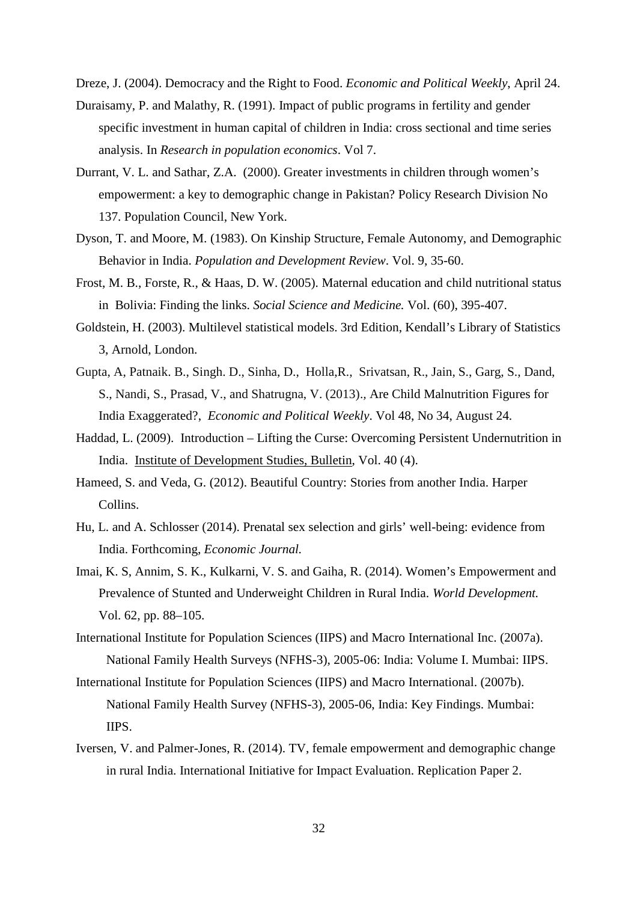Dreze, J. (2004). Democracy and the Right to Food. *Economic and Political Weekly*, April 24.

- Duraisamy, P. and Malathy, R. (1991). Impact of public programs in fertility and gender specific investment in human capital of children in India: cross sectional and time series analysis. In *Research in population economics*. Vol 7.
- Durrant, V. L. and Sathar, Z.A. (2000). Greater investments in children through women's empowerment: a key to demographic change in Pakistan? Policy Research Division No 137. Population Council, New York.
- Dyson, T. and Moore, M. (1983). On Kinship Structure, Female Autonomy, and Demographic Behavior in India. *Population and Development Review*. Vol. 9, 35-60.
- Frost, M. B., Forste, R., & Haas, D. W. (2005). Maternal education and child nutritional status in Bolivia: Finding the links. *Social Science and Medicine.* Vol. (60), 395-407.
- Goldstein, H. (2003). Multilevel statistical models. 3rd Edition, Kendall's Library of Statistics 3, Arnold, London.
- Gupta, A, Patnaik. B., Singh. D., Sinha, D., Holla,R., Srivatsan, R., Jain, S., Garg, S., Dand, S., Nandi, S., Prasad, V., and Shatrugna, V. (2013).*,* Are Child Malnutrition Figures for India Exaggerated?, *Economic and Political Weekly*. Vol 48, No 34, August 24.
- Haddad, L. (2009). Introduction Lifting the Curse: Overcoming Persistent Undernutrition in India. Institute of Development Studies, Bulletin, Vol. 40 (4).
- Hameed, S. and Veda, G. (2012). Beautiful Country: Stories from another India. Harper Collins.
- Hu, L. and A. Schlosser (2014). Prenatal sex selection and girls' well-being: evidence from India. Forthcoming, *Economic Journal.*
- Imai, K. S, Annim, S. K., Kulkarni, V. S. and Gaiha, R. (2014). Women's Empowerment and Prevalence of Stunted and Underweight Children in Rural India. *World Development.* Vol. 62, pp. 88–105.
- International Institute for Population Sciences (IIPS) and Macro International Inc. (2007a). National Family Health Surveys (NFHS-3), 2005-06: India: Volume I. Mumbai: IIPS.
- International Institute for Population Sciences (IIPS) and Macro International. (2007b). National Family Health Survey (NFHS-3), 2005-06, India: Key Findings. Mumbai: IIPS.
- Iversen, V. and Palmer-Jones, R. (2014). TV, female empowerment and demographic change in rural India. International Initiative for Impact Evaluation. Replication Paper 2.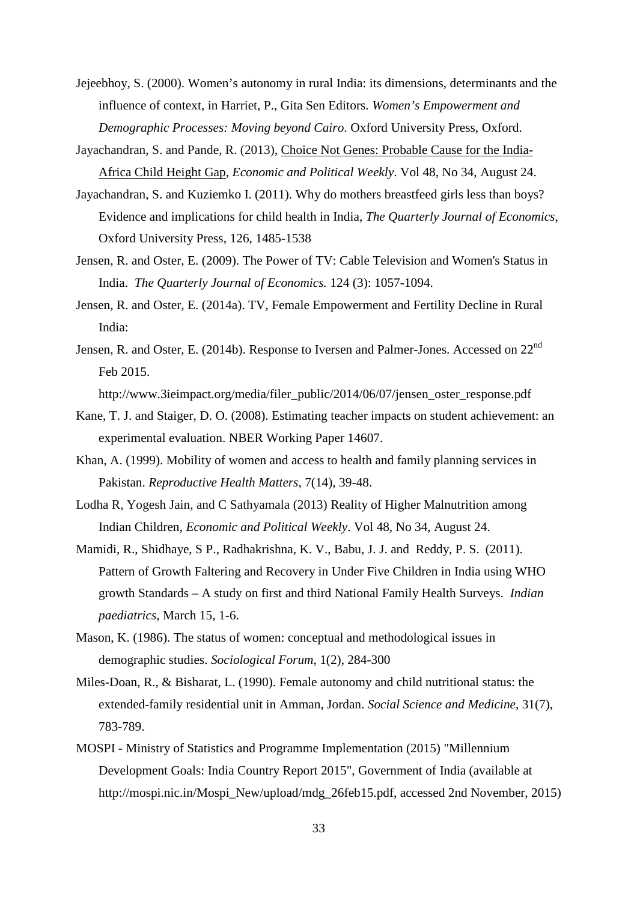- Jejeebhoy, S. (2000). Women's autonomy in rural India: its dimensions, determinants and the influence of context, in Harriet, P., Gita Sen Editors. *Women's Empowerment and Demographic Processes: Moving beyond Cairo*. Oxford University Press, Oxford.
- Jayachandran, S. and Pande, R. (2013), Choice Not Genes: Probable Cause for the India-Africa Child Height Gap, *Economic and Political Weekly*. Vol 48, No 34, August 24.
- Jayachandran, S. and Kuziemko I. (2011). Why do mothers breastfeed girls less than boys? Evidence and implications for child health in India, *The Quarterly Journal of Economics*, Oxford University Press, 126, 1485-1538
- Jensen, R. and Oster, E. (2009). The Power of TV: Cable Television and Women's Status in India. *The Quarterly Journal of Economics.* 124 (3): 1057-1094.
- Jensen, R. and Oster, E. (2014a). TV, Female Empowerment and Fertility Decline in Rural India:
- Jensen, R. and Oster, E. (2014b). Response to Iversen and Palmer-Jones. Accessed on 22<sup>nd</sup> Feb 2015.

http://www.3ieimpact.org/media/filer\_public/2014/06/07/jensen\_oster\_response.pdf

- Kane, T. J. and Staiger, D. O. (2008). Estimating teacher impacts on student achievement: an experimental evaluation. NBER Working Paper 14607.
- Khan, A. (1999). Mobility of women and access to health and family planning services in Pakistan. *Reproductive Health Matters*, 7(14), 39-48.
- Lodha R, Yogesh Jain, and C Sathyamala (2013) Reality of Higher Malnutrition among Indian Children, *Economic and Political Weekly*. Vol 48, No 34, August 24.
- Mamidi, R., Shidhaye, S P., Radhakrishna, K. V., Babu, J. J. and Reddy, P. S. (2011). Pattern of Growth Faltering and Recovery in Under Five Children in India using WHO growth Standards – A study on first and third National Family Health Surveys. *Indian paediatrics*, March 15, 1-6.
- Mason, K. (1986). The status of women: conceptual and methodological issues in demographic studies. *Sociological Forum*, 1(2), 284-300
- Miles-Doan, R., & Bisharat, L. (1990). Female autonomy and child nutritional status: the extended-family residential unit in Amman, Jordan. *Social Science and Medicine*, 31(7), 783-789.
- MOSPI Ministry of Statistics and Programme Implementation (2015) "Millennium Development Goals: India Country Report 2015", Government of India (available at http://mospi.nic.in/Mospi\_New/upload/mdg\_26feb15.pdf, accessed 2nd November, 2015)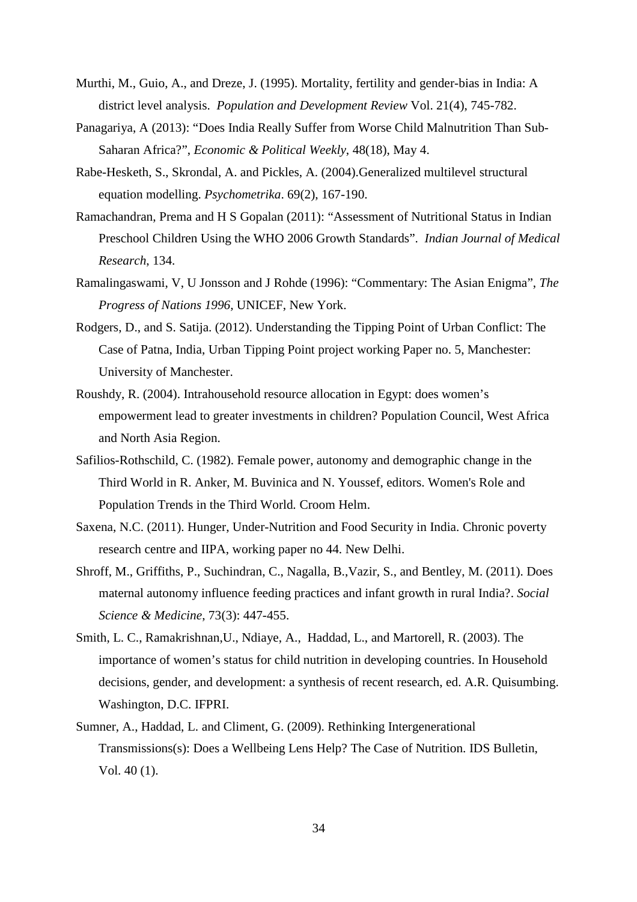- Murthi, M., Guio, A., and Dreze, J. (1995). Mortality, fertility and gender-bias in India: A district level analysis. *Population and Development Review* Vol. 21(4), 745-782.
- Panagariya, A (2013): "Does India Really Suffer from Worse Child Malnutrition Than Sub-Saharan Africa?", *Economic & Political Weekly*, 48(18), May 4.
- Rabe-Hesketh, S., Skrondal, A. and Pickles, A. (2004).Generalized multilevel structural equation modelling. *Psychometrika*. 69(2), 167-190.
- Ramachandran, Prema and H S Gopalan (2011): "Assessment of Nutritional Status in Indian Preschool Children Using the WHO 2006 Growth Standards". *Indian Journal of Medical Research*, 134.
- Ramalingaswami, V, U Jonsson and J Rohde (1996): "Commentary: The Asian Enigma", *The Progress of Nations 1996,* UNICEF, New York.
- Rodgers, D., and S. Satija. (2012). Understanding the Tipping Point of Urban Conflict: The Case of Patna, India, Urban Tipping Point project working Paper no. 5, Manchester: University of Manchester.
- Roushdy, R. (2004). Intrahousehold resource allocation in Egypt: does women's empowerment lead to greater investments in children? Population Council, West Africa and North Asia Region.
- Safilios-Rothschild, C. (1982). Female power, autonomy and demographic change in the Third World in R. Anker, M. Buvinica and N. Youssef, editors. Women's Role and Population Trends in the Third World*.* Croom Helm.
- Saxena, N.C. (2011). Hunger, Under-Nutrition and Food Security in India. Chronic poverty research centre and IIPA, working paper no 44. New Delhi.
- Shroff, M., Griffiths, P., Suchindran, C., Nagalla, B.,Vazir, S., and Bentley, M. (2011). Does maternal autonomy influence feeding practices and infant growth in rural India?. *Social Science & Medicine*, 73(3): 447-455.
- Smith, L. C., Ramakrishnan,U., Ndiaye, A., Haddad, L., and Martorell, R. (2003). The importance of women's status for child nutrition in developing countries. In Household decisions, gender, and development: a synthesis of recent research, ed. A.R. Quisumbing. Washington, D.C. IFPRI.
- Sumner, A., Haddad, L. and Climent, G. (2009). Rethinking Intergenerational Transmissions(s): Does a Wellbeing Lens Help? The Case of Nutrition. IDS Bulletin, Vol. 40 (1).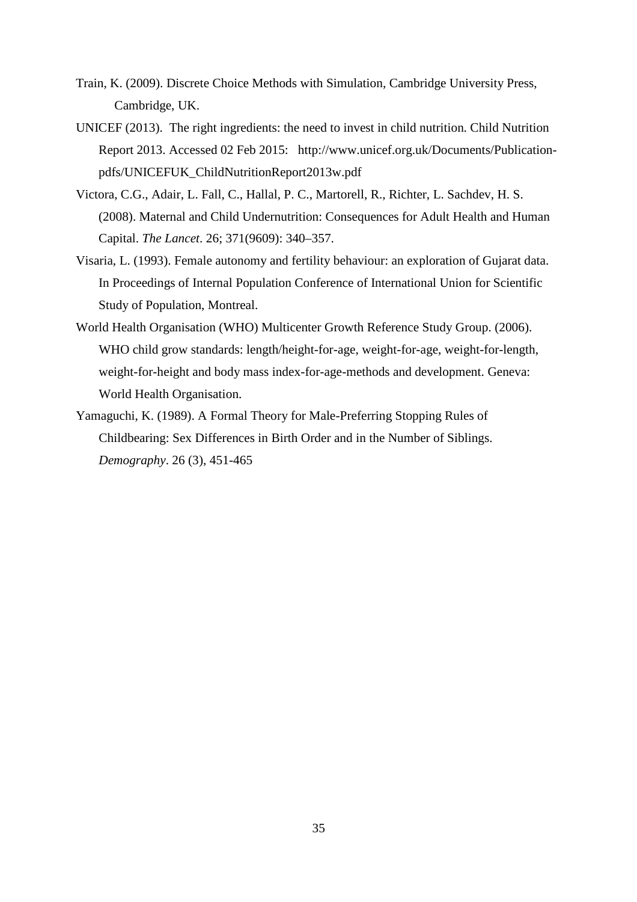- Train, K. (2009). Discrete Choice Methods with Simulation, Cambridge University Press, Cambridge, UK.
- UNICEF (2013). The right ingredients: the need to invest in child nutrition. Child Nutrition Report 2013. Accessed 02 Feb 2015: http://www.unicef.org.uk/Documents/Publicationpdfs/UNICEFUK\_ChildNutritionReport2013w.pdf
- Victora, C.G., Adair, L. Fall, C., Hallal, P. C., Martorell, R., Richter, L. Sachdev, H. S. (2008). Maternal and Child Undernutrition: Consequences for Adult Health and Human Capital. *The Lancet*. 26; 371(9609): 340–357.
- Visaria, L. (1993). Female autonomy and fertility behaviour: an exploration of Gujarat data. In Proceedings of Internal Population Conference of International Union for Scientific Study of Population, Montreal.
- World Health Organisation (WHO) Multicenter Growth Reference Study Group. (2006). WHO child grow standards: length/height-for-age, weight-for-age, weight-for-length, weight-for-height and body mass index-for-age-methods and development. Geneva: World Health Organisation.
- Yamaguchi, K. (1989). A Formal Theory for Male-Preferring Stopping Rules of Childbearing: Sex Differences in Birth Order and in the Number of Siblings. *Demography*. 26 (3), 451-465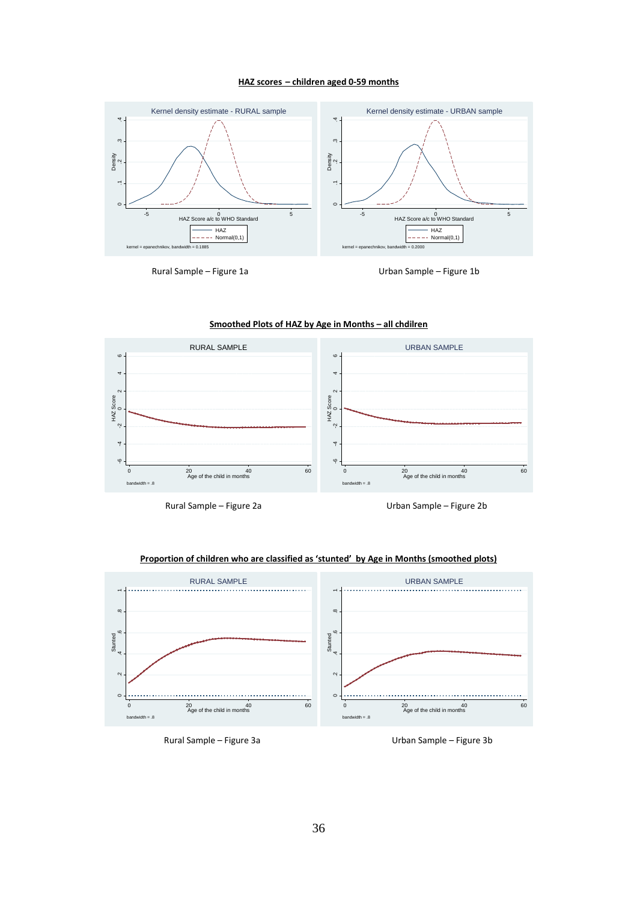#### **HAZ scores – children aged 0-59 months**



Rural Sample – Figure 1a de de de la Urban Sample – Figure 1b



**Smoothed Plots of HAZ by Age in Months – all chdilren**



#### **Proportion of children who are classified as 'stunted' by Age in Months (smoothed plots)**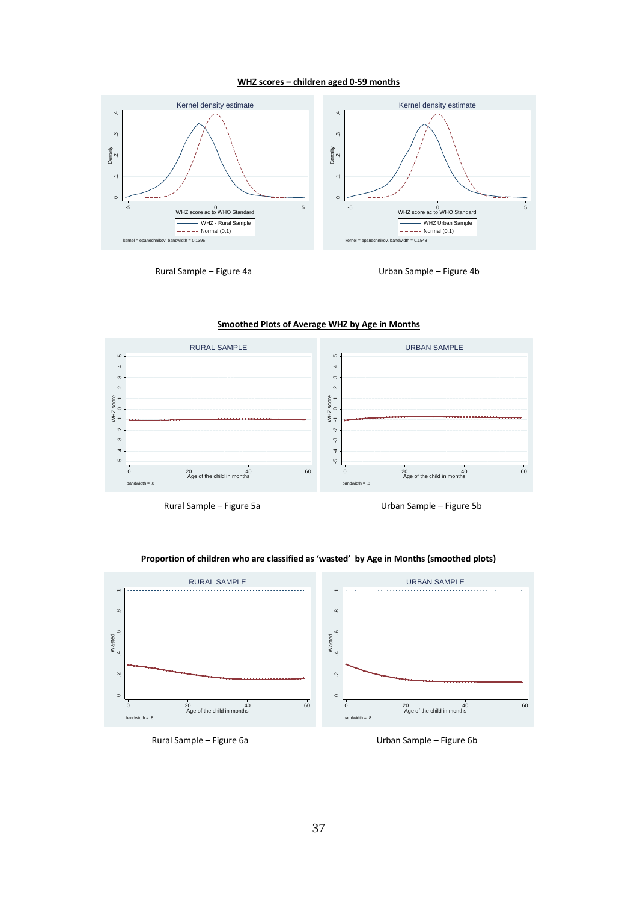#### **WHZ scores – children aged 0-59 months**



Rural Sample – Figure 4a de de de la Compone de La Compone de la Urban Sample – Figure 4b

#### **Smoothed Plots of Average WHZ by Age in Months**



Rural Sample – Figure 5a Urban Sample – Figure 5b



#### **Proportion of children who are classified as 'wasted' by Age in Months (smoothed plots)**

Rural Sample – Figure 6a **Natal Sample – Figure 6b**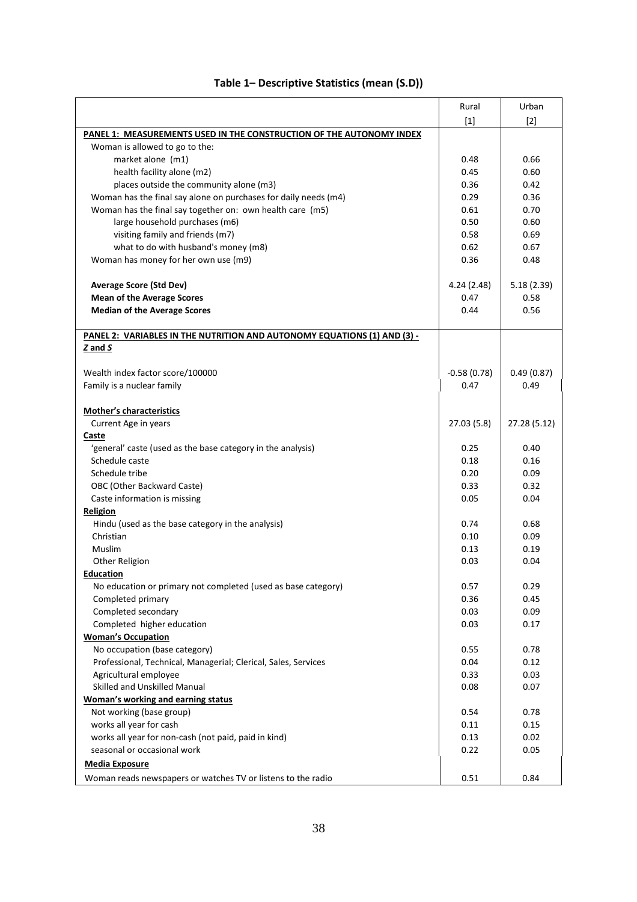|                                                                          | Rural         | Urban        |
|--------------------------------------------------------------------------|---------------|--------------|
|                                                                          | $[1]$         | $[2]$        |
| PANEL 1: MEASUREMENTS USED IN THE CONSTRUCTION OF THE AUTONOMY INDEX     |               |              |
| Woman is allowed to go to the:                                           |               |              |
| market alone (m1)                                                        | 0.48          | 0.66         |
| health facility alone (m2)                                               | 0.45          | 0.60         |
| places outside the community alone (m3)                                  | 0.36          | 0.42         |
| Woman has the final say alone on purchases for daily needs (m4)          | 0.29          | 0.36         |
| Woman has the final say together on: own health care (m5)                | 0.61          | 0.70         |
| large household purchases (m6)                                           | 0.50          | 0.60         |
| visiting family and friends (m7)                                         | 0.58          | 0.69         |
| what to do with husband's money (m8)                                     | 0.62          | 0.67         |
| Woman has money for her own use (m9)                                     | 0.36          | 0.48         |
| <b>Average Score (Std Dev)</b>                                           | 4.24 (2.48)   | 5.18(2.39)   |
| <b>Mean of the Average Scores</b>                                        | 0.47          | 0.58         |
| <b>Median of the Average Scores</b>                                      | 0.44          | 0.56         |
| PANEL 2: VARIABLES IN THE NUTRITION AND AUTONOMY EQUATIONS (1) AND (3) - |               |              |
| Z and S                                                                  |               |              |
| Wealth index factor score/100000                                         | $-0.58(0.78)$ | 0.49(0.87)   |
| Family is a nuclear family                                               | 0.47          | 0.49         |
|                                                                          |               |              |
| <b>Mother's characteristics</b>                                          |               |              |
| Current Age in years                                                     | 27.03(5.8)    | 27.28 (5.12) |
| Caste                                                                    |               |              |
| 'general' caste (used as the base category in the analysis)              | 0.25          | 0.40         |
| Schedule caste                                                           | 0.18          | 0.16         |
| Schedule tribe                                                           | 0.20          | 0.09         |
| OBC (Other Backward Caste)                                               | 0.33          | 0.32         |
| Caste information is missing                                             | 0.05          | 0.04         |
| Religion                                                                 |               |              |
| Hindu (used as the base category in the analysis)                        | 0.74          | 0.68         |
| Christian                                                                | 0.10          | 0.09         |
| Muslim                                                                   | 0.13          | 0.19         |
| Other Religion                                                           | 0.03          | 0.04         |
| <b>Education</b>                                                         |               |              |
| No education or primary not completed (used as base category)            | 0.57          | 0.29         |
| Completed primary                                                        | 0.36          | 0.45         |
| Completed secondary                                                      | 0.03          | 0.09         |
| Completed higher education                                               | 0.03          | 0.17         |
| <b>Woman's Occupation</b>                                                |               |              |
| No occupation (base category)                                            | 0.55<br>0.04  | 0.78         |
| Professional, Technical, Managerial; Clerical, Sales, Services           |               | 0.12         |
| Agricultural employee                                                    | 0.33          | 0.03         |
| Skilled and Unskilled Manual                                             | 0.08          | 0.07         |
| <b>Woman's working and earning status</b>                                |               |              |
| Not working (base group)                                                 | 0.54          | 0.78         |
| works all year for cash                                                  | 0.11          | 0.15         |
| works all year for non-cash (not paid, paid in kind)                     | 0.13          | 0.02         |
| seasonal or occasional work                                              | 0.22          | 0.05         |
| <b>Media Exposure</b>                                                    |               |              |
| Woman reads newspapers or watches TV or listens to the radio             | 0.51          | 0.84         |

## **Table 1– Descriptive Statistics (mean (S.D))**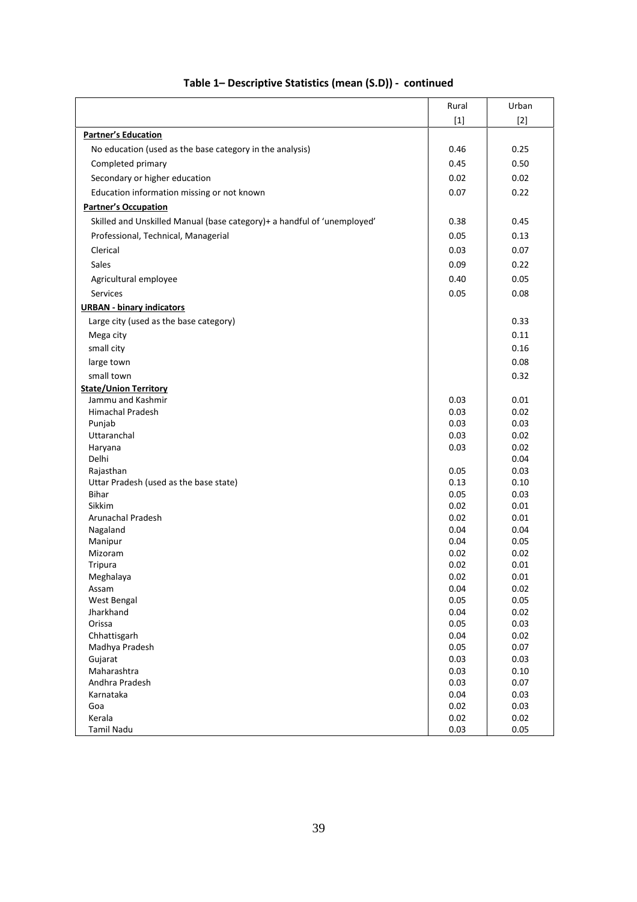|                                                                         | Rural        | Urban        |
|-------------------------------------------------------------------------|--------------|--------------|
|                                                                         | $[1]$        | $[2]$        |
| <b>Partner's Education</b>                                              |              |              |
| No education (used as the base category in the analysis)                | 0.46         | 0.25         |
|                                                                         |              |              |
| Completed primary                                                       | 0.45         | 0.50         |
| Secondary or higher education                                           | 0.02         | 0.02         |
| Education information missing or not known                              | 0.07         | 0.22         |
| <b>Partner's Occupation</b>                                             |              |              |
| Skilled and Unskilled Manual (base category)+ a handful of 'unemployed' | 0.38         | 0.45         |
| Professional, Technical, Managerial                                     | 0.05         | 0.13         |
| Clerical                                                                | 0.03         | 0.07         |
| Sales                                                                   | 0.09         | 0.22         |
|                                                                         |              | 0.05         |
| Agricultural employee                                                   | 0.40         |              |
| Services                                                                | 0.05         | 0.08         |
| <b>URBAN - binary indicators</b>                                        |              |              |
| Large city (used as the base category)                                  |              | 0.33         |
| Mega city                                                               |              | 0.11         |
| small city                                                              |              | 0.16         |
| large town                                                              |              | 0.08         |
| small town                                                              |              | 0.32         |
| <b>State/Union Territory</b>                                            |              |              |
| Jammu and Kashmir                                                       | 0.03         | 0.01         |
| <b>Himachal Pradesh</b>                                                 | 0.03         | 0.02         |
| Punjab                                                                  | 0.03         | 0.03         |
| Uttaranchal                                                             | 0.03         | 0.02         |
| Haryana                                                                 | 0.03         | 0.02         |
| Delhi                                                                   |              | 0.04         |
| Rajasthan                                                               | 0.05         | 0.03<br>0.10 |
| Uttar Pradesh (used as the base state)<br><b>Bihar</b>                  | 0.13<br>0.05 | 0.03         |
| <b>Sikkim</b>                                                           | 0.02         | 0.01         |
| Arunachal Pradesh                                                       | 0.02         | 0.01         |
| Nagaland                                                                | 0.04         | 0.04         |
| Manipur                                                                 | 0.04         | 0.05         |
| Mizoram                                                                 | 0.02         | 0.02         |
| Tripura                                                                 | 0.02         | 0.01         |
| Meghalaya                                                               | 0.02         | 0.01         |
| Assam                                                                   | 0.04         | 0.02         |
| West Bengal                                                             | 0.05         | 0.05         |
| Jharkhand                                                               | 0.04         | 0.02         |
| Orissa<br>Chhattisgarh                                                  | 0.05         | 0.03<br>0.02 |
| Madhya Pradesh                                                          | 0.04<br>0.05 | 0.07         |
| Gujarat                                                                 | 0.03         | 0.03         |
| Maharashtra                                                             | 0.03         | 0.10         |
| Andhra Pradesh                                                          | 0.03         | 0.07         |
| Karnataka                                                               | 0.04         | 0.03         |
| Goa                                                                     | 0.02         | 0.03         |
| Kerala                                                                  | 0.02         | 0.02         |
| <b>Tamil Nadu</b>                                                       | 0.03         | 0.05         |

## **Table 1– Descriptive Statistics (mean (S.D)) - continued**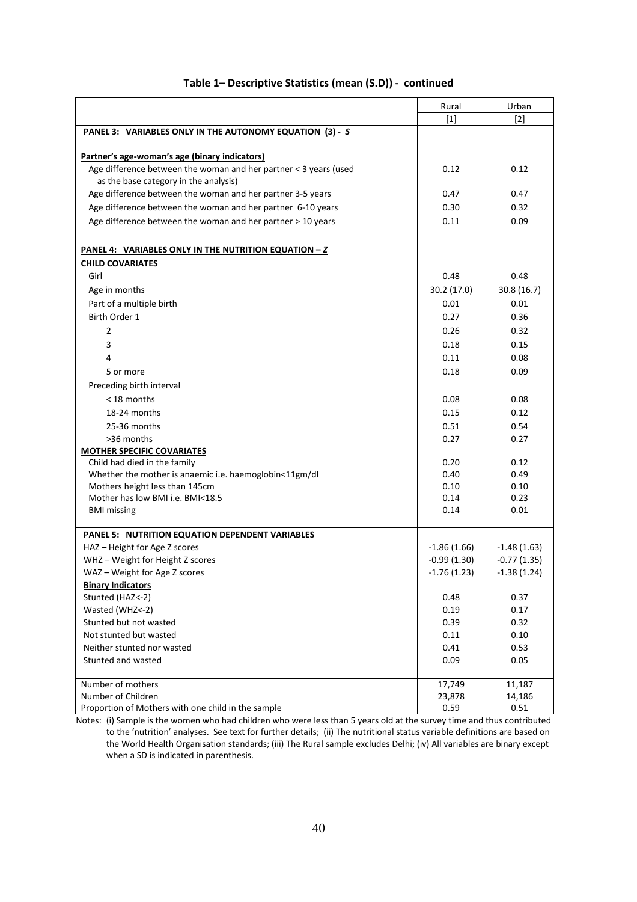|                                                                  | Rural         | Urban         |
|------------------------------------------------------------------|---------------|---------------|
|                                                                  | $[1]$         | $[2]$         |
| PANEL 3: VARIABLES ONLY IN THE AUTONOMY EQUATION (3) - S         |               |               |
|                                                                  |               |               |
| Partner's age-woman's age (binary indicators)                    |               |               |
| Age difference between the woman and her partner < 3 years (used | 0.12          | 0.12          |
| as the base category in the analysis)                            |               |               |
| Age difference between the woman and her partner 3-5 years       | 0.47          | 0.47          |
| Age difference between the woman and her partner 6-10 years      | 0.30          | 0.32          |
| Age difference between the woman and her partner > 10 years      | 0.11          | 0.09          |
|                                                                  |               |               |
| PANEL 4: VARIABLES ONLY IN THE NUTRITION EQUATION - Z            |               |               |
| <b>CHILD COVARIATES</b>                                          |               |               |
| Girl                                                             | 0.48          | 0.48          |
| Age in months                                                    | 30.2 (17.0)   | 30.8 (16.7)   |
| Part of a multiple birth                                         | 0.01          | 0.01          |
| Birth Order 1                                                    | 0.27          | 0.36          |
| 2                                                                | 0.26          | 0.32          |
| 3                                                                | 0.18          | 0.15          |
| 4                                                                | 0.11          | 0.08          |
| 5 or more                                                        | 0.18          | 0.09          |
| Preceding birth interval                                         |               |               |
| < 18 months                                                      | 0.08          | 0.08          |
| 18-24 months                                                     | 0.15          | 0.12          |
| 25-36 months                                                     | 0.51          | 0.54          |
| >36 months                                                       | 0.27          | 0.27          |
| <b>MOTHER SPECIFIC COVARIATES</b>                                |               |               |
| Child had died in the family                                     | 0.20          | 0.12          |
| Whether the mother is anaemic i.e. haemoglobin<11gm/dl           | 0.40          | 0.49          |
| Mothers height less than 145cm                                   | 0.10          | 0.10          |
| Mother has low BMI i.e. BMI<18.5                                 | 0.14          | 0.23          |
| <b>BMI</b> missing                                               | 0.14          | 0.01          |
| PANEL 5: NUTRITION EQUATION DEPENDENT VARIABLES                  |               |               |
| HAZ - Height for Age Z scores                                    | $-1.86(1.66)$ | $-1.48(1.63)$ |
| WHZ - Weight for Height Z scores                                 | $-0.99(1.30)$ | $-0.77(1.35)$ |
| WAZ - Weight for Age Z scores                                    | $-1.76(1.23)$ | $-1.38(1.24)$ |
| <b>Binary Indicators</b>                                         |               |               |
| Stunted (HAZ<-2)                                                 | 0.48          | 0.37          |
| Wasted (WHZ <- 2)                                                | 0.19          | 0.17          |
| Stunted but not wasted                                           | 0.39          | 0.32          |
| Not stunted but wasted                                           | 0.11          | 0.10          |
| Neither stunted nor wasted                                       | 0.41          | 0.53          |
| Stunted and wasted                                               | 0.09          | 0.05          |
|                                                                  |               |               |
| Number of mothers                                                | 17,749        | 11,187        |
| Number of Children                                               | 23,878        | 14,186        |
| Proportion of Mothers with one child in the sample               | 0.59          | 0.51          |

## **Table 1– Descriptive Statistics (mean (S.D)) - continued**

Notes: (i) Sample is the women who had children who were less than 5 years old at the survey time and thus contributed to the 'nutrition' analyses. See text for further details; (ii) The nutritional status variable definitions are based on the World Health Organisation standards; (iii) The Rural sample excludes Delhi; (iv) All variables are binary except when a SD is indicated in parenthesis.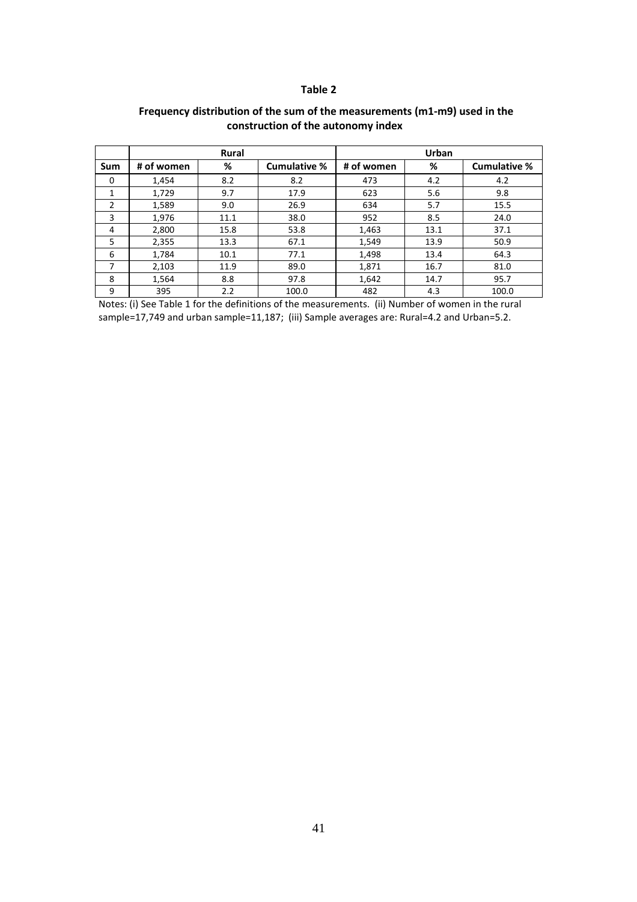#### **Table 2**

|                |            | <b>Rural</b> |                     |                 | Urban |                     |
|----------------|------------|--------------|---------------------|-----------------|-------|---------------------|
| Sum            | # of women | %            | <b>Cumulative %</b> | %<br># of women |       | <b>Cumulative %</b> |
| $\Omega$       | 1.454      | 8.2          | 8.2                 | 473             | 4.2   | 4.2                 |
| 1              | 1,729      | 9.7          | 17.9                | 623             | 5.6   | 9.8                 |
| $\overline{2}$ | 1,589      | 9.0          | 26.9                | 634             | 5.7   | 15.5                |
| 3              | 1,976      | 11.1         | 38.0                | 952             | 8.5   | 24.0                |
| 4              | 2,800      | 15.8         | 53.8                | 1,463           | 13.1  | 37.1                |
| 5              | 2,355      | 13.3         | 67.1                | 1,549           | 13.9  | 50.9                |
| 6              | 1,784      | 10.1         | 77.1                | 1,498           | 13.4  | 64.3                |
| 7              | 2,103      | 11.9         | 89.0                | 1,871           | 16.7  | 81.0                |
| 8              | 1,564      | 8.8          | 97.8                | 1,642           | 14.7  | 95.7                |
| 9              | 395        | 2.2          | 100.0               | 482             | 4.3   | 100.0               |

## **Frequency distribution of the sum of the measurements (m1-m9) used in the construction of the autonomy index**

Notes: (i) See Table 1 for the definitions of the measurements. (ii) Number of women in the rural sample=17,749 and urban sample=11,187; (iii) Sample averages are: Rural=4.2 and Urban=5.2.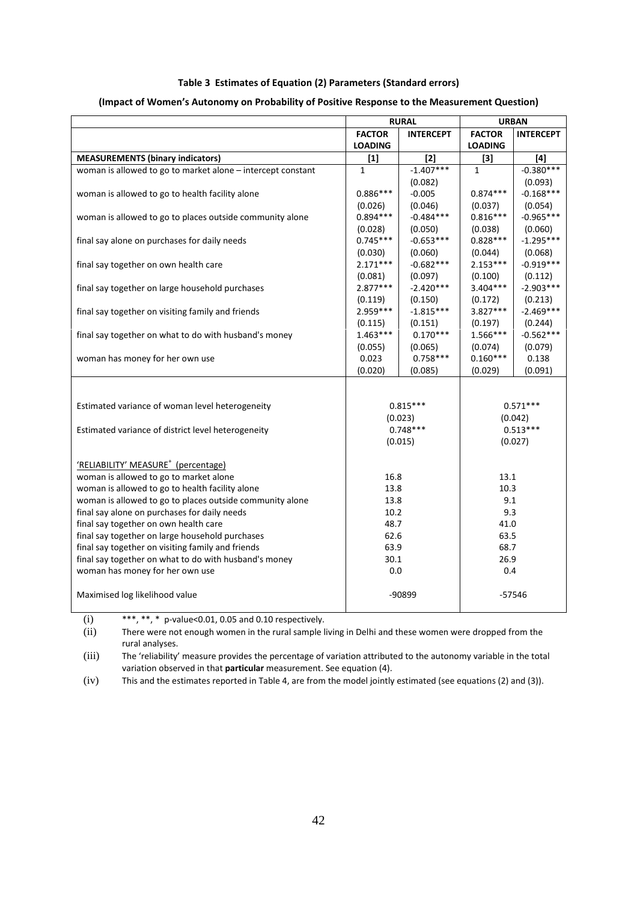#### **Table 3 Estimates of Equation (2) Parameters (Standard errors)**

|                                                             |                                   | <b>RURAL</b> |                | <b>URBAN</b>     |  |  |
|-------------------------------------------------------------|-----------------------------------|--------------|----------------|------------------|--|--|
|                                                             | <b>FACTOR</b><br><b>INTERCEPT</b> |              | <b>FACTOR</b>  | <b>INTERCEPT</b> |  |  |
|                                                             | <b>LOADING</b>                    |              | <b>LOADING</b> |                  |  |  |
| <b>MEASUREMENTS (binary indicators)</b>                     | $[1]$                             | $[2]$        | $[3]$          | $[4]$            |  |  |
| woman is allowed to go to market alone - intercept constant | $\mathbf{1}$                      | $-1.407***$  | $\mathbf{1}$   | $-0.380***$      |  |  |
|                                                             |                                   | (0.082)      |                | (0.093)          |  |  |
| woman is allowed to go to health facility alone             | $0.886***$                        | $-0.005$     | $0.874***$     | $-0.168***$      |  |  |
|                                                             | (0.026)                           | (0.046)      | (0.037)        | (0.054)          |  |  |
| woman is allowed to go to places outside community alone    | $0.894***$                        | $-0.484***$  | $0.816***$     | $-0.965***$      |  |  |
|                                                             | (0.028)                           | (0.050)      | (0.038)        | (0.060)          |  |  |
| final say alone on purchases for daily needs                | $0.745***$                        | $-0.653***$  | $0.828***$     | $-1.295***$      |  |  |
|                                                             | (0.030)                           | (0.060)      | (0.044)        | (0.068)          |  |  |
| final say together on own health care                       | $2.171***$                        | $-0.682***$  | $2.153***$     | $-0.919***$      |  |  |
|                                                             | (0.081)                           | (0.097)      | (0.100)        | (0.112)          |  |  |
| final say together on large household purchases             | $2.877***$                        | $-2.420***$  | 3.404***       | $-2.903***$      |  |  |
|                                                             | (0.119)                           | (0.150)      | (0.172)        | (0.213)          |  |  |
| final say together on visiting family and friends           | 2.959 ***                         | $-1.815***$  | $3.827***$     | $-2.469***$      |  |  |
|                                                             | (0.115)                           | (0.151)      | (0.197)        | (0.244)          |  |  |
| final say together on what to do with husband's money       | 1.463***                          | $0.170***$   | 1.566***       | $-0.562***$      |  |  |
|                                                             | (0.055)                           | (0.065)      | (0.074)        | (0.079)          |  |  |
| woman has money for her own use                             | 0.023                             | $0.758***$   | $0.160***$     | 0.138            |  |  |
|                                                             | (0.020)                           | (0.085)      | (0.029)        | (0.091)          |  |  |
|                                                             |                                   |              |                |                  |  |  |
|                                                             |                                   |              |                |                  |  |  |
| Estimated variance of woman level heterogeneity             |                                   | $0.815***$   |                | $0.571***$       |  |  |
|                                                             | (0.023)                           |              |                | (0.042)          |  |  |
| Estimated variance of district level heterogeneity          |                                   | $0.748***$   | $0.513***$     |                  |  |  |
|                                                             |                                   | (0.015)      |                | (0.027)          |  |  |
|                                                             |                                   |              |                |                  |  |  |
| 'RELIABILITY' MEASURE <sup>+</sup> (percentage)             |                                   |              |                |                  |  |  |
| woman is allowed to go to market alone                      | 16.8                              |              | 13.1           |                  |  |  |
| woman is allowed to go to health facility alone             | 13.8                              |              | 10.3           |                  |  |  |
| woman is allowed to go to places outside community alone    | 13.8                              |              | 9.1            |                  |  |  |
| final say alone on purchases for daily needs                | 10.2                              |              | 9.3            |                  |  |  |
| final say together on own health care                       | 48.7                              |              | 41.0           |                  |  |  |
| final say together on large household purchases             | 62.6                              |              | 63.5           |                  |  |  |
| final say together on visiting family and friends           | 63.9                              |              | 68.7           |                  |  |  |
| final say together on what to do with husband's money       | 30.1                              |              | 26.9           |                  |  |  |
| woman has money for her own use                             | 0.0                               |              | 0.4            |                  |  |  |
|                                                             |                                   |              |                |                  |  |  |
| Maximised log likelihood value                              |                                   | -90899       |                | $-57546$         |  |  |

#### **(Impact of Women's Autonomy on Probability of Positive Response to the Measurement Question)**

(i) \*\*\*, \*\*, \* p-value<0.01, 0.05 and 0.10 respectively.

(ii) There were not enough women in the rural sample living in Delhi and these women were dropped from the rural analyses.

(iii) The 'reliability' measure provides the percentage of variation attributed to the autonomy variable in the total variation observed in that **particular** measurement. See equation (4).

(iv) This and the estimates reported in Table 4, are from the model jointly estimated (see equations (2) and (3)).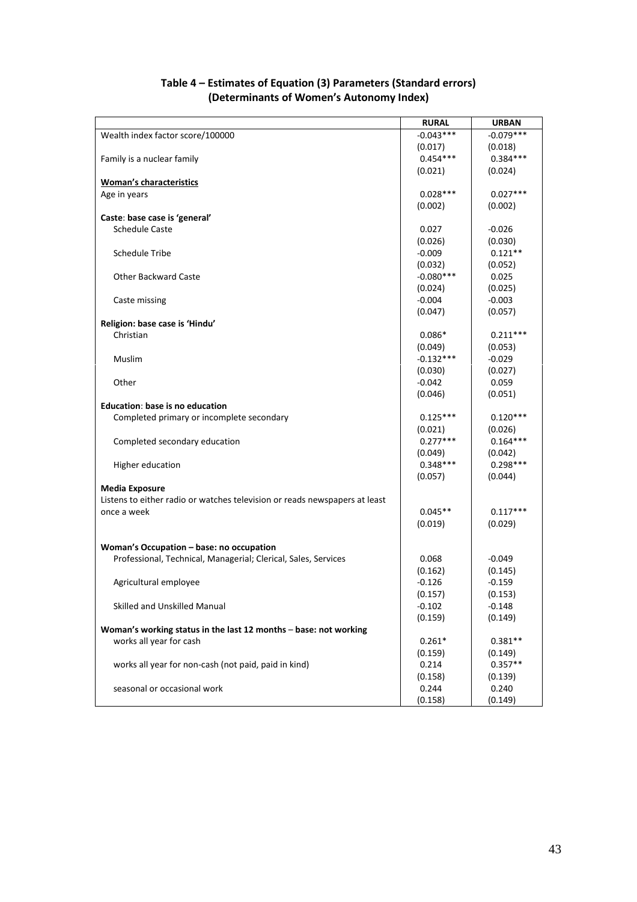|                                                                            | <b>RURAL</b> | <b>URBAN</b> |
|----------------------------------------------------------------------------|--------------|--------------|
| Wealth index factor score/100000                                           | $-0.043***$  | $-0.079***$  |
|                                                                            | (0.017)      | (0.018)      |
| Family is a nuclear family                                                 | $0.454***$   | $0.384***$   |
|                                                                            | (0.021)      | (0.024)      |
| <b>Woman's characteristics</b>                                             |              |              |
| Age in years                                                               | $0.028***$   | $0.027***$   |
|                                                                            | (0.002)      | (0.002)      |
| Caste: base case is 'general'                                              |              |              |
| <b>Schedule Caste</b>                                                      | 0.027        | $-0.026$     |
|                                                                            | (0.026)      | (0.030)      |
| <b>Schedule Tribe</b>                                                      | $-0.009$     | $0.121**$    |
|                                                                            | (0.032)      | (0.052)      |
| <b>Other Backward Caste</b>                                                | $-0.080***$  | 0.025        |
|                                                                            | (0.024)      | (0.025)      |
|                                                                            | $-0.004$     | $-0.003$     |
| Caste missing                                                              | (0.047)      | (0.057)      |
|                                                                            |              |              |
| Religion: base case is 'Hindu'<br>Christian                                |              | $0.211***$   |
|                                                                            | $0.086*$     |              |
|                                                                            | (0.049)      | (0.053)      |
| Muslim                                                                     | $-0.132***$  | $-0.029$     |
|                                                                            | (0.030)      | (0.027)      |
| Other                                                                      | $-0.042$     | 0.059        |
|                                                                            | (0.046)      | (0.051)      |
| Education: base is no education                                            |              |              |
| Completed primary or incomplete secondary                                  | $0.125***$   | $0.120***$   |
|                                                                            | (0.021)      | (0.026)      |
| Completed secondary education                                              | $0.277***$   | $0.164***$   |
|                                                                            | (0.049)      | (0.042)      |
| Higher education                                                           | $0.348***$   | $0.298***$   |
|                                                                            | (0.057)      | (0.044)      |
| <b>Media Exposure</b>                                                      |              |              |
| Listens to either radio or watches television or reads newspapers at least |              |              |
| once a week                                                                | $0.045**$    | $0.117***$   |
|                                                                            | (0.019)      | (0.029)      |
|                                                                            |              |              |
| Woman's Occupation - base: no occupation                                   |              |              |
| Professional, Technical, Managerial; Clerical, Sales, Services             | 0.068        | $-0.049$     |
|                                                                            | (0.162)      | (0.145)      |
| Agricultural employee                                                      | $-0.126$     | $-0.159$     |
|                                                                            | (0.157)      | (0.153)      |
| Skilled and Unskilled Manual                                               | $-0.102$     | $-0.148$     |
|                                                                            | (0.159)      | (0.149)      |
| Woman's working status in the last 12 months - base: not working           |              |              |
| works all year for cash                                                    | $0.261*$     | $0.381**$    |
|                                                                            | (0.159)      | (0.149)      |
| works all year for non-cash (not paid, paid in kind)                       | 0.214        | $0.357**$    |
|                                                                            | (0.158)      | (0.139)      |
| seasonal or occasional work                                                | 0.244        | 0.240        |
|                                                                            | (0.158)      | (0.149)      |

## **Table 4 – Estimates of Equation (3) Parameters (Standard errors) (Determinants of Women's Autonomy Index)**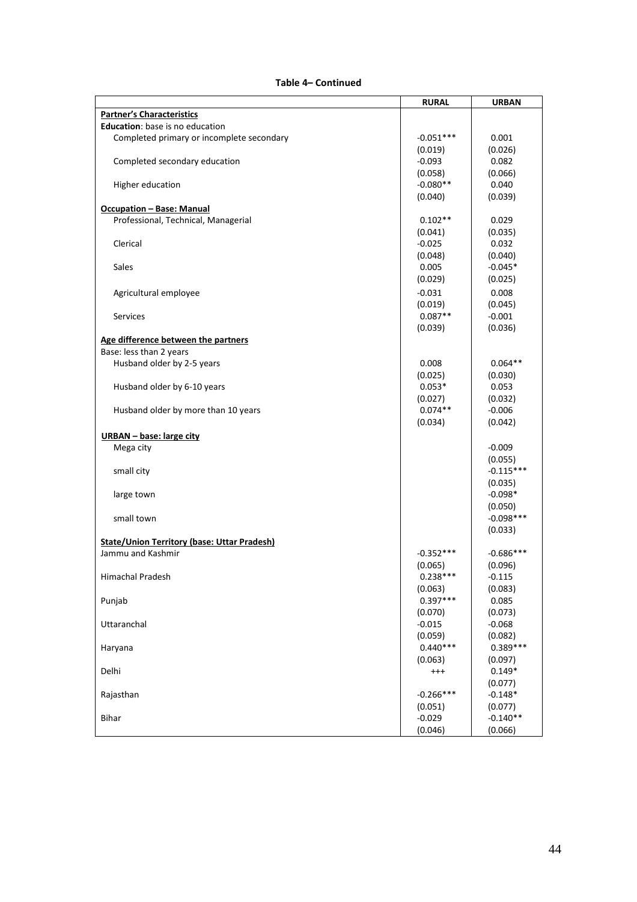#### **Table 4– Continued**

|                                                    | <b>RURAL</b> | <b>URBAN</b> |
|----------------------------------------------------|--------------|--------------|
| <b>Partner's Characteristics</b>                   |              |              |
| Education: base is no education                    |              |              |
| Completed primary or incomplete secondary          | $-0.051***$  | 0.001        |
|                                                    | (0.019)      | (0.026)      |
| Completed secondary education                      | $-0.093$     | 0.082        |
|                                                    | (0.058)      | (0.066)      |
| Higher education                                   | $-0.080**$   | 0.040        |
|                                                    | (0.040)      | (0.039)      |
| <b>Occupation - Base: Manual</b>                   |              |              |
| Professional, Technical, Managerial                | $0.102**$    | 0.029        |
|                                                    | (0.041)      | (0.035)      |
| Clerical                                           | $-0.025$     | 0.032        |
|                                                    | (0.048)      | (0.040)      |
| Sales                                              | 0.005        | $-0.045*$    |
|                                                    | (0.029)      | (0.025)      |
| Agricultural employee                              | $-0.031$     | 0.008        |
|                                                    | (0.019)      | (0.045)      |
| <b>Services</b>                                    | $0.087**$    | $-0.001$     |
|                                                    | (0.039)      | (0.036)      |
| Age difference between the partners                |              |              |
| Base: less than 2 years                            |              |              |
| Husband older by 2-5 years                         | 0.008        | $0.064**$    |
|                                                    | (0.025)      | (0.030)      |
| Husband older by 6-10 years                        | $0.053*$     | 0.053        |
|                                                    | (0.027)      | (0.032)      |
| Husband older by more than 10 years                | $0.074**$    | $-0.006$     |
|                                                    | (0.034)      | (0.042)      |
| <b>URBAN</b> - base: large city                    |              |              |
| Mega city                                          |              | $-0.009$     |
|                                                    |              | (0.055)      |
| small city                                         |              | $-0.115***$  |
|                                                    |              | (0.035)      |
| large town                                         |              | $-0.098*$    |
|                                                    |              | (0.050)      |
| small town                                         |              | $-0.098***$  |
|                                                    |              | (0.033)      |
| <b>State/Union Territory (base: Uttar Pradesh)</b> |              |              |
| Jammu and Kashmir                                  | $-0.352***$  | $-0.686***$  |
|                                                    | (0.065)      | (0.096)      |
| Himachal Pradesh                                   | $0.238***$   | $-0.115$     |
|                                                    | (0.063)      | (0.083)      |
| Punjab                                             | $0.397***$   | 0.085        |
|                                                    | (0.070)      | (0.073)      |
| Uttaranchal                                        | $-0.015$     | $-0.068$     |
|                                                    | (0.059)      | (0.082)      |
| Haryana                                            | $0.440***$   | $0.389***$   |
|                                                    | (0.063)      | (0.097)      |
| Delhi                                              | $^{+++}$     | $0.149*$     |
|                                                    |              | (0.077)      |
| Rajasthan                                          | $-0.266***$  | $-0.148*$    |
|                                                    | (0.051)      | (0.077)      |
| <b>Bihar</b>                                       | $-0.029$     | $-0.140**$   |
|                                                    | (0.046)      | (0.066)      |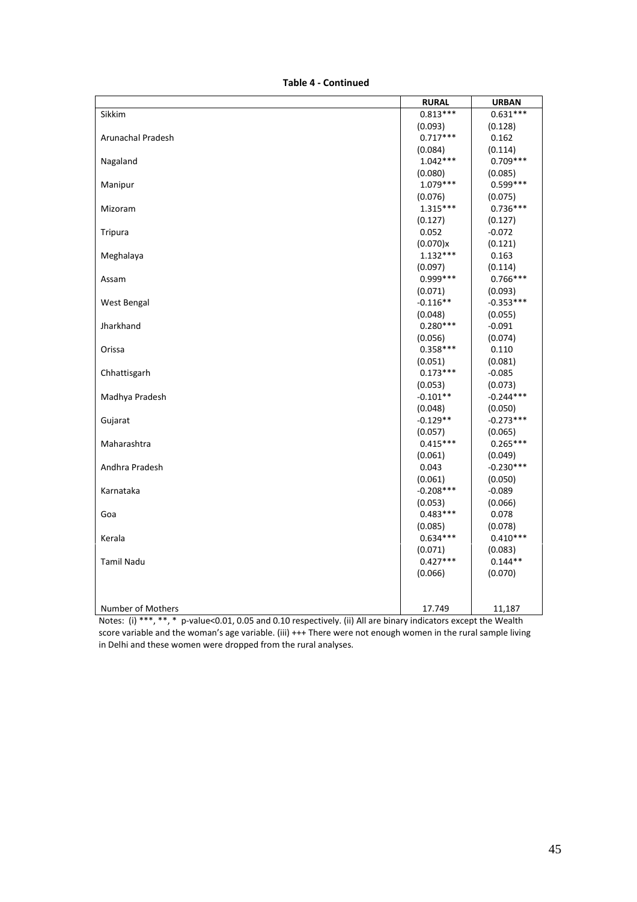**Table 4 - Continued**

| <b>RURAL</b> | <b>URBAN</b>                                                                                                                                                                                                                                      |
|--------------|---------------------------------------------------------------------------------------------------------------------------------------------------------------------------------------------------------------------------------------------------|
| $0.813***$   | $0.631***$                                                                                                                                                                                                                                        |
| (0.093)      | (0.128)                                                                                                                                                                                                                                           |
| $0.717***$   | 0.162                                                                                                                                                                                                                                             |
|              | (0.114)                                                                                                                                                                                                                                           |
| $1.042***$   | $0.709***$                                                                                                                                                                                                                                        |
| (0.080)      | (0.085)                                                                                                                                                                                                                                           |
| $1.079***$   | $0.599***$                                                                                                                                                                                                                                        |
| (0.076)      | (0.075)                                                                                                                                                                                                                                           |
| $1.315***$   | $0.736***$                                                                                                                                                                                                                                        |
| (0.127)      | (0.127)                                                                                                                                                                                                                                           |
| 0.052        | $-0.072$                                                                                                                                                                                                                                          |
| (0.070)x     | (0.121)                                                                                                                                                                                                                                           |
| $1.132***$   | 0.163                                                                                                                                                                                                                                             |
| (0.097)      | (0.114)                                                                                                                                                                                                                                           |
| $0.999***$   | $0.766***$                                                                                                                                                                                                                                        |
| (0.071)      | (0.093)                                                                                                                                                                                                                                           |
| $-0.116**$   | $-0.353***$                                                                                                                                                                                                                                       |
| (0.048)      | (0.055)                                                                                                                                                                                                                                           |
|              | $-0.091$                                                                                                                                                                                                                                          |
| (0.056)      | (0.074)                                                                                                                                                                                                                                           |
| $0.358***$   | 0.110                                                                                                                                                                                                                                             |
| (0.051)      | (0.081)                                                                                                                                                                                                                                           |
|              | $-0.085$                                                                                                                                                                                                                                          |
| (0.053)      | (0.073)                                                                                                                                                                                                                                           |
|              | $-0.244***$                                                                                                                                                                                                                                       |
|              | (0.050)                                                                                                                                                                                                                                           |
|              | $-0.273***$                                                                                                                                                                                                                                       |
|              | (0.065)                                                                                                                                                                                                                                           |
|              | $0.265***$                                                                                                                                                                                                                                        |
|              | (0.049)                                                                                                                                                                                                                                           |
|              | $-0.230***$                                                                                                                                                                                                                                       |
|              | (0.050)                                                                                                                                                                                                                                           |
|              | $-0.089$                                                                                                                                                                                                                                          |
|              | (0.066)                                                                                                                                                                                                                                           |
|              | 0.078                                                                                                                                                                                                                                             |
|              | (0.078)                                                                                                                                                                                                                                           |
|              | $0.410***$                                                                                                                                                                                                                                        |
|              | (0.083)<br>$0.144**$                                                                                                                                                                                                                              |
|              |                                                                                                                                                                                                                                                   |
|              | (0.070)                                                                                                                                                                                                                                           |
|              |                                                                                                                                                                                                                                                   |
|              | 11,187                                                                                                                                                                                                                                            |
|              | (0.084)<br>$0.280***$<br>$0.173***$<br>$-0.101**$<br>(0.048)<br>$-0.129**$<br>(0.057)<br>$0.415***$<br>(0.061)<br>0.043<br>(0.061)<br>$-0.208***$<br>(0.053)<br>$0.483***$<br>(0.085)<br>$0.634***$<br>(0.071)<br>$0.427***$<br>(0.066)<br>17.749 |

Notes: (i) \*\*\*, \*\*, \* p-value<0.01, 0.05 and 0.10 respectively. (ii) All are binary indicators except the Wealth score variable and the woman's age variable. (iii) +++ There were not enough women in the rural sample living in Delhi and these women were dropped from the rural analyses.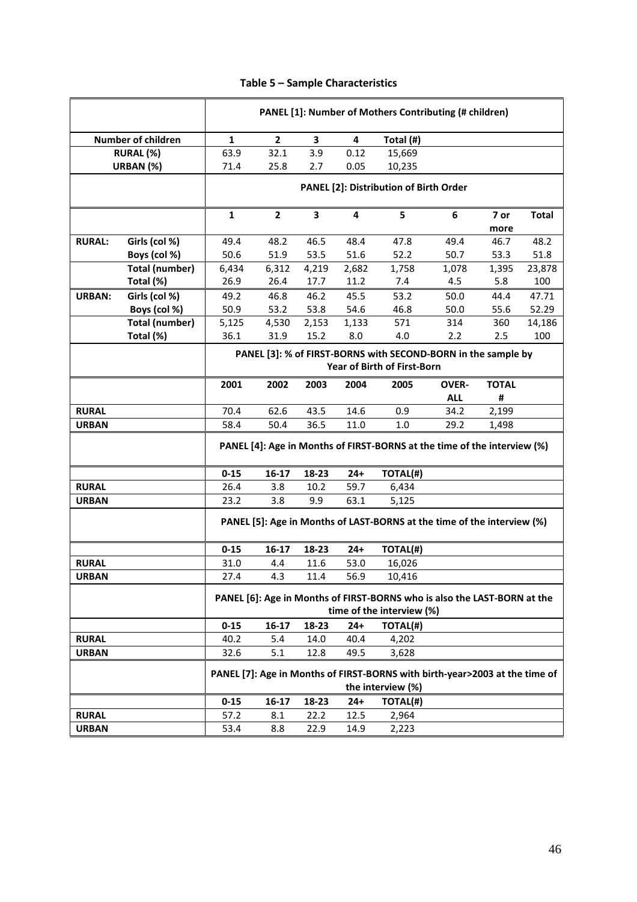|               |                           | PANEL [1]: Number of Mothers Contributing (# children)                                                |                                                                                              |       |       |                                                                             |              |              |              |
|---------------|---------------------------|-------------------------------------------------------------------------------------------------------|----------------------------------------------------------------------------------------------|-------|-------|-----------------------------------------------------------------------------|--------------|--------------|--------------|
|               | <b>Number of children</b> | 1                                                                                                     | $\mathbf{2}$                                                                                 | 3     | 4     | Total (#)                                                                   |              |              |              |
|               | RURAL (%)                 | 63.9                                                                                                  | 32.1                                                                                         | 3.9   | 0.12  | 15,669                                                                      |              |              |              |
|               | URBAN (%)                 | 71.4                                                                                                  | 25.8                                                                                         | 2.7   | 0.05  | 10,235                                                                      |              |              |              |
|               |                           |                                                                                                       |                                                                                              |       |       |                                                                             |              |              |              |
|               |                           |                                                                                                       |                                                                                              |       |       | PANEL [2]: Distribution of Birth Order                                      |              |              |              |
|               |                           | $\mathbf{1}$                                                                                          | $\overline{2}$                                                                               | 3     | 4     | 5                                                                           | 6            | 7 or<br>more | <b>Total</b> |
| <b>RURAL:</b> | Girls (col %)             | 49.4                                                                                                  | 48.2                                                                                         | 46.5  | 48.4  | 47.8                                                                        | 49.4         | 46.7         | 48.2         |
|               | Boys (col %)              | 50.6                                                                                                  | 51.9                                                                                         | 53.5  | 51.6  | 52.2                                                                        | 50.7         | 53.3         | 51.8         |
|               | <b>Total (number)</b>     | 6,434                                                                                                 | 6,312                                                                                        | 4,219 | 2,682 | 1,758                                                                       | 1,078        | 1,395        | 23,878       |
|               | Total (%)                 | 26.9                                                                                                  | 26.4                                                                                         | 17.7  | 11.2  | 7.4                                                                         | 4.5          | 5.8          | 100          |
| <b>URBAN:</b> | Girls (col %)             | 49.2                                                                                                  | 46.8                                                                                         | 46.2  | 45.5  | 53.2                                                                        | 50.0         | 44.4         | 47.71        |
|               | Boys (col %)              | 50.9                                                                                                  | 53.2                                                                                         | 53.8  | 54.6  | 46.8                                                                        | 50.0         | 55.6         | 52.29        |
|               | <b>Total (number)</b>     | 5,125                                                                                                 | 4,530                                                                                        | 2,153 | 1,133 | 571                                                                         | 314          | 360          | 14,186       |
|               | Total (%)                 | 36.1                                                                                                  | 31.9                                                                                         | 15.2  | 8.0   | 4.0                                                                         | 2.2          | 2.5          | 100          |
|               |                           |                                                                                                       | PANEL [3]: % of FIRST-BORNS with SECOND-BORN in the sample by<br>Year of Birth of First-Born |       |       |                                                                             |              |              |              |
|               |                           | 2001                                                                                                  | 2002                                                                                         | 2003  | 2004  | 2005                                                                        | <b>OVER-</b> | <b>TOTAL</b> |              |
|               |                           |                                                                                                       |                                                                                              |       |       |                                                                             | <b>ALL</b>   | #            |              |
| <b>RURAL</b>  |                           | 70.4                                                                                                  | 62.6                                                                                         | 43.5  | 14.6  | 0.9                                                                         | 34.2         | 2,199        |              |
| <b>URBAN</b>  |                           | 58.4                                                                                                  | 50.4                                                                                         | 36.5  | 11.0  | 1.0                                                                         | 29.2         | 1,498        |              |
|               |                           |                                                                                                       | PANEL [4]: Age in Months of FIRST-BORNS at the time of the interview (%)                     |       |       |                                                                             |              |              |              |
|               |                           | $0 - 15$                                                                                              | 16-17                                                                                        | 18-23 | $24+$ | TOTAL(#)                                                                    |              |              |              |
| <b>RURAL</b>  |                           | 26.4                                                                                                  | 3.8                                                                                          | 10.2  | 59.7  | 6,434                                                                       |              |              |              |
| <b>URBAN</b>  |                           | 23.2                                                                                                  | 3.8                                                                                          | 9.9   | 63.1  | 5,125                                                                       |              |              |              |
|               |                           |                                                                                                       |                                                                                              |       |       | PANEL [5]: Age in Months of LAST-BORNS at the time of the interview (%)     |              |              |              |
|               |                           | $0 - 15$                                                                                              | 16-17                                                                                        | 18-23 | $24+$ | TOTAL(#)                                                                    |              |              |              |
| <b>RURAL</b>  |                           | 31.0                                                                                                  | 4.4                                                                                          | 11.6  | 53.0  | 16,026                                                                      |              |              |              |
| <b>URBAN</b>  |                           | 27.4                                                                                                  | 4.3                                                                                          | 11.4  | 56.9  | 10,416                                                                      |              |              |              |
|               |                           |                                                                                                       |                                                                                              |       |       |                                                                             |              |              |              |
|               |                           | PANEL [6]: Age in Months of FIRST-BORNS who is also the LAST-BORN at the<br>time of the interview (%) |                                                                                              |       |       |                                                                             |              |              |              |
|               |                           | $0 - 15$<br>18-23<br>$24+$<br>TOTAL(#)<br>16-17                                                       |                                                                                              |       |       |                                                                             |              |              |              |
| <b>RURAL</b>  |                           | 40.2                                                                                                  | 5.4                                                                                          | 14.0  | 40.4  | 4,202                                                                       |              |              |              |
| <b>URBAN</b>  |                           | 32.6                                                                                                  | 5.1                                                                                          | 12.8  | 49.5  | 3,628                                                                       |              |              |              |
|               |                           |                                                                                                       |                                                                                              |       |       | PANEL [7]: Age in Months of FIRST-BORNS with birth-year>2003 at the time of |              |              |              |
|               |                           |                                                                                                       |                                                                                              |       |       | the interview (%)                                                           |              |              |              |
|               |                           | 0-15                                                                                                  | 16-17                                                                                        | 18-23 | $24+$ | TOTAL(#)                                                                    |              |              |              |
| <b>RURAL</b>  |                           | 57.2                                                                                                  | 8.1                                                                                          | 22.2  | 12.5  | 2,964                                                                       |              |              |              |
| <b>URBAN</b>  |                           | 53.4                                                                                                  | 8.8                                                                                          | 22.9  | 14.9  | 2,223                                                                       |              |              |              |

### **Table 5 – Sample Characteristics**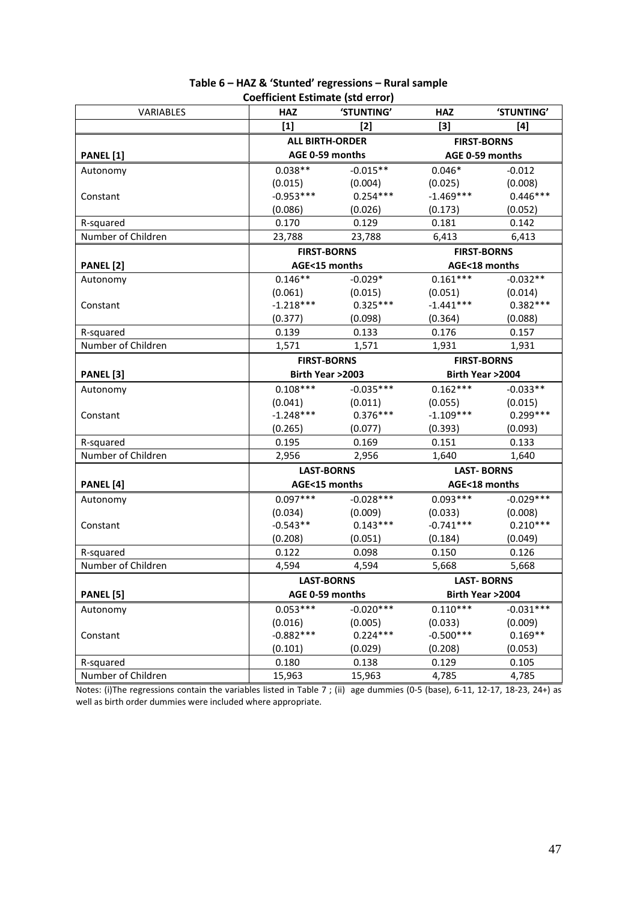| VARIABLES          | <b>HAZ</b>         | 'STUNTING'             | <b>HAZ</b>         | 'STUNTING'         |  |
|--------------------|--------------------|------------------------|--------------------|--------------------|--|
|                    | $[1]$              | $[2]$                  |                    | [4]                |  |
|                    |                    | <b>ALL BIRTH-ORDER</b> |                    | <b>FIRST-BORNS</b> |  |
| <b>PANEL</b> [1]   | AGE 0-59 months    |                        | AGE 0-59 months    |                    |  |
| Autonomy           | $0.038**$          | $-0.015**$             | $0.046*$           | $-0.012$           |  |
|                    | (0.015)            | (0.004)                | (0.025)            | (0.008)            |  |
| Constant           | $-0.953***$        | $0.254***$             | $-1.469***$        | $0.446***$         |  |
|                    | (0.086)            | (0.026)                | (0.173)            | (0.052)            |  |
| R-squared          | 0.170              | 0.129                  | 0.181              | 0.142              |  |
| Number of Children | 23,788             | 23,788                 | 6,413              | 6,413              |  |
|                    | <b>FIRST-BORNS</b> |                        | <b>FIRST-BORNS</b> |                    |  |
| PANEL [2]          | AGE<15 months      |                        | AGE<18 months      |                    |  |
| Autonomy           | $0.146**$          | $-0.029*$              | $0.161***$         | $-0.032**$         |  |
|                    | (0.061)            | (0.015)                | (0.051)            | (0.014)            |  |
| Constant           | $-1.218***$        | $0.325***$             | $-1.441***$        | $0.382***$         |  |
|                    | (0.377)            | (0.098)                | (0.364)            | (0.088)            |  |
| R-squared          | 0.139              | 0.133                  | 0.176              | 0.157              |  |
| Number of Children | 1,571              | 1,571                  | 1,931              | 1,931              |  |
|                    | <b>FIRST-BORNS</b> |                        | <b>FIRST-BORNS</b> |                    |  |
| PANEL [3]          | Birth Year >2003   |                        |                    | Birth Year >2004   |  |
| Autonomy           | $0.108***$         | $-0.035***$            | $0.162***$         | $-0.033**$         |  |
|                    | (0.041)            | (0.011)                | (0.055)            | (0.015)            |  |
| Constant           | $-1.248***$        | $0.376***$             | $-1.109***$        | $0.299***$         |  |
|                    | (0.265)            | (0.077)                | (0.393)            | (0.093)            |  |
| R-squared          | 0.195              | 0.169                  | 0.151              | 0.133              |  |
| Number of Children | 2,956              | 2,956                  | 1,640              | 1,640              |  |
|                    | <b>LAST-BORNS</b>  |                        | <b>LAST-BORNS</b>  |                    |  |
| PANEL [4]          | AGE<15 months      |                        | AGE<18 months      |                    |  |
| Autonomy           | $0.097***$         | $-0.028***$            | $0.093***$         | $-0.029***$        |  |
|                    | (0.034)            | (0.009)                | (0.033)            | (0.008)            |  |
| Constant           | $-0.543**$         | $0.143***$             | $-0.741***$        | $0.210***$         |  |
|                    | (0.208)            | (0.051)                | (0.184)            | (0.049)            |  |
| R-squared          | 0.122              | 0.098                  | 0.150              | 0.126              |  |
| Number of Children | 4,594              | 4,594                  | 5,668              | 5,668              |  |
|                    | <b>LAST-BORNS</b>  |                        | <b>LAST-BORNS</b>  |                    |  |
| PANEL [5]          |                    | AGE 0-59 months        |                    | Birth Year >2004   |  |
| Autonomy           | $0.053***$         | $-0.020***$            | $0.110***$         | $-0.031***$        |  |
|                    | (0.016)            | (0.005)                | (0.033)            | (0.009)            |  |
| Constant           | $-0.882***$        | $0.224***$             | $-0.500***$        | $0.169**$          |  |
|                    | (0.101)            | (0.029)                | (0.208)            | (0.053)            |  |
| R-squared          | 0.180              | 0.138                  | 0.129              | 0.105              |  |
| Number of Children | 15,963             | 15,963                 | 4,785              | 4,785              |  |

#### **Table 6 – HAZ & 'Stunted' regressions – Rural sample Coefficient Estimate (std error)**

Notes: (i)The regressions contain the variables listed in Table 7 ; (ii) age dummies (0-5 (base), 6-11, 12-17, 18-23, 24+) as well as birth order dummies were included where appropriate.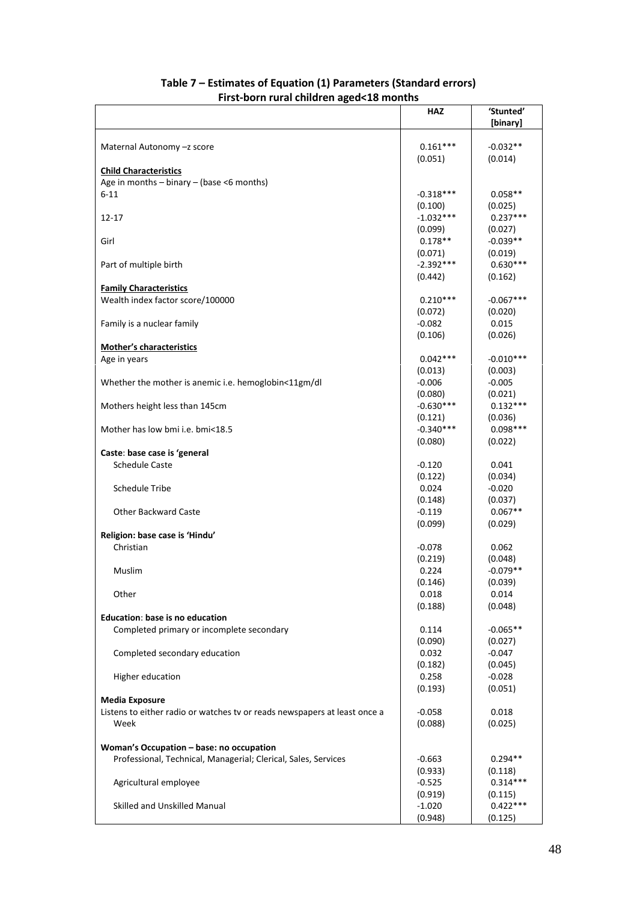| .  sensitive and complete the complete                                    |             |             |
|---------------------------------------------------------------------------|-------------|-------------|
|                                                                           | <b>HAZ</b>  | 'Stunted'   |
|                                                                           |             | [binary]    |
|                                                                           |             |             |
| Maternal Autonomy -z score                                                | $0.161***$  | $-0.032**$  |
|                                                                           | (0.051)     | (0.014)     |
| <b>Child Characteristics</b>                                              |             |             |
| Age in months - binary - (base <6 months)                                 |             |             |
| $6 - 11$                                                                  | $-0.318***$ | $0.058**$   |
|                                                                           | (0.100)     | (0.025)     |
| $12 - 17$                                                                 | $-1.032***$ | $0.237***$  |
|                                                                           |             |             |
|                                                                           | (0.099)     | (0.027)     |
| Girl                                                                      | $0.178**$   | $-0.039**$  |
|                                                                           | (0.071)     | (0.019)     |
| Part of multiple birth                                                    | $-2.392***$ | $0.630***$  |
|                                                                           | (0.442)     | (0.162)     |
| <b>Family Characteristics</b>                                             |             |             |
| Wealth index factor score/100000                                          | $0.210***$  | $-0.067***$ |
|                                                                           | (0.072)     | (0.020)     |
| Family is a nuclear family                                                | $-0.082$    | 0.015       |
|                                                                           | (0.106)     | (0.026)     |
| <b>Mother's characteristics</b>                                           |             |             |
| Age in years                                                              | $0.042***$  | $-0.010***$ |
|                                                                           | (0.013)     | (0.003)     |
| Whether the mother is anemic i.e. hemoglobin<11gm/dl                      | $-0.006$    | $-0.005$    |
|                                                                           | (0.080)     | (0.021)     |
| Mothers height less than 145cm                                            | $-0.630***$ | $0.132***$  |
|                                                                           |             |             |
|                                                                           | (0.121)     | (0.036)     |
| Mother has low bmi i.e. bmi<18.5                                          | $-0.340***$ | $0.098***$  |
|                                                                           | (0.080)     | (0.022)     |
| Caste: base case is 'general                                              |             |             |
| <b>Schedule Caste</b>                                                     | $-0.120$    | 0.041       |
|                                                                           | (0.122)     | (0.034)     |
| <b>Schedule Tribe</b>                                                     | 0.024       | $-0.020$    |
|                                                                           | (0.148)     | (0.037)     |
| <b>Other Backward Caste</b>                                               | $-0.119$    | $0.067**$   |
|                                                                           | (0.099)     | (0.029)     |
| Religion: base case is 'Hindu'                                            |             |             |
| Christian                                                                 | $-0.078$    | 0.062       |
|                                                                           | (0.219)     | (0.048)     |
| Muslim                                                                    | 0.224       | $-0.079**$  |
|                                                                           | (0.146)     | (0.039)     |
| Other                                                                     | 0.018       | 0.014       |
|                                                                           | (0.188)     | (0.048)     |
| Education: base is no education                                           |             |             |
|                                                                           |             |             |
| Completed primary or incomplete secondary                                 | 0.114       | $-0.065**$  |
|                                                                           | (0.090)     | (0.027)     |
| Completed secondary education                                             | 0.032       | $-0.047$    |
|                                                                           | (0.182)     | (0.045)     |
| Higher education                                                          | 0.258       | $-0.028$    |
|                                                                           | (0.193)     | (0.051)     |
| <b>Media Exposure</b>                                                     |             |             |
| Listens to either radio or watches tv or reads newspapers at least once a | $-0.058$    | 0.018       |
| Week                                                                      | (0.088)     | (0.025)     |
|                                                                           |             |             |
| Woman's Occupation - base: no occupation                                  |             |             |
| Professional, Technical, Managerial; Clerical, Sales, Services            | $-0.663$    | $0.294**$   |
|                                                                           | (0.933)     | (0.118)     |
| Agricultural employee                                                     | $-0.525$    | $0.314***$  |
|                                                                           | (0.919)     | (0.115)     |
| Skilled and Unskilled Manual                                              | $-1.020$    | $0.422***$  |
|                                                                           | (0.948)     | (0.125)     |
|                                                                           |             |             |

### **Table 7 – Estimates of Equation (1) Parameters (Standard errors) First-born rural children aged<18 months**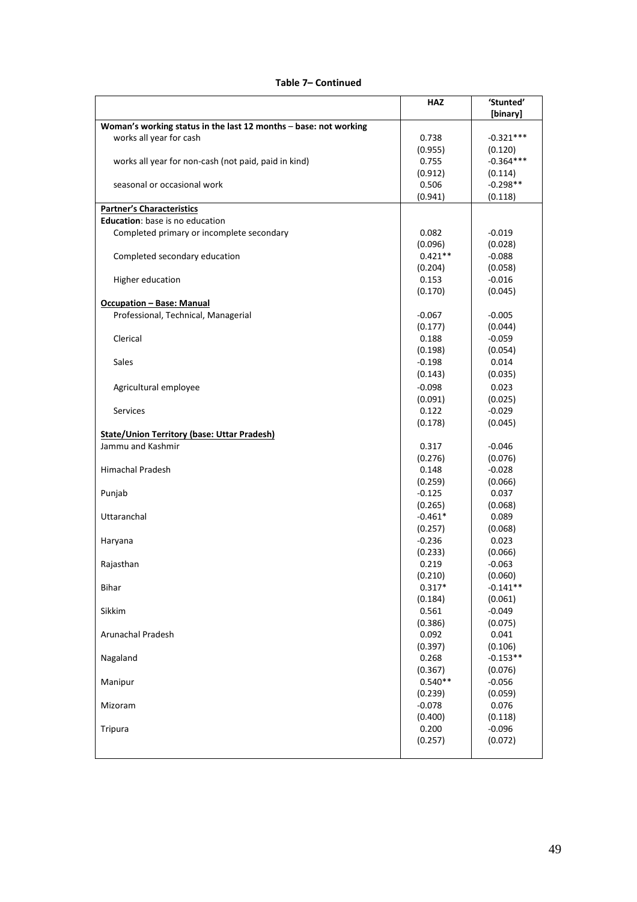| Table 7– Continued |  |
|--------------------|--|
|--------------------|--|

|                                                                  | <b>HAZ</b> | 'Stunted'<br>[binary] |
|------------------------------------------------------------------|------------|-----------------------|
| Woman's working status in the last 12 months - base: not working |            |                       |
| works all year for cash                                          | 0.738      | $-0.321***$           |
|                                                                  | (0.955)    | (0.120)               |
| works all year for non-cash (not paid, paid in kind)             | 0.755      | $-0.364***$           |
|                                                                  | (0.912)    | (0.114)               |
| seasonal or occasional work                                      | 0.506      | $-0.298**$            |
|                                                                  | (0.941)    | (0.118)               |
| <b>Partner's Characteristics</b>                                 |            |                       |
| Education: base is no education                                  |            |                       |
| Completed primary or incomplete secondary                        | 0.082      | $-0.019$              |
|                                                                  | (0.096)    | (0.028)               |
| Completed secondary education                                    | $0.421**$  | $-0.088$              |
|                                                                  | (0.204)    | (0.058)               |
| Higher education                                                 | 0.153      | $-0.016$              |
|                                                                  | (0.170)    | (0.045)               |
| <b>Occupation - Base: Manual</b>                                 |            |                       |
| Professional, Technical, Managerial                              | $-0.067$   | $-0.005$              |
|                                                                  | (0.177)    | (0.044)               |
| Clerical                                                         | 0.188      | $-0.059$              |
|                                                                  | (0.198)    | (0.054)               |
| Sales                                                            | $-0.198$   | 0.014                 |
|                                                                  | (0.143)    | (0.035)               |
| Agricultural employee                                            | $-0.098$   | 0.023                 |
|                                                                  | (0.091)    | (0.025)               |
| <b>Services</b>                                                  | 0.122      | $-0.029$              |
|                                                                  | (0.178)    | (0.045)               |
| <b>State/Union Territory (base: Uttar Pradesh)</b>               |            |                       |
| Jammu and Kashmir                                                | 0.317      | $-0.046$              |
|                                                                  | (0.276)    | (0.076)               |
| <b>Himachal Pradesh</b>                                          | 0.148      | $-0.028$              |
|                                                                  | (0.259)    | (0.066)               |
| Punjab                                                           | $-0.125$   | 0.037                 |
|                                                                  | (0.265)    | (0.068)               |
| Uttaranchal                                                      | $-0.461*$  | 0.089                 |
|                                                                  | (0.257)    | (0.068)               |
| Haryana                                                          | $-0.236$   | 0.023                 |
|                                                                  | (0.233)    | (0.066)               |
| Rajasthan                                                        | 0.219      | $-0.063$              |
|                                                                  | (0.210)    | (0.060)               |
| <b>Bihar</b>                                                     | $0.317*$   | $-0.141**$            |
|                                                                  | (0.184)    | (0.061)               |
| Sikkim                                                           | 0.561      | $-0.049$              |
|                                                                  | (0.386)    | (0.075)               |
| Arunachal Pradesh                                                | 0.092      | 0.041                 |
|                                                                  | (0.397)    | (0.106)               |
| Nagaland                                                         | 0.268      | $-0.153**$            |
|                                                                  | (0.367)    | (0.076)               |
| Manipur                                                          | $0.540**$  | $-0.056$              |
|                                                                  | (0.239)    | (0.059)               |
| Mizoram                                                          | $-0.078$   | 0.076                 |
|                                                                  | (0.400)    | (0.118)               |
| <b>Tripura</b>                                                   | 0.200      | $-0.096$              |
|                                                                  | (0.257)    | (0.072)               |
|                                                                  |            |                       |